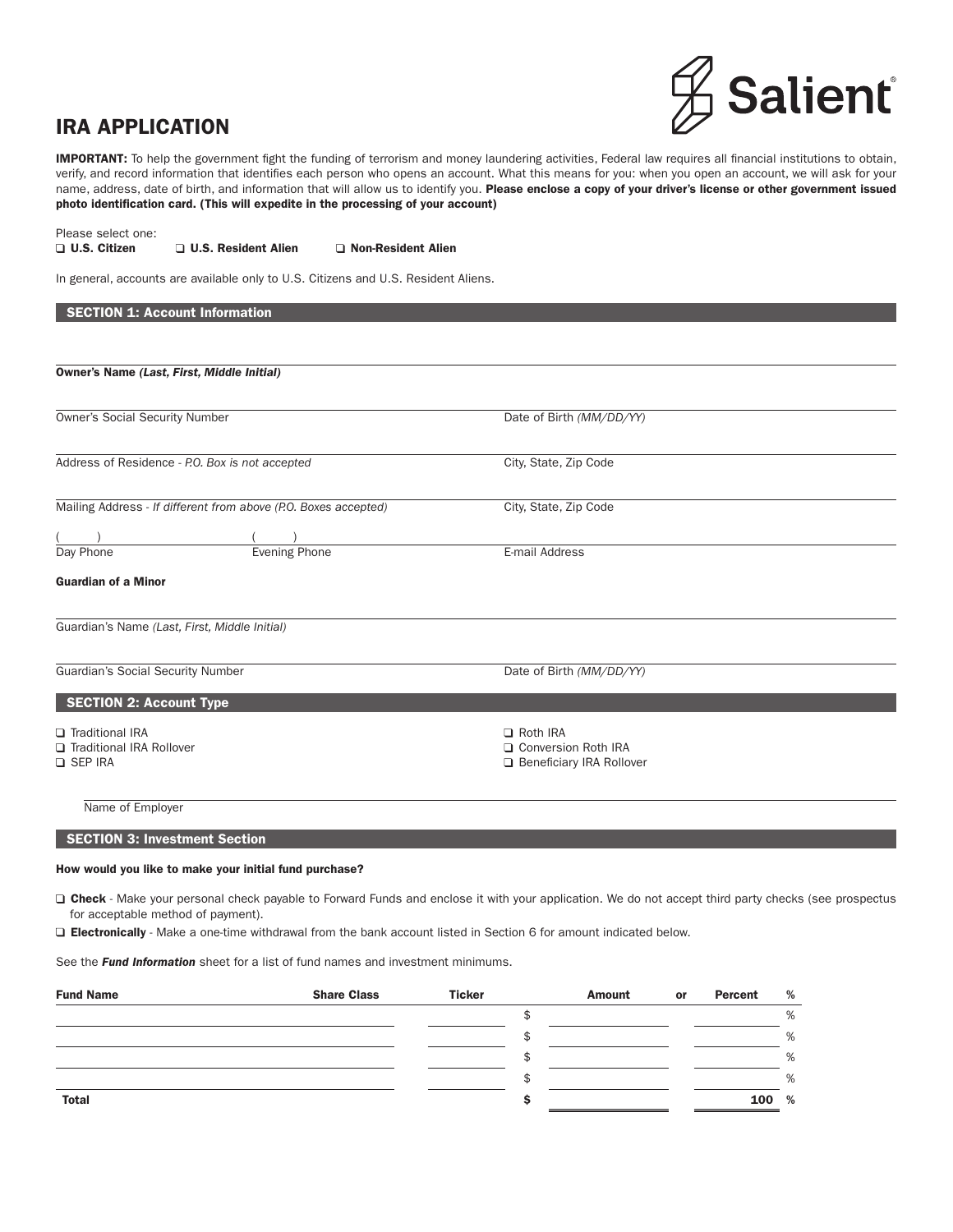# IRA APPLICATION



IMPORTANT: To help the government fight the funding of terrorism and money laundering activities, Federal law requires all financial institutions to obtain, verify, and record information that identifies each person who opens an account. What this means for you: when you open an account, we will ask for your name, address, date of birth, and information that will allow us to identify you. Please enclose a copy of your driver's license or other government issued photo identification card. (This will expedite in the processing of your account)

Please select one:

□ U.S. Citizen □ U.S. Resident Alien □ Non-Resident Alien

In general, accounts are available only to U.S. Citizens and U.S. Resident Aliens.

| <b>SECTION 1: Account Information</b>                                  |                                                                        |  |
|------------------------------------------------------------------------|------------------------------------------------------------------------|--|
|                                                                        |                                                                        |  |
| Owner's Name (Last, First, Middle Initial)                             |                                                                        |  |
|                                                                        |                                                                        |  |
| Owner's Social Security Number                                         | Date of Birth (MM/DD/YY)                                               |  |
| Address of Residence - P.O. Box is not accepted                        | City, State, Zip Code                                                  |  |
| Mailing Address - If different from above (P.O. Boxes accepted)        | City, State, Zip Code                                                  |  |
|                                                                        |                                                                        |  |
| Day Phone<br><b>Evening Phone</b>                                      | E-mail Address                                                         |  |
| <b>Guardian of a Minor</b>                                             |                                                                        |  |
| Guardian's Name (Last, First, Middle Initial)                          |                                                                        |  |
| Guardian's Social Security Number                                      | Date of Birth (MM/DD/YY)                                               |  |
| <b>SECTION 2: Account Type</b>                                         |                                                                        |  |
| Traditional IRA<br><b>Traditional IRA Rollover</b><br><b>Q SEP IRA</b> | Roth IRA<br>□ Conversion Roth IRA<br><b>Q</b> Beneficiary IRA Rollover |  |
| Name of Employer                                                       |                                                                        |  |

SECTION 3: Investment Section

#### How would you like to make your initial fund purchase?

□ Check - Make your personal check payable to Forward Funds and enclose it with your application. We do not accept third party checks (see prospectus for acceptable method of payment).

Electronically - Make a one-time withdrawal from the bank account listed in Section 6 for amount indicated below.

See the *Fund Information* sheet for a list of fund names and investment minimums.

| <b>Fund Name</b> | <b>Share Class</b> | <b>Ticker</b> | <b>Amount</b> | or | Percent | % |
|------------------|--------------------|---------------|---------------|----|---------|---|
|                  |                    |               |               |    |         | % |
|                  |                    |               |               |    |         | % |
|                  |                    |               |               |    |         | % |
|                  |                    |               |               |    |         | % |
| <b>Total</b>     |                    |               |               |    | 100 %   |   |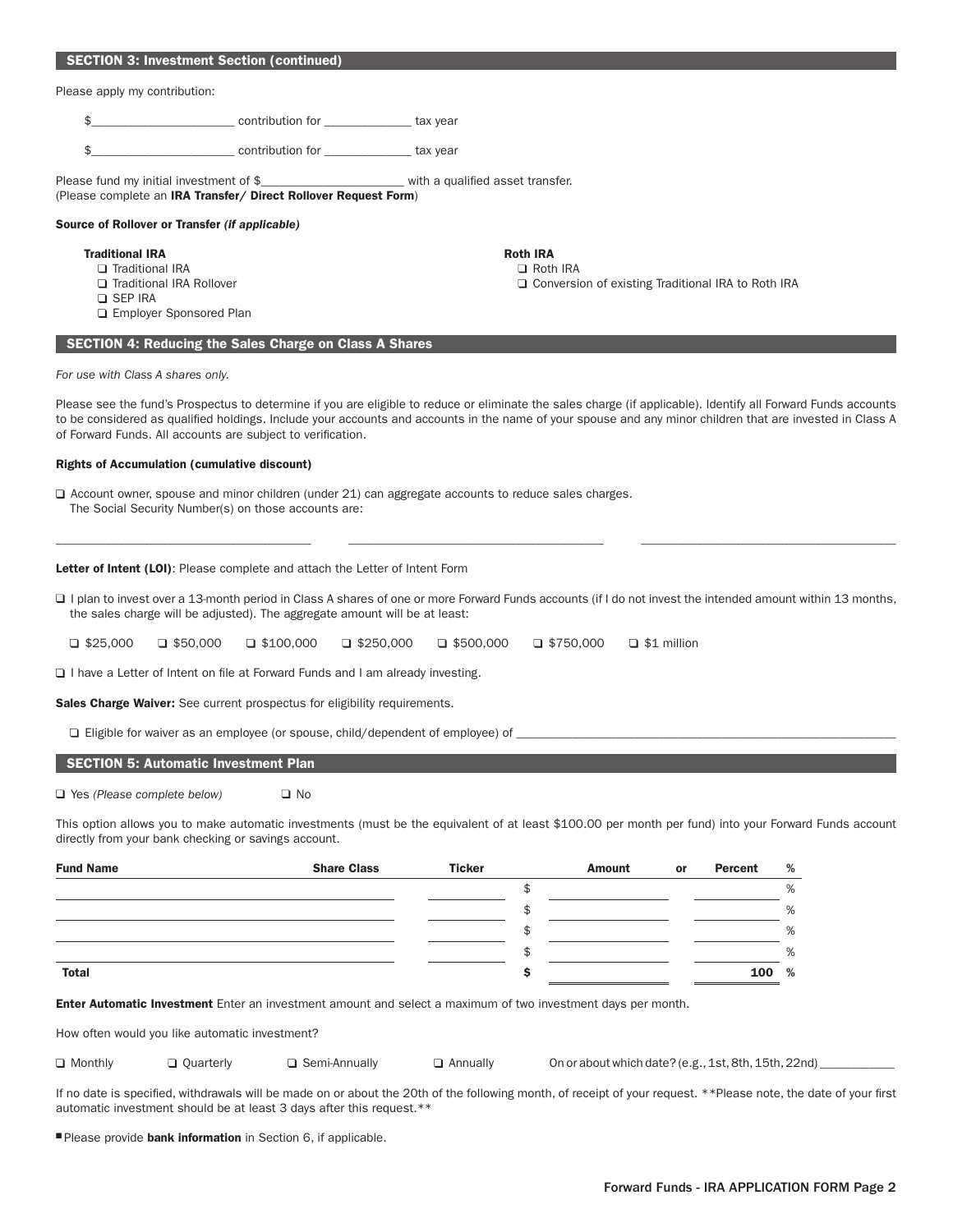#### SECTION 3: Investment Section (continued)

Please apply my contribution:

\$\_\_\_\_\_\_\_\_\_\_\_\_\_\_\_\_\_\_\_\_\_\_\_ contribution for \_\_\_\_\_\_\_\_\_\_\_\_\_\_ tax year

|  |  | contribution for |  | tax vear |
|--|--|------------------|--|----------|
|--|--|------------------|--|----------|

Please fund my initial investment of \$\_\_\_\_\_\_\_\_\_\_\_\_\_\_\_\_\_\_\_\_\_\_\_ with a qualified asset transfer. (Please complete an IRA Transfer/ Direct Rollover Request Form)

#### Source of Rollover or Transfer *(if applicable)*

#### **Traditional IRA** Roth IRA Roth IRA Roth IRA

- $\square$  Traditional IRA  $\square$  Roth IRA  $\square$  Roth IRA
- □ Traditional IRA Rollover Conversion of existing Traditional IRA to Roth IRA
- **Q** SEP IRA
- **Employer Sponsored Plan**

#### SECTION 4: Reducing the Sales Charge on Class A Shares

*For use with Class A shares only.*

Please see the fund's Prospectus to determine if you are eligible to reduce or eliminate the sales charge (if applicable). Identify all Forward Funds accounts to be considered as qualified holdings. Include your accounts and accounts in the name of your spouse and any minor children that are invested in Class A of Forward Funds. All accounts are subject to verification.

#### Rights of Accumulation (cumulative discount)

Account owner, spouse and minor children (under 21) can aggregate accounts to reduce sales charges. The Social Security Number(s) on those accounts are:

Letter of Intent (LOI): Please complete and attach the Letter of Intent Form

□ I plan to invest over a 13-month period in Class A shares of one or more Forward Funds accounts (if I do not invest the intended amount within 13 months, the sales charge will be adjusted). The aggregate amount will be at least:

\_\_\_\_\_\_\_\_\_\_\_\_\_\_\_\_\_\_\_\_\_\_\_\_\_\_\_\_\_\_\_\_\_\_\_\_\_\_\_\_\_ \_\_\_\_\_\_\_\_\_\_\_\_\_\_\_\_\_\_\_\_\_\_\_\_\_\_\_\_\_\_\_\_\_\_\_\_\_\_\_\_\_ \_\_\_\_\_\_\_\_\_\_\_\_\_\_\_\_\_\_\_\_\_\_\_\_\_\_\_\_\_\_\_\_\_\_\_\_\_\_\_\_\_

 $\Box$  \$25,000  $\Box$  \$50,000  $\Box$  \$100,000  $\Box$  \$250,000  $\Box$  \$500,000  $\Box$  \$1 million

 $\Box$  I have a Letter of Intent on file at Forward Funds and I am already investing.

Sales Charge Waiver: See current prospectus for eligibility requirements.

 $\square$  Eligible for waiver as an employee (or spouse, child/dependent of employee) of

#### SECTION 5: Automatic Investment Plan

□ Yes *(Please complete below)* □ No

This option allows you to make automatic investments (must be the equivalent of at least \$100.00 per month per fund) into your Forward Funds account directly from your bank checking or savings account.

| <b>Fund Name</b> | <b>Share Class</b> | <b>Ticker</b> | <b>Amount</b> | or | Percent | % |
|------------------|--------------------|---------------|---------------|----|---------|---|
|                  |                    |               |               |    |         | % |
|                  |                    |               |               |    |         | % |
|                  |                    |               |               |    |         | % |
|                  |                    |               |               |    |         | % |
| <b>Total</b>     |                    |               |               |    | 100     | % |

**Enter Automatic Investment** Enter an investment amount and select a maximum of two investment days per month.

How often would you like automatic investment?

|  | □ Monthly |
|--|-----------|
|--|-----------|

 $\Box$  Quarterly  $\Box$  Semi-Annually  $\Box$  Annually On or about which date? (e.g., 1st, 8th, 15th, 22nd)

If no date is specified, withdrawals will be made on or about the 20th of the following month, of receipt of your request. \*\*Please note, the date of your first automatic investment should be at least 3 days after this request.\*\*

Please provide bank information in Section 6, if applicable.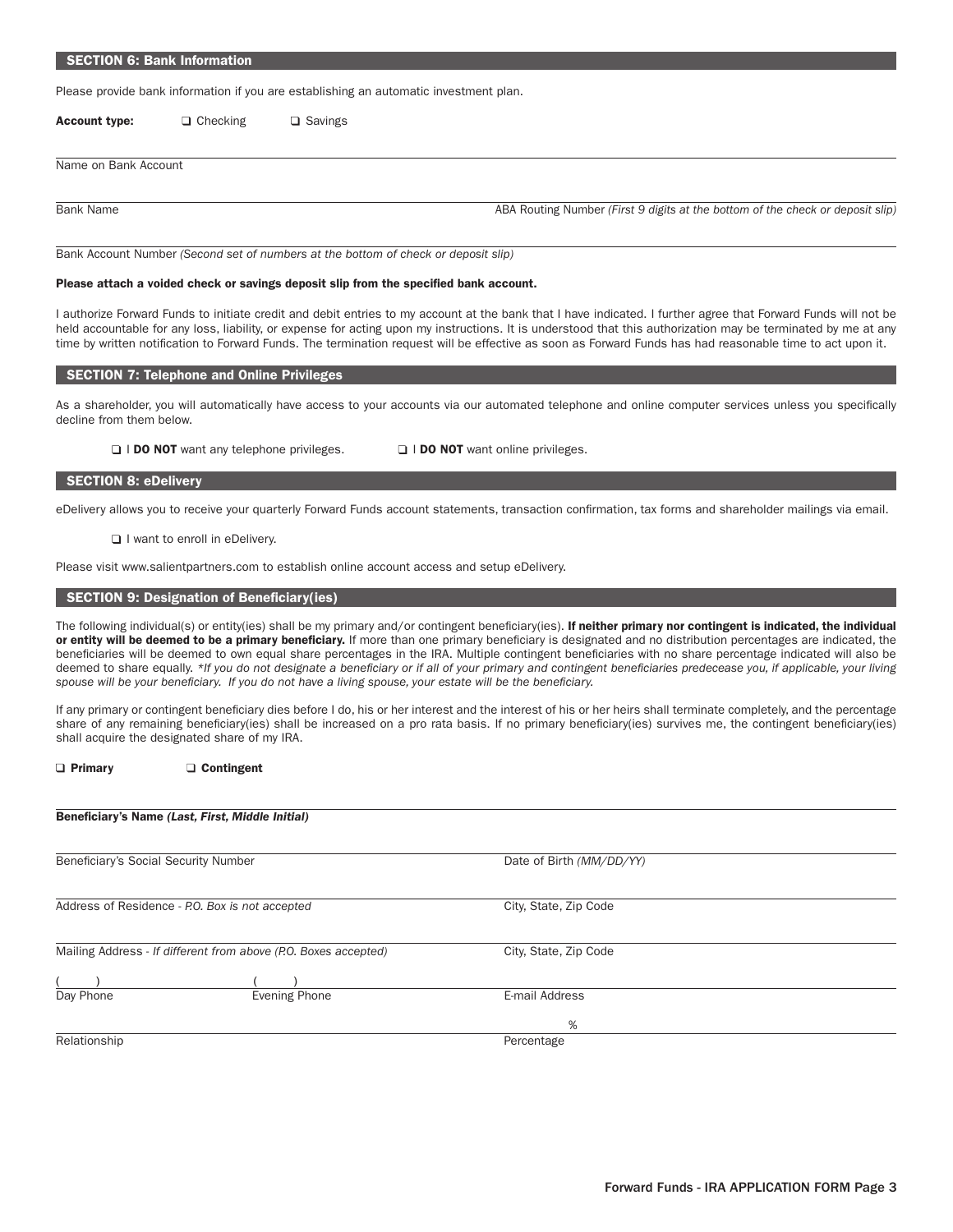#### SECTION 6: Bank Information

Please provide bank information if you are establishing an automatic investment plan.

Account type:  $\Box$  Checking  $\Box$  Savings

Name on Bank Account

Bank Name **ABA Routing Number** *(First 9 digits at the bottom of the check or deposit slip)* **ABA Routing Number** *(First 9 digits at the bottom of the check or deposit slip)* 

Bank Account Number *(Second set of numbers at the bottom of check or deposit slip)*

#### Please attach a voided check or savings deposit slip from the specified bank account.

I authorize Forward Funds to initiate credit and debit entries to my account at the bank that I have indicated. I further agree that Forward Funds will not be held accountable for any loss, liability, or expense for acting upon my instructions. It is understood that this authorization may be terminated by me at any time by written notification to Forward Funds. The termination request will be effective as soon as Forward Funds has had reasonable time to act upon it.

#### SECTION 7: Telephone and Online Privileges

As a shareholder, you will automatically have access to your accounts via our automated telephone and online computer services unless you specifically decline from them below.

□ I DO NOT want any telephone privileges. □ I DO NOT want online privileges.

#### SECTION 8: eDelivery

eDelivery allows you to receive your quarterly Forward Funds account statements, transaction confirmation, tax forms and shareholder mailings via email.

I want to enroll in eDelivery.

Please visit www.salientpartners.com to establish online account access and setup eDelivery.

#### SECTION 9: Designation of Beneficiary(ies)

The following individual(s) or entity(ies) shall be my primary and/or contingent beneficiary(ies). If neither primary nor contingent is indicated, the individual or entity will be deemed to be a primary beneficiary. If more than one primary beneficiary is designated and no distribution percentages are indicated, the beneficiaries will be deemed to own equal share percentages in the IRA. Multiple contingent beneficiaries with no share percentage indicated will also be deemed to share equally. *\*If you do not designate a beneficiary or if all of your primary and contingent beneficiaries predecease you, if applicable, your living spouse will be your beneficiary. If you do not have a living spouse, your estate will be the beneficiary.*

If any primary or contingent beneficiary dies before I do, his or her interest and the interest of his or her heirs shall terminate completely, and the percentage share of any remaining beneficiary(ies) shall be increased on a pro rata basis. If no primary beneficiary(ies) survives me, the contingent beneficiary(ies) shall acquire the designated share of my IRA.

□ Primary □ Contingent

Beneficiary's Name *(Last, First, Middle Initial)* 

| Beneficiary's Social Security Number            |                                                                 | Date of Birth (MM/DD/YY) |  |
|-------------------------------------------------|-----------------------------------------------------------------|--------------------------|--|
|                                                 |                                                                 |                          |  |
| Address of Residence - P.O. Box is not accepted |                                                                 | City, State, Zip Code    |  |
|                                                 |                                                                 |                          |  |
|                                                 | Mailing Address - If different from above (P.O. Boxes accepted) | City, State, Zip Code    |  |
|                                                 |                                                                 |                          |  |
|                                                 |                                                                 |                          |  |
| Day Phone                                       | <b>Evening Phone</b>                                            | E-mail Address           |  |
|                                                 |                                                                 | %                        |  |
|                                                 |                                                                 |                          |  |
| Relationship                                    |                                                                 | Percentage               |  |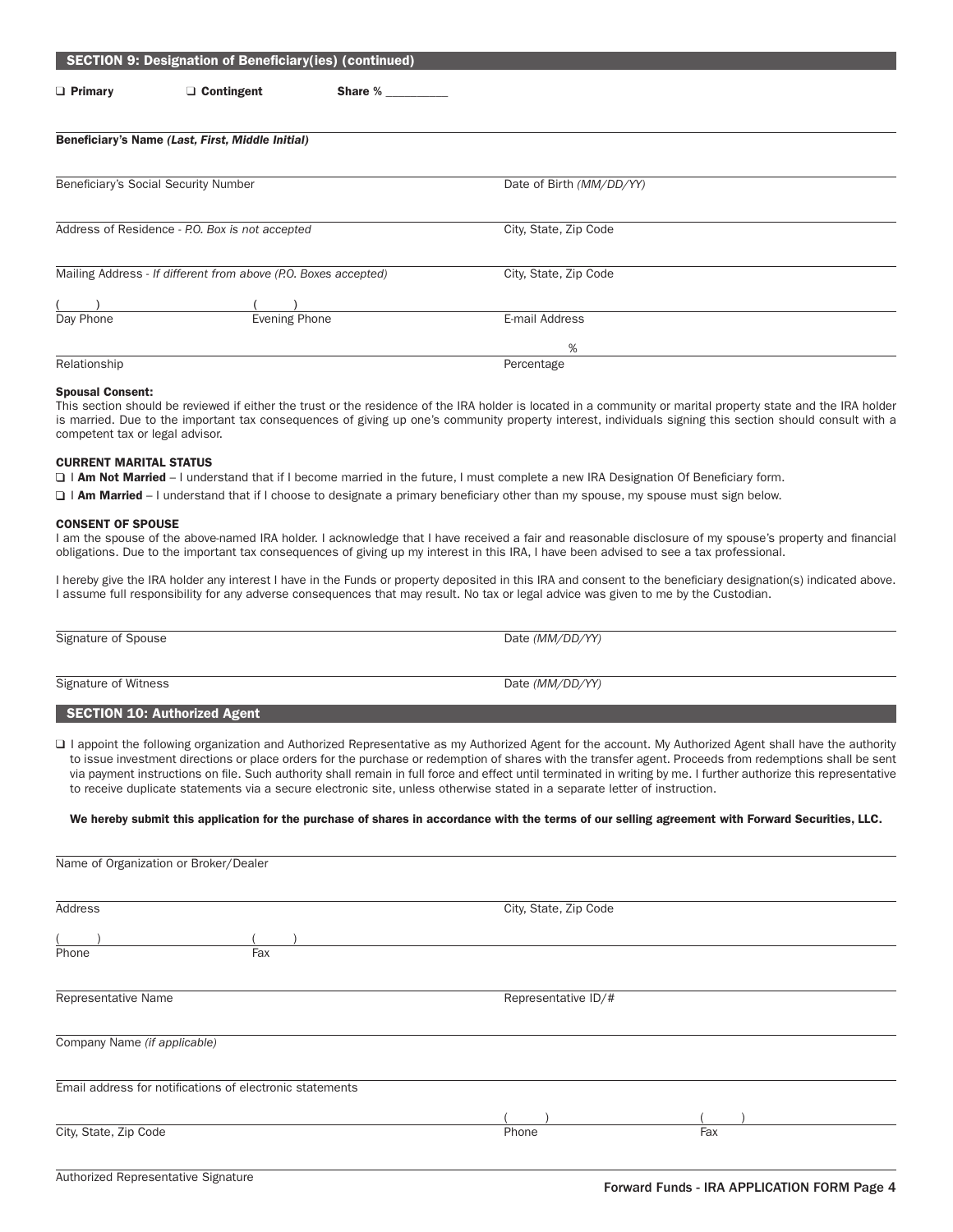|                | <b>SECTION 9: Designation of Beneficiary(ies) (continued)</b>   |         |                          |  |
|----------------|-----------------------------------------------------------------|---------|--------------------------|--|
| $\Box$ Primary | $\Box$ Contingent                                               | Share % |                          |  |
|                | Beneficiary's Name (Last, First, Middle Initial)                |         |                          |  |
|                | Beneficiary's Social Security Number                            |         | Date of Birth (MM/DD/YY) |  |
|                | Address of Residence - P.O. Box is not accepted                 |         | City, State, Zip Code    |  |
|                | Mailing Address - If different from above (P.O. Boxes accepted) |         | City, State, Zip Code    |  |
|                |                                                                 |         |                          |  |
| Day Phone      | <b>Evening Phone</b>                                            |         | E-mail Address           |  |
|                |                                                                 |         | %                        |  |
| Relationship   |                                                                 |         | Percentage               |  |

#### Spousal Consent:

This section should be reviewed if either the trust or the residence of the IRA holder is located in a community or marital property state and the IRA holder is married. Due to the important tax consequences of giving up one's community property interest, individuals signing this section should consult with a competent tax or legal advisor.

#### CURRENT MARITAL STATUS

□ I Am Not Married – I understand that if I become married in the future, I must complete a new IRA Designation Of Beneficiary form.

I Am Married - I understand that if I choose to designate a primary beneficiary other than my spouse, my spouse must sign below.

#### CONSENT OF SPOUSE

I am the spouse of the above-named IRA holder. I acknowledge that I have received a fair and reasonable disclosure of my spouse's property and financial obligations. Due to the important tax consequences of giving up my interest in this IRA, I have been advised to see a tax professional.

I hereby give the IRA holder any interest I have in the Funds or property deposited in this IRA and consent to the beneficiary designation(s) indicated above. I assume full responsibility for any adverse consequences that may result. No tax or legal advice was given to me by the Custodian.

Signature of Spouse Date *(MM/DD/YY)* 

Signature of Witness Date *(MM/DD/YY)*

#### SECTION 10: Authorized Agent

□ I appoint the following organization and Authorized Representative as my Authorized Agent for the account. My Authorized Agent shall have the authority to issue investment directions or place orders for the purchase or redemption of shares with the transfer agent. Proceeds from redemptions shall be sent via payment instructions on file. Such authority shall remain in full force and effect until terminated in writing by me. I further authorize this representative to receive duplicate statements via a secure electronic site, unless otherwise stated in a separate letter of instruction.

#### We hereby submit this application for the purchase of shares in accordance with the terms of our selling agreement with Forward Securities, LLC.

| Name of Organization or Broker/Dealer                    |                       |     |
|----------------------------------------------------------|-----------------------|-----|
| Address                                                  | City, State, Zip Code |     |
|                                                          |                       |     |
| Fax<br>Phone                                             |                       |     |
| Representative Name                                      | Representative ID/#   |     |
| Company Name (if applicable)                             |                       |     |
| Email address for notifications of electronic statements |                       |     |
|                                                          |                       |     |
| City, State, Zip Code                                    | Phone                 | Fax |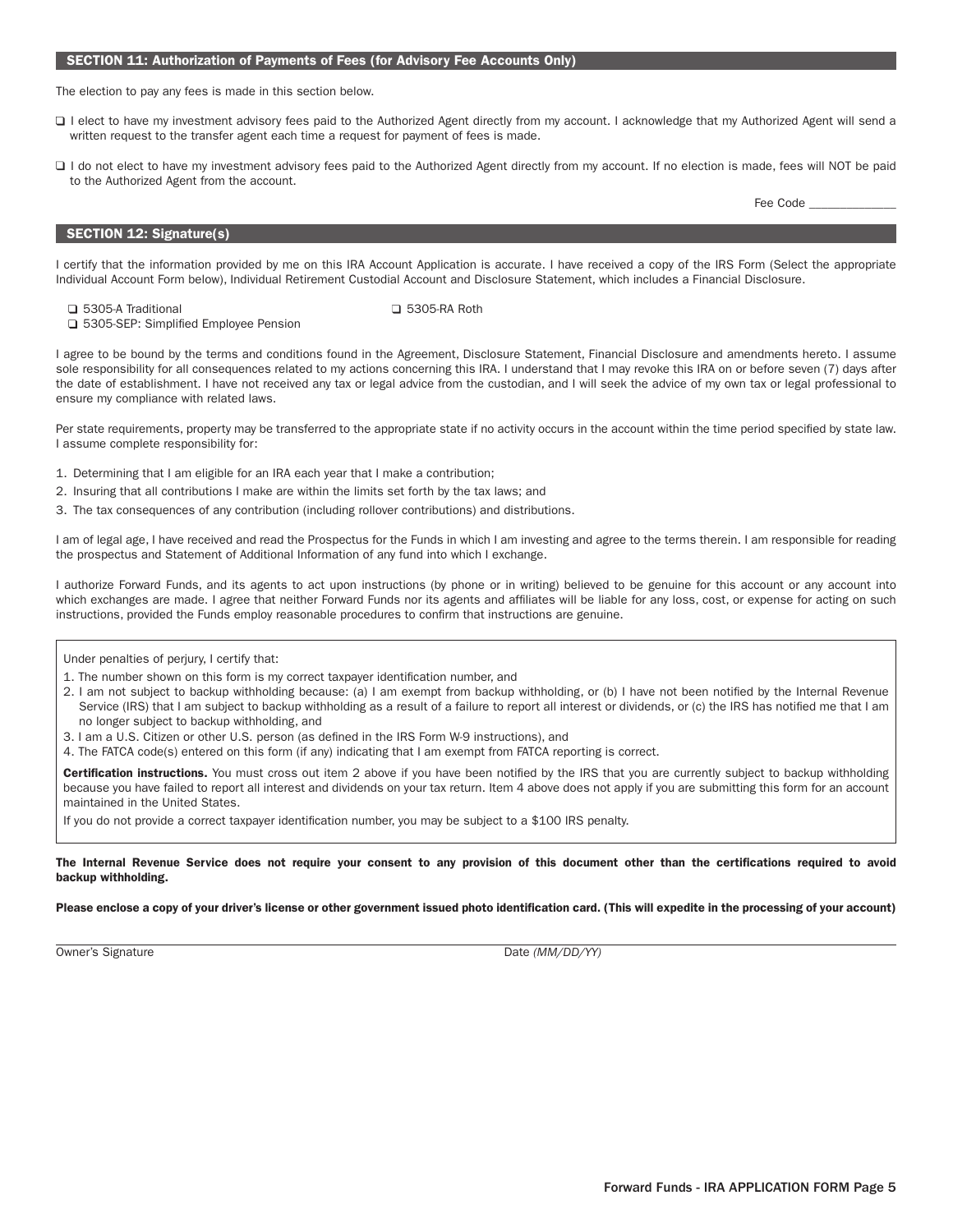#### SECTION 11: Authorization of Payments of Fees (for Advisory Fee Accounts Only)

The election to pay any fees is made in this section below.

- □ I elect to have my investment advisory fees paid to the Authorized Agent directly from my account. I acknowledge that my Authorized Agent will send a written request to the transfer agent each time a request for payment of fees is made.
- □ I do not elect to have my investment advisory fees paid to the Authorized Agent directly from my account. If no election is made, fees will NOT be paid to the Authorized Agent from the account.

SECTION 12: Signature(s)

I certify that the information provided by me on this IRA Account Application is accurate. I have received a copy of the IRS Form (Select the appropriate Individual Account Form below), Individual Retirement Custodial Account and Disclosure Statement, which includes a Financial Disclosure.

5305-A Traditional 5305-RA Roth

□ 5305-SEP: Simplified Employee Pension

I agree to be bound by the terms and conditions found in the Agreement, Disclosure Statement, Financial Disclosure and amendments hereto. I assume sole responsibility for all consequences related to my actions concerning this IRA. I understand that I may revoke this IRA on or before seven (7) days after the date of establishment. I have not received any tax or legal advice from the custodian, and I will seek the advice of my own tax or legal professional to ensure my compliance with related laws.

Per state requirements, property may be transferred to the appropriate state if no activity occurs in the account within the time period specified by state law. I assume complete responsibility for:

- 1. Determining that I am eligible for an IRA each year that I make a contribution;
- 2. Insuring that all contributions I make are within the limits set forth by the tax laws; and
- 3. The tax consequences of any contribution (including rollover contributions) and distributions.

I am of legal age, I have received and read the Prospectus for the Funds in which I am investing and agree to the terms therein. I am responsible for reading the prospectus and Statement of Additional Information of any fund into which I exchange.

I authorize Forward Funds, and its agents to act upon instructions (by phone or in writing) believed to be genuine for this account or any account into which exchanges are made. I agree that neither Forward Funds nor its agents and affiliates will be liable for any loss, cost, or expense for acting on such instructions, provided the Funds employ reasonable procedures to confirm that instructions are genuine.

Under penalties of perjury, I certify that:

- 1. The number shown on this form is my correct taxpayer identification number, and
- 2. I am not subject to backup withholding because: (a) I am exempt from backup withholding, or (b) I have not been notified by the Internal Revenue Service (IRS) that I am subject to backup withholding as a result of a failure to report all interest or dividends, or (c) the IRS has notified me that I am no longer subject to backup withholding, and
- 3. I am a U.S. Citizen or other U.S. person (as defined in the IRS Form W-9 instructions), and
- 4. The FATCA code(s) entered on this form (if any) indicating that I am exempt from FATCA reporting is correct.

Certification instructions. You must cross out item 2 above if you have been notified by the IRS that you are currently subject to backup withholding because you have failed to report all interest and dividends on your tax return. Item 4 above does not apply if you are submitting this form for an account maintained in the United States.

If you do not provide a correct taxpayer identification number, you may be subject to a \$100 IRS penalty.

The Internal Revenue Service does not require your consent to any provision of this document other than the certifications required to avoid backup withholding.

Please enclose a copy of your driver's license or other government issued photo identification card. (This will expedite in the processing of your account)

Owner's Signature Date *(MM/DD/YY)* 

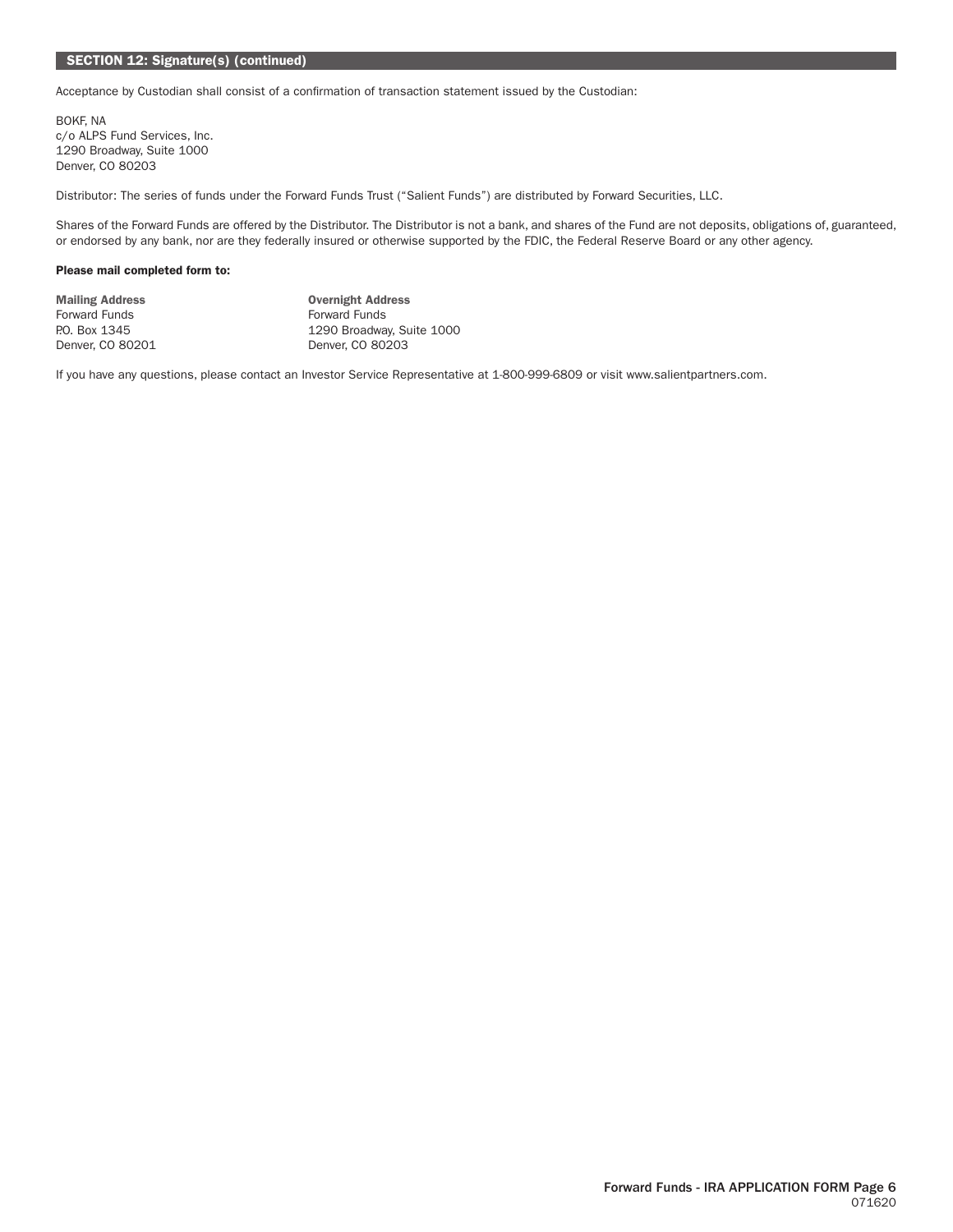# SECTION 12: Signature(s) (continued)

Acceptance by Custodian shall consist of a confirmation of transaction statement issued by the Custodian:

BOKF, NA c/o ALPS Fund Services, Inc. 1290 Broadway, Suite 1000 Denver, CO 80203

Distributor: The series of funds under the Forward Funds Trust ("Salient Funds") are distributed by Forward Securities, LLC.

Shares of the Forward Funds are offered by the Distributor. The Distributor is not a bank, and shares of the Fund are not deposits, obligations of, guaranteed, or endorsed by any bank, nor are they federally insured or otherwise supported by the FDIC, the Federal Reserve Board or any other agency.

#### Please mail completed form to:

| <b>Mailing Address</b> | <b>Overnight Address</b>  |
|------------------------|---------------------------|
| Forward Funds          | <b>Forward Funds</b>      |
| P.O. Box 1345          | 1290 Broadway, Suite 1000 |
| Denver, CO 80201       | Denver, CO 80203          |

If you have any questions, please contact an Investor Service Representative at 1-800-999-6809 or visit www.salientpartners.com.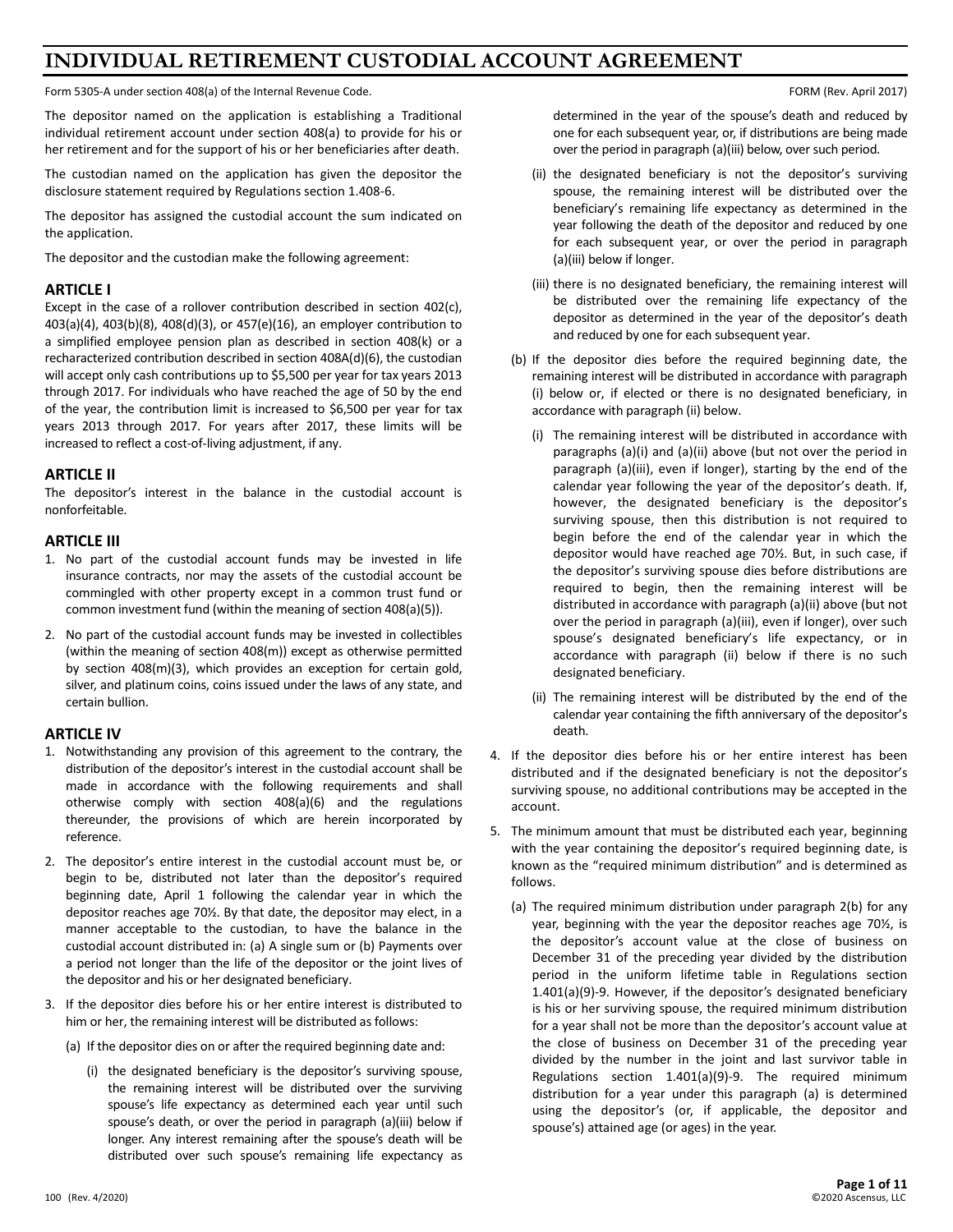# **INDIVIDUAL RETIREMENT CUSTODIAL ACCOUNT AGREEMENT**

Form 5305-A under section 408(a) of the Internal Revenue Code. For the Internal Revenue Code. For the Internal Revenue Code.

The depositor named on the application is establishing a Traditional individual retirement account under section 408(a) to provide for his or her retirement and for the support of his or her beneficiaries after death.

The custodian named on the application has given the depositor the disclosure statement required by Regulations section 1.408-6.

The depositor has assigned the custodial account the sum indicated on the application.

The depositor and the custodian make the following agreement:

# **ARTICLE I**

Except in the case of a rollover contribution described in section 402(c), 403(a)(4), 403(b)(8), 408(d)(3), or 457(e)(16), an employer contribution to a simplified employee pension plan as described in section 408(k) or a recharacterized contribution described in section 408A(d)(6), the custodian will accept only cash contributions up to \$5,500 per year for tax years 2013 through 2017. For individuals who have reached the age of 50 by the end of the year, the contribution limit is increased to \$6,500 per year for tax years 2013 through 2017. For years after 2017, these limits will be increased to reflect a cost-of-living adjustment, if any.

# **ARTICLE II**

The depositor's interest in the balance in the custodial account is nonforfeitable.

#### **ARTICLE III**

- 1. No part of the custodial account funds may be invested in life insurance contracts, nor may the assets of the custodial account be commingled with other property except in a common trust fund or common investment fund (within the meaning of section 408(a)(5)).
- 2. No part of the custodial account funds may be invested in collectibles (within the meaning of section 408(m)) except as otherwise permitted by section 408(m)(3), which provides an exception for certain gold, silver, and platinum coins, coins issued under the laws of any state, and certain bullion.

#### **ARTICLE IV**

- 1. Notwithstanding any provision of this agreement to the contrary, the distribution of the depositor's interest in the custodial account shall be made in accordance with the following requirements and shall otherwise comply with section 408(a)(6) and the regulations thereunder, the provisions of which are herein incorporated by reference.
- 2. The depositor's entire interest in the custodial account must be, or begin to be, distributed not later than the depositor's required beginning date, April 1 following the calendar year in which the depositor reaches age 70½. By that date, the depositor may elect, in a manner acceptable to the custodian, to have the balance in the custodial account distributed in: (a) A single sum or (b) Payments over a period not longer than the life of the depositor or the joint lives of the depositor and his or her designated beneficiary.
- 3. If the depositor dies before his or her entire interest is distributed to him or her, the remaining interest will be distributed as follows:
	- (a) If the depositor dies on or after the required beginning date and:
		- (i) the designated beneficiary is the depositor's surviving spouse, the remaining interest will be distributed over the surviving spouse's life expectancy as determined each year until such spouse's death, or over the period in paragraph (a)(iii) below if longer. Any interest remaining after the spouse's death will be distributed over such spouse's remaining life expectancy as

determined in the year of the spouse's death and reduced by one for each subsequent year, or, if distributions are being made over the period in paragraph (a)(iii) below, over such period.

- (ii) the designated beneficiary is not the depositor's surviving spouse, the remaining interest will be distributed over the beneficiary's remaining life expectancy as determined in the year following the death of the depositor and reduced by one for each subsequent year, or over the period in paragraph (a)(iii) below if longer.
- (iii) there is no designated beneficiary, the remaining interest will be distributed over the remaining life expectancy of the depositor as determined in the year of the depositor's death and reduced by one for each subsequent year.
- (b) If the depositor dies before the required beginning date, the remaining interest will be distributed in accordance with paragraph (i) below or, if elected or there is no designated beneficiary, in accordance with paragraph (ii) below.
	- (i) The remaining interest will be distributed in accordance with paragraphs (a)(i) and (a)(ii) above (but not over the period in paragraph (a)(iii), even if longer), starting by the end of the calendar year following the year of the depositor's death. If, however, the designated beneficiary is the depositor's surviving spouse, then this distribution is not required to begin before the end of the calendar year in which the depositor would have reached age 70½. But, in such case, if the depositor's surviving spouse dies before distributions are required to begin, then the remaining interest will be distributed in accordance with paragraph (a)(ii) above (but not over the period in paragraph (a)(iii), even if longer), over such spouse's designated beneficiary's life expectancy, or in accordance with paragraph (ii) below if there is no such designated beneficiary.
	- (ii) The remaining interest will be distributed by the end of the calendar year containing the fifth anniversary of the depositor's death.
- 4. If the depositor dies before his or her entire interest has been distributed and if the designated beneficiary is not the depositor's surviving spouse, no additional contributions may be accepted in the account.
- 5. The minimum amount that must be distributed each year, beginning with the year containing the depositor's required beginning date, is known as the "required minimum distribution" and is determined as follows.
	- (a) The required minimum distribution under paragraph 2(b) for any year, beginning with the year the depositor reaches age 70½, is the depositor's account value at the close of business on December 31 of the preceding year divided by the distribution period in the uniform lifetime table in Regulations section 1.401(a)(9)-9. However, if the depositor's designated beneficiary is his or her surviving spouse, the required minimum distribution for a year shall not be more than the depositor's account value at the close of business on December 31 of the preceding year divided by the number in the joint and last survivor table in Regulations section 1.401(a)(9)-9. The required minimum distribution for a year under this paragraph (a) is determined using the depositor's (or, if applicable, the depositor and spouse's) attained age (or ages) in the year.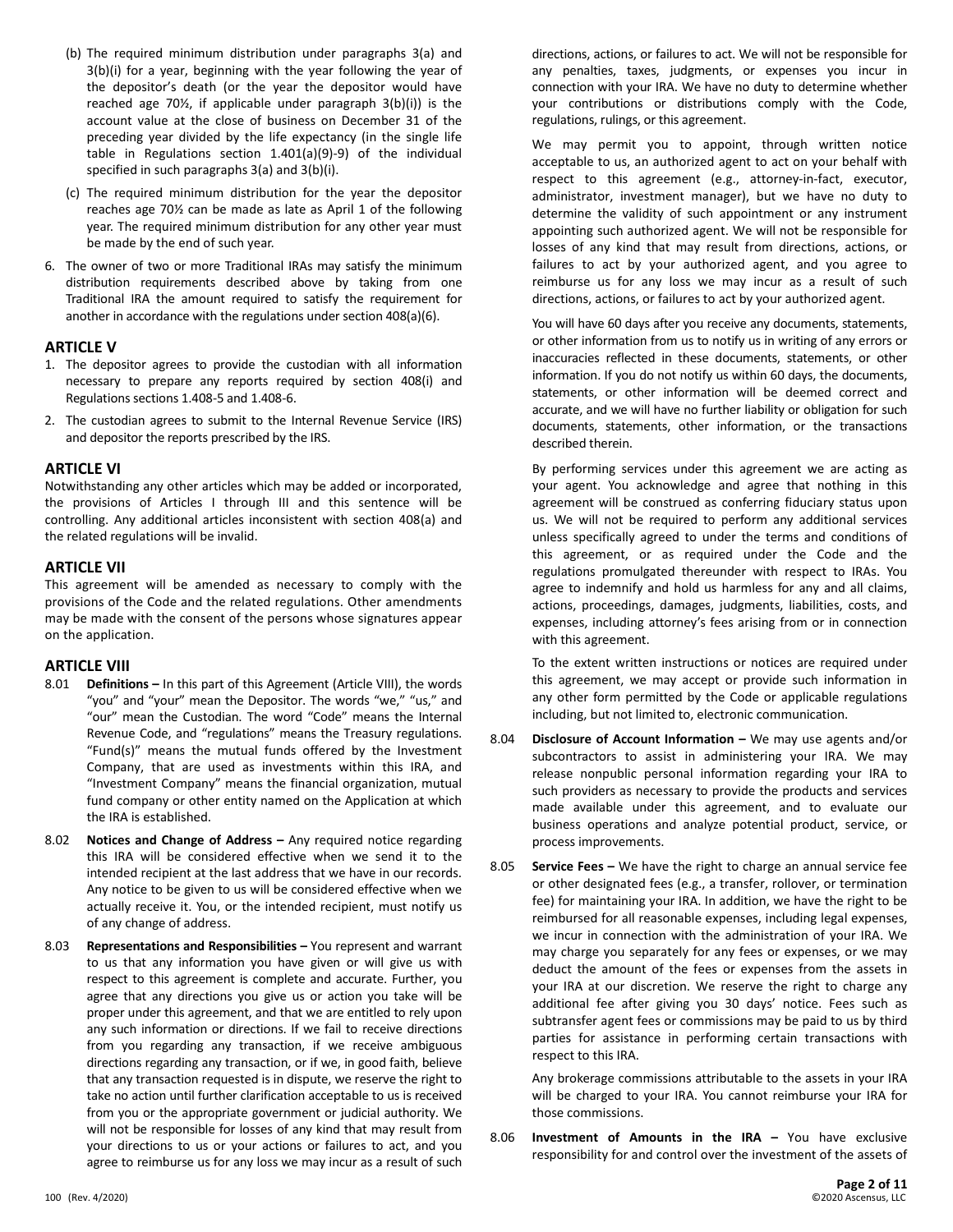- (b) The required minimum distribution under paragraphs 3(a) and 3(b)(i) for a year, beginning with the year following the year of the depositor's death (or the year the depositor would have reached age 70½, if applicable under paragraph 3(b)(i)) is the account value at the close of business on December 31 of the preceding year divided by the life expectancy (in the single life table in Regulations section 1.401(a)(9)-9) of the individual specified in such paragraphs 3(a) and 3(b)(i).
- (c) The required minimum distribution for the year the depositor reaches age 70½ can be made as late as April 1 of the following year. The required minimum distribution for any other year must be made by the end of such year.
- 6. The owner of two or more Traditional IRAs may satisfy the minimum distribution requirements described above by taking from one Traditional IRA the amount required to satisfy the requirement for another in accordance with the regulations under section 408(a)(6).

#### **ARTICLE V**

- 1. The depositor agrees to provide the custodian with all information necessary to prepare any reports required by section 408(i) and Regulations sections 1.408-5 and 1.408-6.
- 2. The custodian agrees to submit to the Internal Revenue Service (IRS) and depositor the reports prescribed by the IRS.

#### **ARTICLE VI**

Notwithstanding any other articles which may be added or incorporated, the provisions of Articles I through III and this sentence will be controlling. Any additional articles inconsistent with section 408(a) and the related regulations will be invalid.

#### **ARTICLE VII**

This agreement will be amended as necessary to comply with the provisions of the Code and the related regulations. Other amendments may be made with the consent of the persons whose signatures appear on the application.

# **ARTICLE VIII**

- **Definitions –** In this part of this Agreement (Article VIII), the words "you" and "your" mean the Depositor. The words "we," "us," and "our" mean the Custodian. The word "Code" means the Internal Revenue Code, and "regulations" means the Treasury regulations. "Fund(s)" means the mutual funds offered by the Investment Company, that are used as investments within this IRA, and "Investment Company" means the financial organization, mutual fund company or other entity named on the Application at which the IRA is established.
- 8.02 **Notices and Change of Address –** Any required notice regarding this IRA will be considered effective when we send it to the intended recipient at the last address that we have in our records. Any notice to be given to us will be considered effective when we actually receive it. You, or the intended recipient, must notify us of any change of address.
- 8.03 **Representations and Responsibilities –** You represent and warrant to us that any information you have given or will give us with respect to this agreement is complete and accurate. Further, you agree that any directions you give us or action you take will be proper under this agreement, and that we are entitled to rely upon any such information or directions. If we fail to receive directions from you regarding any transaction, if we receive ambiguous directions regarding any transaction, or if we, in good faith, believe that any transaction requested is in dispute, we reserve the right to take no action until further clarification acceptable to us is received from you or the appropriate government or judicial authority. We will not be responsible for losses of any kind that may result from your directions to us or your actions or failures to act, and you agree to reimburse us for any loss we may incur as a result of such

directions, actions, or failures to act. We will not be responsible for any penalties, taxes, judgments, or expenses you incur in connection with your IRA. We have no duty to determine whether your contributions or distributions comply with the Code, regulations, rulings, or this agreement.

We may permit you to appoint, through written notice acceptable to us, an authorized agent to act on your behalf with respect to this agreement (e.g., attorney-in-fact, executor, administrator, investment manager), but we have no duty to determine the validity of such appointment or any instrument appointing such authorized agent. We will not be responsible for losses of any kind that may result from directions, actions, or failures to act by your authorized agent, and you agree to reimburse us for any loss we may incur as a result of such directions, actions, or failures to act by your authorized agent.

You will have 60 days after you receive any documents, statements, or other information from us to notify us in writing of any errors or inaccuracies reflected in these documents, statements, or other information. If you do not notify us within 60 days, the documents, statements, or other information will be deemed correct and accurate, and we will have no further liability or obligation for such documents, statements, other information, or the transactions described therein.

By performing services under this agreement we are acting as your agent. You acknowledge and agree that nothing in this agreement will be construed as conferring fiduciary status upon us. We will not be required to perform any additional services unless specifically agreed to under the terms and conditions of this agreement, or as required under the Code and the regulations promulgated thereunder with respect to IRAs. You agree to indemnify and hold us harmless for any and all claims, actions, proceedings, damages, judgments, liabilities, costs, and expenses, including attorney's fees arising from or in connection with this agreement.

To the extent written instructions or notices are required under this agreement, we may accept or provide such information in any other form permitted by the Code or applicable regulations including, but not limited to, electronic communication.

- 8.04 **Disclosure of Account Information –** We may use agents and/or subcontractors to assist in administering your IRA. We may release nonpublic personal information regarding your IRA to such providers as necessary to provide the products and services made available under this agreement, and to evaluate our business operations and analyze potential product, service, or process improvements.
- 8.05 **Service Fees –** We have the right to charge an annual service fee or other designated fees (e.g., a transfer, rollover, or termination fee) for maintaining your IRA. In addition, we have the right to be reimbursed for all reasonable expenses, including legal expenses, we incur in connection with the administration of your IRA. We may charge you separately for any fees or expenses, or we may deduct the amount of the fees or expenses from the assets in your IRA at our discretion. We reserve the right to charge any additional fee after giving you 30 days' notice. Fees such as subtransfer agent fees or commissions may be paid to us by third parties for assistance in performing certain transactions with respect to this IRA.

Any brokerage commissions attributable to the assets in your IRA will be charged to your IRA. You cannot reimburse your IRA for those commissions.

8.06 **Investment of Amounts in the IRA –** You have exclusive responsibility for and control over the investment of the assets of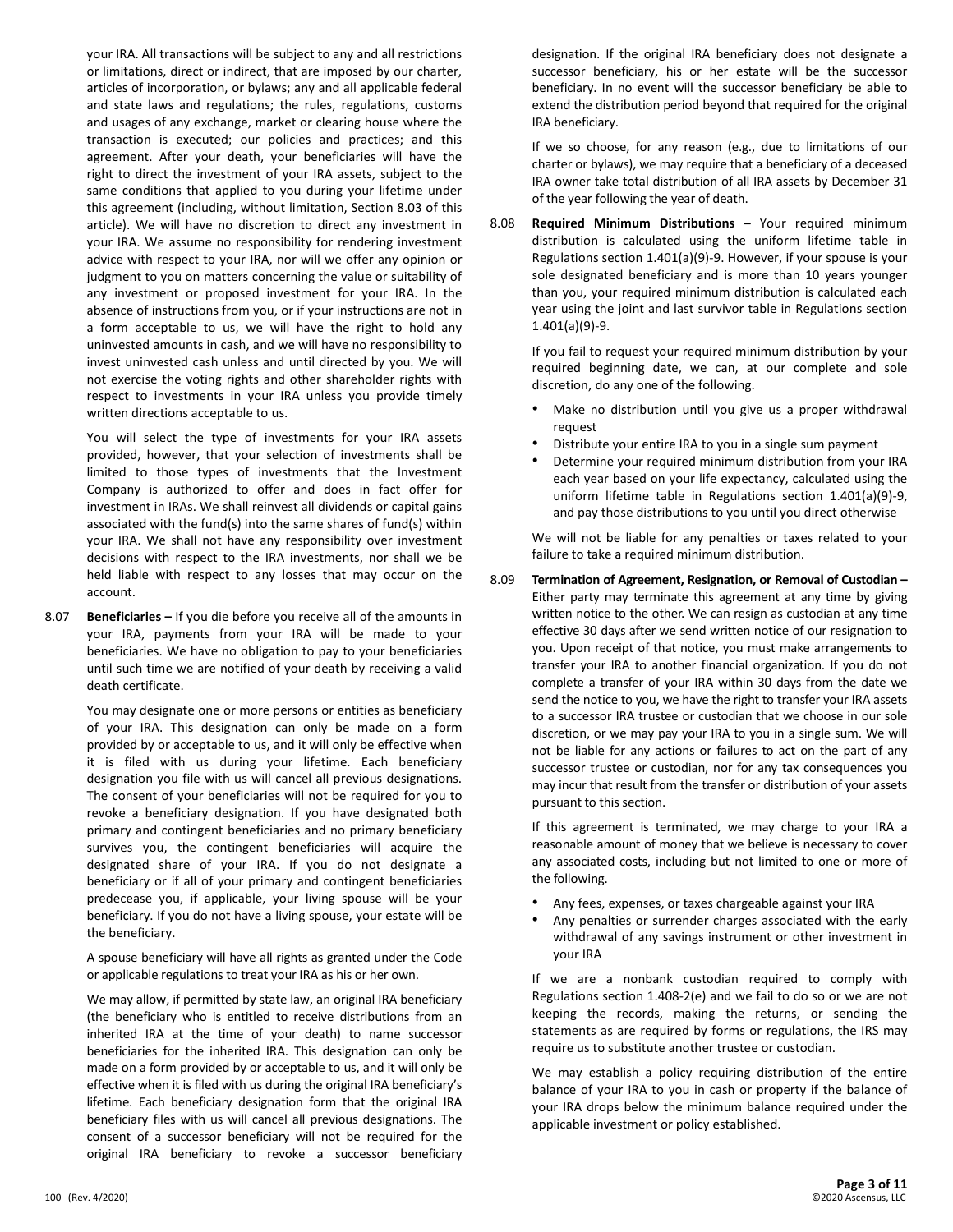your IRA. All transactions will be subject to any and all restrictions or limitations, direct or indirect, that are imposed by our charter, articles of incorporation, or bylaws; any and all applicable federal and state laws and regulations; the rules, regulations, customs and usages of any exchange, market or clearing house where the transaction is executed; our policies and practices; and this agreement. After your death, your beneficiaries will have the right to direct the investment of your IRA assets, subject to the same conditions that applied to you during your lifetime under this agreement (including, without limitation, Section 8.03 of this article). We will have no discretion to direct any investment in your IRA. We assume no responsibility for rendering investment advice with respect to your IRA, nor will we offer any opinion or judgment to you on matters concerning the value or suitability of any investment or proposed investment for your IRA. In the absence of instructions from you, or if your instructions are not in a form acceptable to us, we will have the right to hold any uninvested amounts in cash, and we will have no responsibility to invest uninvested cash unless and until directed by you. We will not exercise the voting rights and other shareholder rights with respect to investments in your IRA unless you provide timely written directions acceptable to us.

You will select the type of investments for your IRA assets provided, however, that your selection of investments shall be limited to those types of investments that the Investment Company is authorized to offer and does in fact offer for investment in IRAs. We shall reinvest all dividends or capital gains associated with the fund(s) into the same shares of fund(s) within your IRA. We shall not have any responsibility over investment decisions with respect to the IRA investments, nor shall we be held liable with respect to any losses that may occur on the account.

8.07 **Beneficiaries –** If you die before you receive all of the amounts in your IRA, payments from your IRA will be made to your beneficiaries. We have no obligation to pay to your beneficiaries until such time we are notified of your death by receiving a valid death certificate.

> You may designate one or more persons or entities as beneficiary of your IRA. This designation can only be made on a form provided by or acceptable to us, and it will only be effective when it is filed with us during your lifetime. Each beneficiary designation you file with us will cancel all previous designations. The consent of your beneficiaries will not be required for you to revoke a beneficiary designation. If you have designated both primary and contingent beneficiaries and no primary beneficiary survives you, the contingent beneficiaries will acquire the designated share of your IRA. If you do not designate a beneficiary or if all of your primary and contingent beneficiaries predecease you, if applicable, your living spouse will be your beneficiary. If you do not have a living spouse, your estate will be the beneficiary.

> A spouse beneficiary will have all rights as granted under the Code or applicable regulations to treat your IRA as his or her own.

> We may allow, if permitted by state law, an original IRA beneficiary (the beneficiary who is entitled to receive distributions from an inherited IRA at the time of your death) to name successor beneficiaries for the inherited IRA. This designation can only be made on a form provided by or acceptable to us, and it will only be effective when it is filed with us during the original IRA beneficiary's lifetime. Each beneficiary designation form that the original IRA beneficiary files with us will cancel all previous designations. The consent of a successor beneficiary will not be required for the original IRA beneficiary to revoke a successor beneficiary

designation. If the original IRA beneficiary does not designate a successor beneficiary, his or her estate will be the successor beneficiary. In no event will the successor beneficiary be able to extend the distribution period beyond that required for the original IRA beneficiary.

If we so choose, for any reason (e.g., due to limitations of our charter or bylaws), we may require that a beneficiary of a deceased IRA owner take total distribution of all IRA assets by December 31 of the year following the year of death.

8.08 **Required Minimum Distributions –** Your required minimum distribution is calculated using the uniform lifetime table in Regulations section 1.401(a)(9)-9. However, if your spouse is your sole designated beneficiary and is more than 10 years younger than you, your required minimum distribution is calculated each year using the joint and last survivor table in Regulations section 1.401(a)(9)-9.

If you fail to request your required minimum distribution by your required beginning date, we can, at our complete and sole discretion, do any one of the following.

- Make no distribution until you give us a proper withdrawal request
- Distribute your entire IRA to you in a single sum payment
- Determine your required minimum distribution from your IRA each year based on your life expectancy, calculated using the uniform lifetime table in Regulations section 1.401(a)(9)-9, and pay those distributions to you until you direct otherwise

We will not be liable for any penalties or taxes related to your failure to take a required minimum distribution.

8.09 **Termination of Agreement, Resignation, or Removal of Custodian –** Either party may terminate this agreement at any time by giving written notice to the other. We can resign as custodian at any time effective 30 days after we send written notice of our resignation to you. Upon receipt of that notice, you must make arrangements to transfer your IRA to another financial organization. If you do not complete a transfer of your IRA within 30 days from the date we send the notice to you, we have the right to transfer your IRA assets to a successor IRA trustee or custodian that we choose in our sole discretion, or we may pay your IRA to you in a single sum. We will not be liable for any actions or failures to act on the part of any successor trustee or custodian, nor for any tax consequences you may incur that result from the transfer or distribution of your assets pursuant to this section.

If this agreement is terminated, we may charge to your IRA a reasonable amount of money that we believe is necessary to cover any associated costs, including but not limited to one or more of the following.

- Any fees, expenses, or taxes chargeable against your IRA
- Any penalties or surrender charges associated with the early withdrawal of any savings instrument or other investment in your IRA

If we are a nonbank custodian required to comply with Regulations section 1.408-2(e) and we fail to do so or we are not keeping the records, making the returns, or sending the statements as are required by forms or regulations, the IRS may require us to substitute another trustee or custodian.

We may establish a policy requiring distribution of the entire balance of your IRA to you in cash or property if the balance of your IRA drops below the minimum balance required under the applicable investment or policy established.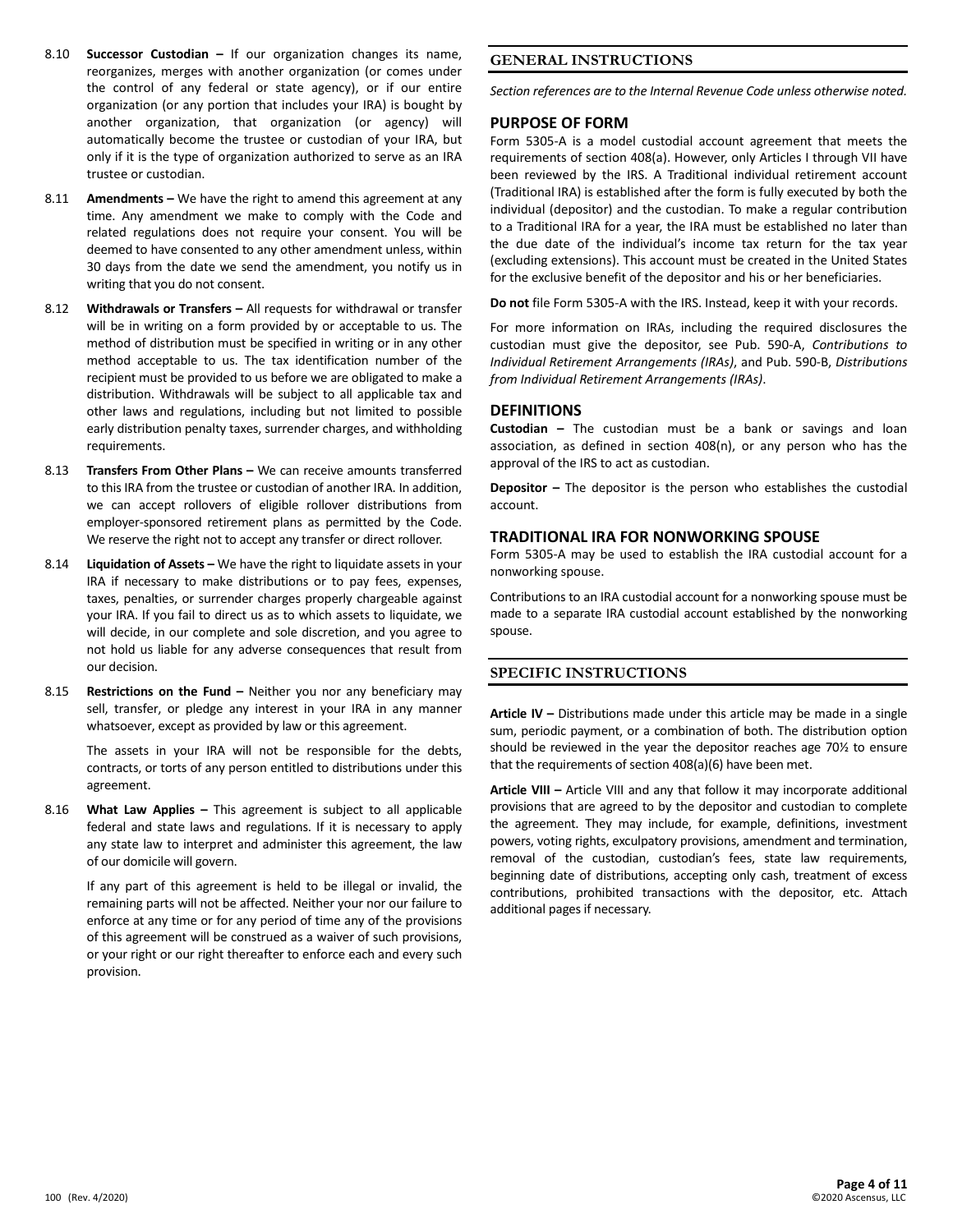- 8.10 **Successor Custodian –** If our organization changes its name, reorganizes, merges with another organization (or comes under the control of any federal or state agency), or if our entire organization (or any portion that includes your IRA) is bought by another organization, that organization (or agency) will automatically become the trustee or custodian of your IRA, but only if it is the type of organization authorized to serve as an IRA trustee or custodian.
- 8.11 **Amendments –** We have the right to amend this agreement at any time. Any amendment we make to comply with the Code and related regulations does not require your consent. You will be deemed to have consented to any other amendment unless, within 30 days from the date we send the amendment, you notify us in writing that you do not consent.
- 8.12 **Withdrawals or Transfers –** All requests for withdrawal or transfer will be in writing on a form provided by or acceptable to us. The method of distribution must be specified in writing or in any other method acceptable to us. The tax identification number of the recipient must be provided to us before we are obligated to make a distribution. Withdrawals will be subject to all applicable tax and other laws and regulations, including but not limited to possible early distribution penalty taxes, surrender charges, and withholding requirements.
- 8.13 **Transfers From Other Plans –** We can receive amounts transferred to this IRA from the trustee or custodian of another IRA. In addition, we can accept rollovers of eligible rollover distributions from employer-sponsored retirement plans as permitted by the Code. We reserve the right not to accept any transfer or direct rollover.
- 8.14 **Liquidation of Assets –** We have the right to liquidate assets in your IRA if necessary to make distributions or to pay fees, expenses, taxes, penalties, or surrender charges properly chargeable against your IRA. If you fail to direct us as to which assets to liquidate, we will decide, in our complete and sole discretion, and you agree to not hold us liable for any adverse consequences that result from our decision.
- 8.15 **Restrictions on the Fund –** Neither you nor any beneficiary may sell, transfer, or pledge any interest in your IRA in any manner whatsoever, except as provided by law or this agreement.

The assets in your IRA will not be responsible for the debts, contracts, or torts of any person entitled to distributions under this agreement.

8.16 **What Law Applies –** This agreement is subject to all applicable federal and state laws and regulations. If it is necessary to apply any state law to interpret and administer this agreement, the law of our domicile will govern.

If any part of this agreement is held to be illegal or invalid, the remaining parts will not be affected. Neither your nor our failure to enforce at any time or for any period of time any of the provisions of this agreement will be construed as a waiver of such provisions, or your right or our right thereafter to enforce each and every such provision.

# **GENERAL INSTRUCTIONS**

*Section references are to the Internal Revenue Code unless otherwise noted.*

### **PURPOSE OF FORM**

Form 5305-A is a model custodial account agreement that meets the requirements of section 408(a). However, only Articles I through VII have been reviewed by the IRS. A Traditional individual retirement account (Traditional IRA) is established after the form is fully executed by both the individual (depositor) and the custodian. To make a regular contribution to a Traditional IRA for a year, the IRA must be established no later than the due date of the individual's income tax return for the tax year (excluding extensions). This account must be created in the United States for the exclusive benefit of the depositor and his or her beneficiaries.

**Do not** file Form 5305-A with the IRS. Instead, keep it with your records.

For more information on IRAs, including the required disclosures the custodian must give the depositor, see Pub. 590-A, *Contributions to Individual Retirement Arrangements (IRAs)*, and Pub. 590-B, *Distributions from Individual Retirement Arrangements (IRAs)*.

#### **DEFINITIONS**

**Custodian –** The custodian must be a bank or savings and loan association, as defined in section 408(n), or any person who has the approval of the IRS to act as custodian.

**Depositor –** The depositor is the person who establishes the custodial account.

#### **TRADITIONAL IRA FOR NONWORKING SPOUSE**

Form 5305-A may be used to establish the IRA custodial account for a nonworking spouse.

Contributions to an IRA custodial account for a nonworking spouse must be made to a separate IRA custodial account established by the nonworking spouse.

# **SPECIFIC INSTRUCTIONS**

**Article IV –** Distributions made under this article may be made in a single sum, periodic payment, or a combination of both. The distribution option should be reviewed in the year the depositor reaches age 70½ to ensure that the requirements of section 408(a)(6) have been met.

**Article VIII –** Article VIII and any that follow it may incorporate additional provisions that are agreed to by the depositor and custodian to complete the agreement. They may include, for example, definitions, investment powers, voting rights, exculpatory provisions, amendment and termination, removal of the custodian, custodian's fees, state law requirements, beginning date of distributions, accepting only cash, treatment of excess contributions, prohibited transactions with the depositor, etc. Attach additional pages if necessary.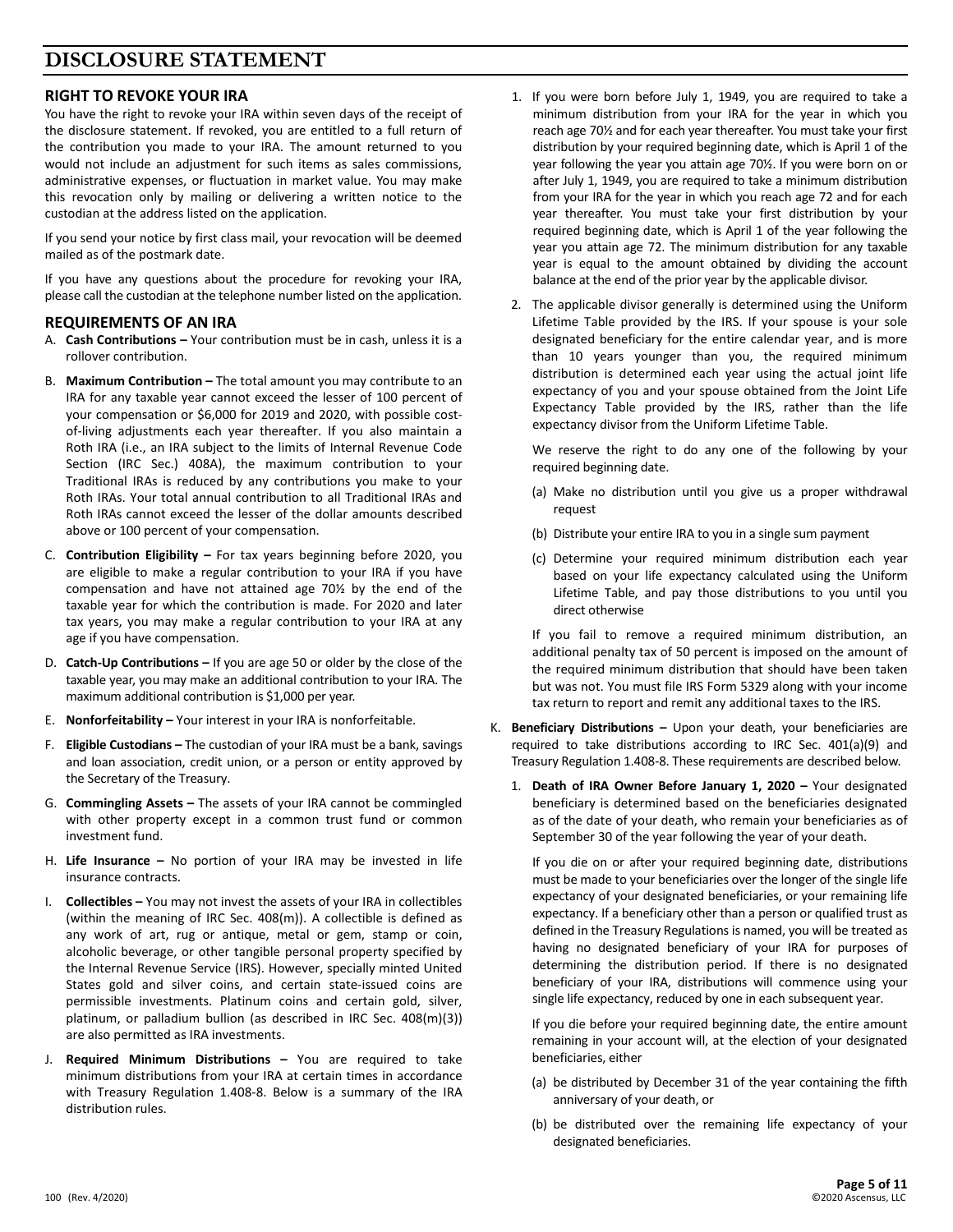# **DISCLOSURE STATEMENT**

# **RIGHT TO REVOKE YOUR IRA**

You have the right to revoke your IRA within seven days of the receipt of the disclosure statement. If revoked, you are entitled to a full return of the contribution you made to your IRA. The amount returned to you would not include an adjustment for such items as sales commissions, administrative expenses, or fluctuation in market value. You may make this revocation only by mailing or delivering a written notice to the custodian at the address listed on the application.

If you send your notice by first class mail, your revocation will be deemed mailed as of the postmark date.

If you have any questions about the procedure for revoking your IRA, please call the custodian at the telephone number listed on the application.

# **REQUIREMENTS OF AN IRA**

- A. **Cash Contributions –** Your contribution must be in cash, unless it is a rollover contribution.
- B. **Maximum Contribution –** The total amount you may contribute to an IRA for any taxable year cannot exceed the lesser of 100 percent of your compensation or \$6,000 for 2019 and 2020, with possible costof-living adjustments each year thereafter. If you also maintain a Roth IRA (i.e., an IRA subject to the limits of Internal Revenue Code Section (IRC Sec.) 408A), the maximum contribution to your Traditional IRAs is reduced by any contributions you make to your Roth IRAs. Your total annual contribution to all Traditional IRAs and Roth IRAs cannot exceed the lesser of the dollar amounts described above or 100 percent of your compensation.
- C. **Contribution Eligibility –** For tax years beginning before 2020, you are eligible to make a regular contribution to your IRA if you have compensation and have not attained age 70½ by the end of the taxable year for which the contribution is made. For 2020 and later tax years, you may make a regular contribution to your IRA at any age if you have compensation.
- D. **Catch-Up Contributions –** If you are age 50 or older by the close of the taxable year, you may make an additional contribution to your IRA. The maximum additional contribution is \$1,000 per year.
- E. **Nonforfeitability –** Your interest in your IRA is nonforfeitable.
- F. **Eligible Custodians –** The custodian of your IRA must be a bank, savings and loan association, credit union, or a person or entity approved by the Secretary of the Treasury.
- G. **Commingling Assets –** The assets of your IRA cannot be commingled with other property except in a common trust fund or common investment fund.
- H. **Life Insurance –** No portion of your IRA may be invested in life insurance contracts.
- I. **Collectibles –** You may not invest the assets of your IRA in collectibles (within the meaning of IRC Sec. 408(m)). A collectible is defined as any work of art, rug or antique, metal or gem, stamp or coin, alcoholic beverage, or other tangible personal property specified by the Internal Revenue Service (IRS). However, specially minted United States gold and silver coins, and certain state-issued coins are permissible investments. Platinum coins and certain gold, silver, platinum, or palladium bullion (as described in IRC Sec. 408(m)(3)) are also permitted as IRA investments.
- J. **Required Minimum Distributions –** You are required to take minimum distributions from your IRA at certain times in accordance with Treasury Regulation 1.408-8. Below is a summary of the IRA distribution rules.
- 1. If you were born before July 1, 1949, you are required to take a minimum distribution from your IRA for the year in which you reach age 70½ and for each year thereafter. You must take your first distribution by your required beginning date, which is April 1 of the year following the year you attain age 70½. If you were born on or after July 1, 1949, you are required to take a minimum distribution from your IRA for the year in which you reach age 72 and for each year thereafter. You must take your first distribution by your required beginning date, which is April 1 of the year following the year you attain age 72. The minimum distribution for any taxable year is equal to the amount obtained by dividing the account balance at the end of the prior year by the applicable divisor.
- 2. The applicable divisor generally is determined using the Uniform Lifetime Table provided by the IRS. If your spouse is your sole designated beneficiary for the entire calendar year, and is more than 10 years younger than you, the required minimum distribution is determined each year using the actual joint life expectancy of you and your spouse obtained from the Joint Life Expectancy Table provided by the IRS, rather than the life expectancy divisor from the Uniform Lifetime Table.

We reserve the right to do any one of the following by your required beginning date.

- (a) Make no distribution until you give us a proper withdrawal request
- (b) Distribute your entire IRA to you in a single sum payment
- (c) Determine your required minimum distribution each year based on your life expectancy calculated using the Uniform Lifetime Table, and pay those distributions to you until you direct otherwise

If you fail to remove a required minimum distribution, an additional penalty tax of 50 percent is imposed on the amount of the required minimum distribution that should have been taken but was not. You must file IRS Form 5329 along with your income tax return to report and remit any additional taxes to the IRS.

- K. **Beneficiary Distributions –** Upon your death, your beneficiaries are required to take distributions according to IRC Sec. 401(a)(9) and Treasury Regulation 1.408-8. These requirements are described below.
	- 1. **Death of IRA Owner Before January 1, 2020 –** Your designated beneficiary is determined based on the beneficiaries designated as of the date of your death, who remain your beneficiaries as of September 30 of the year following the year of your death.

If you die on or after your required beginning date, distributions must be made to your beneficiaries over the longer of the single life expectancy of your designated beneficiaries, or your remaining life expectancy. If a beneficiary other than a person or qualified trust as defined in the Treasury Regulations is named, you will be treated as having no designated beneficiary of your IRA for purposes of determining the distribution period. If there is no designated beneficiary of your IRA, distributions will commence using your single life expectancy, reduced by one in each subsequent year.

If you die before your required beginning date, the entire amount remaining in your account will, at the election of your designated beneficiaries, either

- (a) be distributed by December 31 of the year containing the fifth anniversary of your death, or
- (b) be distributed over the remaining life expectancy of your designated beneficiaries.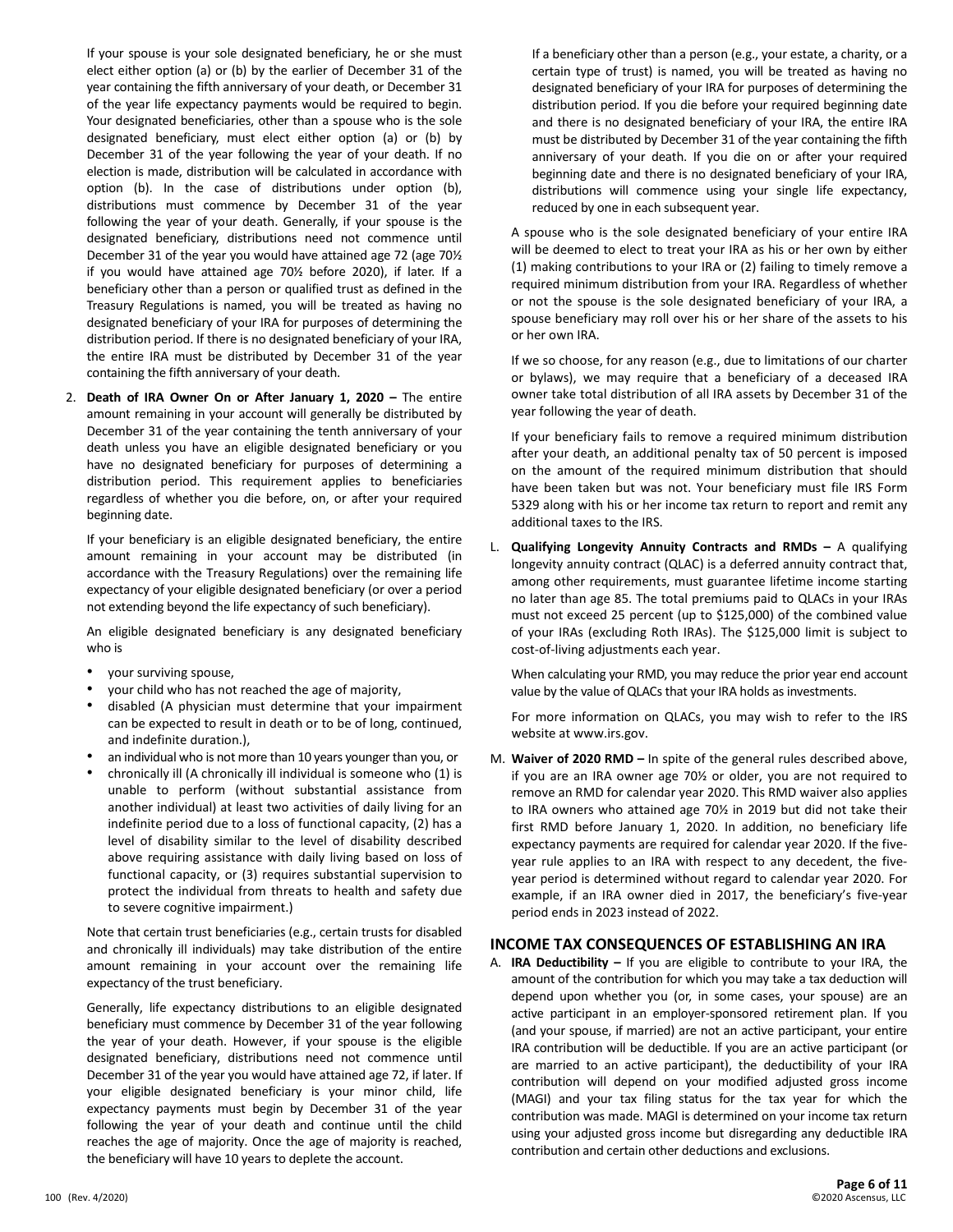If your spouse is your sole designated beneficiary, he or she must elect either option (a) or (b) by the earlier of December 31 of the year containing the fifth anniversary of your death, or December 31 of the year life expectancy payments would be required to begin. Your designated beneficiaries, other than a spouse who is the sole designated beneficiary, must elect either option (a) or (b) by December 31 of the year following the year of your death. If no election is made, distribution will be calculated in accordance with option (b). In the case of distributions under option (b), distributions must commence by December 31 of the year following the year of your death. Generally, if your spouse is the designated beneficiary, distributions need not commence until December 31 of the year you would have attained age 72 (age 70½ if you would have attained age 70½ before 2020), if later. If a beneficiary other than a person or qualified trust as defined in the Treasury Regulations is named, you will be treated as having no designated beneficiary of your IRA for purposes of determining the distribution period. If there is no designated beneficiary of your IRA, the entire IRA must be distributed by December 31 of the year containing the fifth anniversary of your death.

2. **Death of IRA Owner On or After January 1, 2020 –** The entire amount remaining in your account will generally be distributed by December 31 of the year containing the tenth anniversary of your death unless you have an eligible designated beneficiary or you have no designated beneficiary for purposes of determining a distribution period. This requirement applies to beneficiaries regardless of whether you die before, on, or after your required beginning date.

If your beneficiary is an eligible designated beneficiary, the entire amount remaining in your account may be distributed (in accordance with the Treasury Regulations) over the remaining life expectancy of your eligible designated beneficiary (or over a period not extending beyond the life expectancy of such beneficiary).

An eligible designated beneficiary is any designated beneficiary who is

- your surviving spouse,
- your child who has not reached the age of majority,
- disabled (A physician must determine that your impairment can be expected to result in death or to be of long, continued, and indefinite duration.),
- an individual who is not more than 10 years younger than you, or
- chronically ill (A chronically ill individual is someone who (1) is unable to perform (without substantial assistance from another individual) at least two activities of daily living for an indefinite period due to a loss of functional capacity, (2) has a level of disability similar to the level of disability described above requiring assistance with daily living based on loss of functional capacity, or (3) requires substantial supervision to protect the individual from threats to health and safety due to severe cognitive impairment.)

Note that certain trust beneficiaries (e.g., certain trusts for disabled and chronically ill individuals) may take distribution of the entire amount remaining in your account over the remaining life expectancy of the trust beneficiary.

Generally, life expectancy distributions to an eligible designated beneficiary must commence by December 31 of the year following the year of your death. However, if your spouse is the eligible designated beneficiary, distributions need not commence until December 31 of the year you would have attained age 72, if later. If your eligible designated beneficiary is your minor child, life expectancy payments must begin by December 31 of the year following the year of your death and continue until the child reaches the age of majority. Once the age of majority is reached, the beneficiary will have 10 years to deplete the account.

If a beneficiary other than a person (e.g., your estate, a charity, or a certain type of trust) is named, you will be treated as having no designated beneficiary of your IRA for purposes of determining the distribution period. If you die before your required beginning date and there is no designated beneficiary of your IRA, the entire IRA must be distributed by December 31 of the year containing the fifth anniversary of your death. If you die on or after your required beginning date and there is no designated beneficiary of your IRA, distributions will commence using your single life expectancy, reduced by one in each subsequent year.

A spouse who is the sole designated beneficiary of your entire IRA will be deemed to elect to treat your IRA as his or her own by either (1) making contributions to your IRA or (2) failing to timely remove a required minimum distribution from your IRA. Regardless of whether or not the spouse is the sole designated beneficiary of your IRA, a spouse beneficiary may roll over his or her share of the assets to his or her own IRA.

If we so choose, for any reason (e.g., due to limitations of our charter or bylaws), we may require that a beneficiary of a deceased IRA owner take total distribution of all IRA assets by December 31 of the year following the year of death.

If your beneficiary fails to remove a required minimum distribution after your death, an additional penalty tax of 50 percent is imposed on the amount of the required minimum distribution that should have been taken but was not. Your beneficiary must file IRS Form 5329 along with his or her income tax return to report and remit any additional taxes to the IRS.

L. **Qualifying Longevity Annuity Contracts and RMDs –** A qualifying longevity annuity contract (QLAC) is a deferred annuity contract that, among other requirements, must guarantee lifetime income starting no later than age 85. The total premiums paid to QLACs in your IRAs must not exceed 25 percent (up to \$125,000) of the combined value of your IRAs (excluding Roth IRAs). The \$125,000 limit is subject to cost-of-living adjustments each year.

When calculating your RMD, you may reduce the prior year end account value by the value of QLACs that your IRA holds as investments.

For more information on QLACs, you may wish to refer to the IRS website at www.irs.gov.

M. **Waiver of 2020 RMD –** In spite of the general rules described above, if you are an IRA owner age 70½ or older, you are not required to remove an RMD for calendar year 2020. This RMD waiver also applies to IRA owners who attained age 70½ in 2019 but did not take their first RMD before January 1, 2020. In addition, no beneficiary life expectancy payments are required for calendar year 2020. If the fiveyear rule applies to an IRA with respect to any decedent, the fiveyear period is determined without regard to calendar year 2020. For example, if an IRA owner died in 2017, the beneficiary's five-year period ends in 2023 instead of 2022.

# **INCOME TAX CONSEQUENCES OF ESTABLISHING AN IRA**

A. **IRA Deductibility –** If you are eligible to contribute to your IRA, the amount of the contribution for which you may take a tax deduction will depend upon whether you (or, in some cases, your spouse) are an active participant in an employer-sponsored retirement plan. If you (and your spouse, if married) are not an active participant, your entire IRA contribution will be deductible. If you are an active participant (or are married to an active participant), the deductibility of your IRA contribution will depend on your modified adjusted gross income (MAGI) and your tax filing status for the tax year for which the contribution was made. MAGI is determined on your income tax return using your adjusted gross income but disregarding any deductible IRA contribution and certain other deductions and exclusions.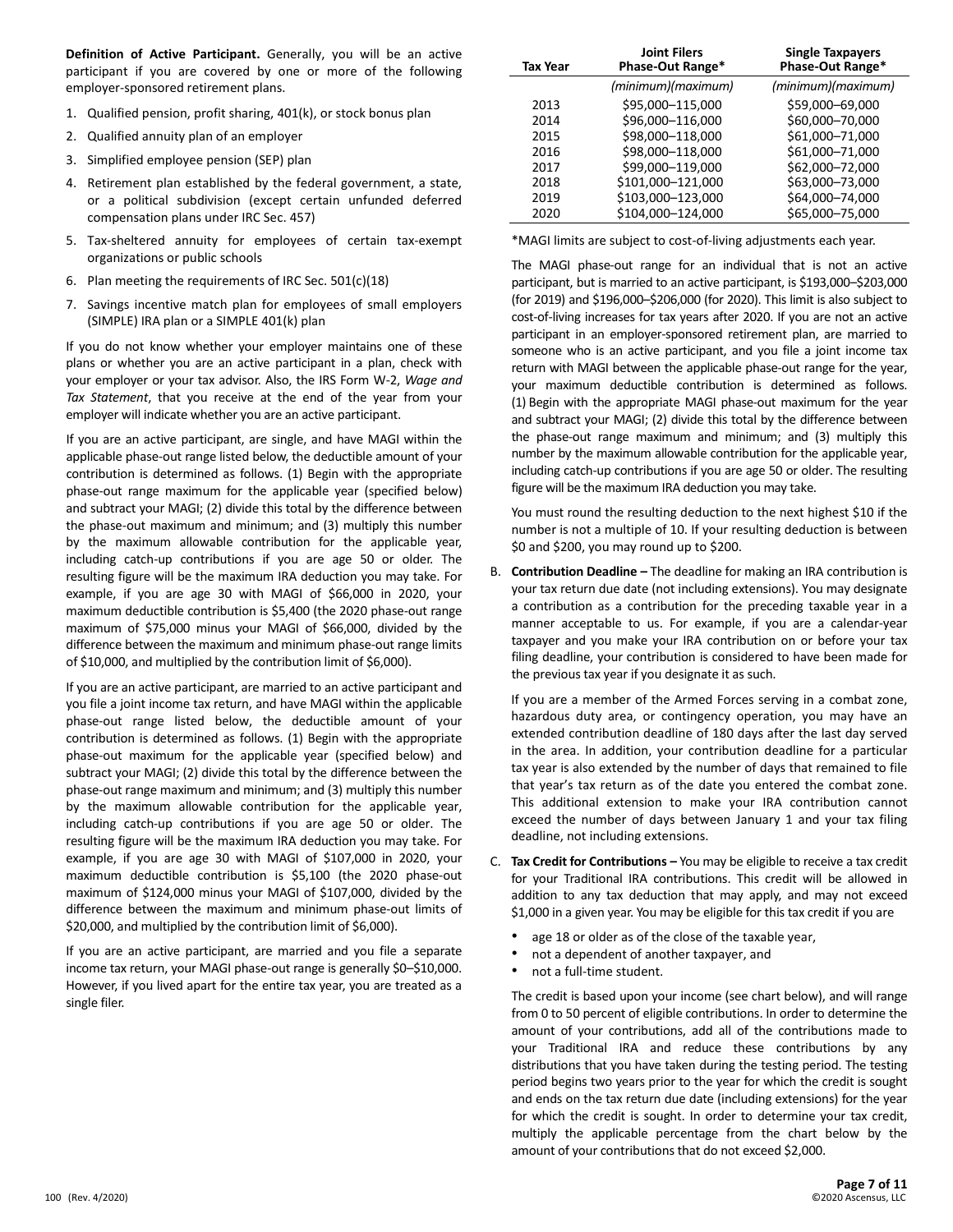**Definition of Active Participant.** Generally, you will be an active participant if you are covered by one or more of the following employer-sponsored retirement plans.

- 1. Qualified pension, profit sharing, 401(k), or stock bonus plan
- 2. Qualified annuity plan of an employer
- 3. Simplified employee pension (SEP) plan
- 4. Retirement plan established by the federal government, a state, or a political subdivision (except certain unfunded deferred compensation plans under IRC Sec. 457)
- 5. Tax-sheltered annuity for employees of certain tax-exempt organizations or public schools
- 6. Plan meeting the requirements of IRC Sec. 501(c)(18)
- 7. Savings incentive match plan for employees of small employers (SIMPLE) IRA plan or a SIMPLE 401(k) plan

If you do not know whether your employer maintains one of these plans or whether you are an active participant in a plan, check with your employer or your tax advisor. Also, the IRS Form W-2, *Wage and Tax Statement*, that you receive at the end of the year from your employer will indicate whether you are an active participant.

If you are an active participant, are single, and have MAGI within the applicable phase-out range listed below, the deductible amount of your contribution is determined as follows. (1) Begin with the appropriate phase-out range maximum for the applicable year (specified below) and subtract your MAGI; (2) divide this total by the difference between the phase-out maximum and minimum; and (3) multiply this number by the maximum allowable contribution for the applicable year, including catch-up contributions if you are age 50 or older. The resulting figure will be the maximum IRA deduction you may take. For example, if you are age 30 with MAGI of \$66,000 in 2020, your maximum deductible contribution is \$5,400 (the 2020 phase-out range maximum of \$75,000 minus your MAGI of \$66,000, divided by the difference between the maximum and minimum phase-out range limits of \$10,000, and multiplied by the contribution limit of \$6,000).

If you are an active participant, are married to an active participant and you file a joint income tax return, and have MAGI within the applicable phase-out range listed below, the deductible amount of your contribution is determined as follows. (1) Begin with the appropriate phase-out maximum for the applicable year (specified below) and subtract your MAGI; (2) divide this total by the difference between the phase-out range maximum and minimum; and (3) multiply this number by the maximum allowable contribution for the applicable year, including catch-up contributions if you are age 50 or older. The resulting figure will be the maximum IRA deduction you may take. For example, if you are age 30 with MAGI of \$107,000 in 2020, your maximum deductible contribution is \$5,100 (the 2020 phase-out maximum of \$124,000 minus your MAGI of \$107,000, divided by the difference between the maximum and minimum phase-out limits of \$20,000, and multiplied by the contribution limit of \$6,000).

If you are an active participant, are married and you file a separate income tax return, your MAGI phase-out range is generally \$0–\$10,000. However, if you lived apart for the entire tax year, you are treated as a single filer.

| Tax Year | <b>Joint Filers</b><br>Phase-Out Range* | <b>Single Taxpayers</b><br>Phase-Out Range* |
|----------|-----------------------------------------|---------------------------------------------|
|          | (minimum)(maximum)                      | (minimum)(maximum)                          |
| 2013     | \$95,000-115,000                        | \$59,000-69,000                             |
| 2014     | \$96,000-116,000                        | \$60,000-70,000                             |
| 2015     | \$98,000-118,000                        | \$61,000-71,000                             |
| 2016     | \$98,000-118,000                        | \$61,000-71,000                             |
| 2017     | \$99,000-119,000                        | \$62,000-72,000                             |
| 2018     | \$101,000-121,000                       | \$63,000-73,000                             |
| 2019     | \$103,000-123,000                       | \$64,000-74,000                             |
| 2020     | \$104,000-124,000                       | \$65,000-75,000                             |

\*MAGI limits are subject to cost-of-living adjustments each year.

The MAGI phase-out range for an individual that is not an active participant, but is married to an active participant, is \$193,000–\$203,000 (for 2019) and \$196,000–\$206,000 (for 2020). This limit is also subject to cost-of-living increases for tax years after 2020. If you are not an active participant in an employer-sponsored retirement plan, are married to someone who is an active participant, and you file a joint income tax return with MAGI between the applicable phase-out range for the year, your maximum deductible contribution is determined as follows. (1) Begin with the appropriate MAGI phase-out maximum for the year and subtract your MAGI; (2) divide this total by the difference between the phase-out range maximum and minimum; and (3) multiply this number by the maximum allowable contribution for the applicable year, including catch-up contributions if you are age 50 or older. The resulting figure will be the maximum IRA deduction you may take.

You must round the resulting deduction to the next highest \$10 if the number is not a multiple of 10. If your resulting deduction is between \$0 and \$200, you may round up to \$200.

B. **Contribution Deadline –** The deadline for making an IRA contribution is your tax return due date (not including extensions). You may designate a contribution as a contribution for the preceding taxable year in a manner acceptable to us. For example, if you are a calendar-year taxpayer and you make your IRA contribution on or before your tax filing deadline, your contribution is considered to have been made for the previous tax year if you designate it as such.

If you are a member of the Armed Forces serving in a combat zone, hazardous duty area, or contingency operation, you may have an extended contribution deadline of 180 days after the last day served in the area. In addition, your contribution deadline for a particular tax year is also extended by the number of days that remained to file that year's tax return as of the date you entered the combat zone. This additional extension to make your IRA contribution cannot exceed the number of days between January 1 and your tax filing deadline, not including extensions.

- C. **Tax Credit for Contributions –** You may be eligible to receive a tax credit for your Traditional IRA contributions. This credit will be allowed in addition to any tax deduction that may apply, and may not exceed \$1,000 in a given year. You may be eligible for this tax credit if you are
	- age 18 or older as of the close of the taxable year,
	- not a dependent of another taxpayer, and
	- not a full-time student.

The credit is based upon your income (see chart below), and will range from 0 to 50 percent of eligible contributions. In order to determine the amount of your contributions, add all of the contributions made to your Traditional IRA and reduce these contributions by any distributions that you have taken during the testing period. The testing period begins two years prior to the year for which the credit is sought and ends on the tax return due date (including extensions) for the year for which the credit is sought. In order to determine your tax credit, multiply the applicable percentage from the chart below by the amount of your contributions that do not exceed \$2,000.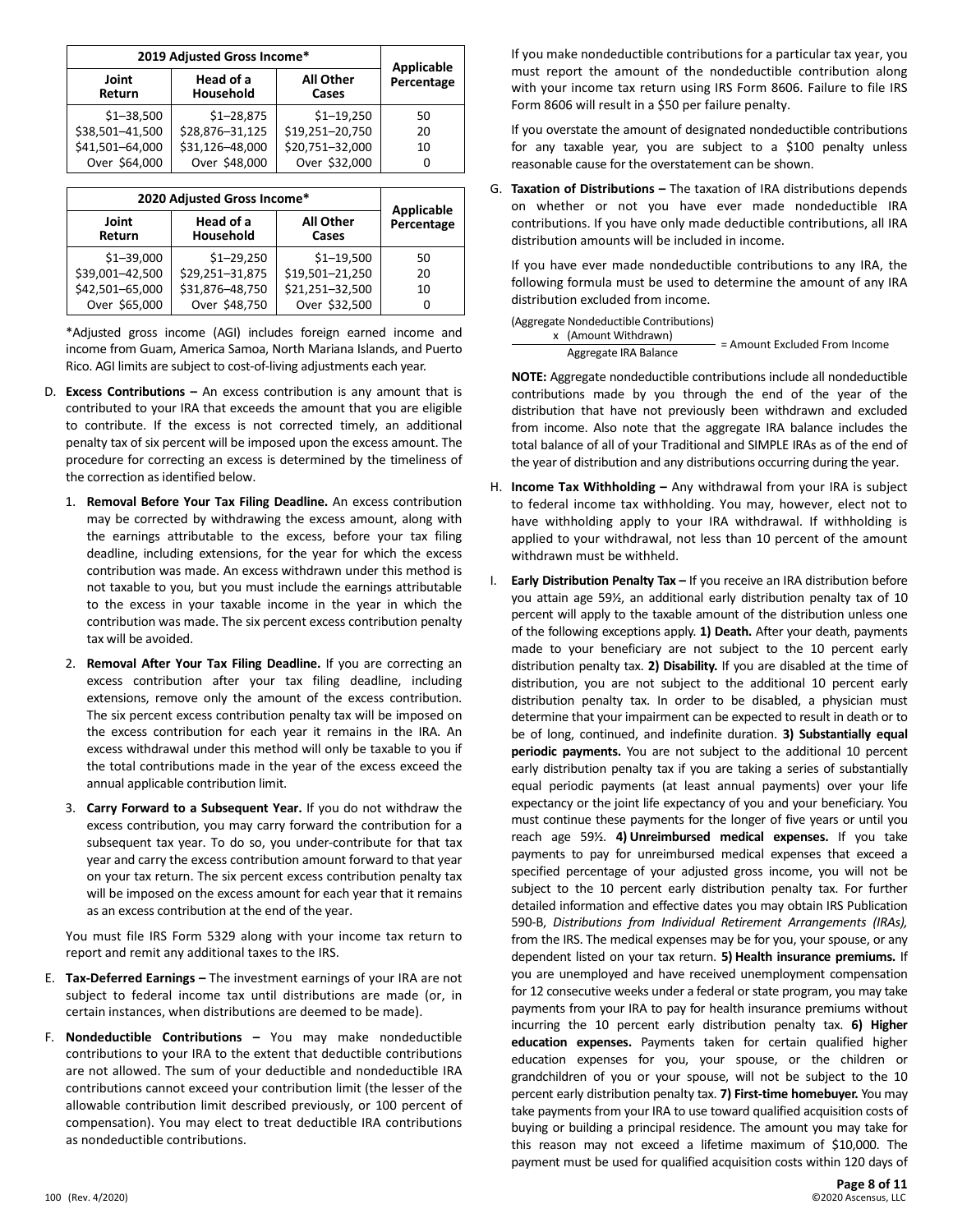| 2019 Adjusted Gross Income*                                            | Applicable      |                 |    |
|------------------------------------------------------------------------|-----------------|-----------------|----|
| Head of a<br><b>All Other</b><br>Joint<br>Household<br>Cases<br>Return |                 | Percentage      |    |
| $$1 - 38,500$                                                          | $$1 - 28,875$   | $$1 - 19,250$   | 50 |
| \$38,501-41,500                                                        | \$28,876-31,125 | \$19,251-20,750 | 20 |
| \$41,501-64,000                                                        | \$31,126-48,000 | \$20,751-32,000 | 10 |
| Over \$64,000                                                          | Over \$48,000   | Over \$32,000   |    |

| 2020 Adjusted Gross Income*               | Applicable      |                    |            |
|-------------------------------------------|-----------------|--------------------|------------|
| Head of a<br>Joint<br>Household<br>Return |                 | All Other<br>Cases | Percentage |
| $$1 - 39,000$                             | $$1 - 29,250$   | $$1 - 19,500$      | 50         |
| \$39,001-42,500                           | \$29,251-31,875 | \$19,501-21,250    | 20         |
| \$42,501-65,000                           | \$31,876-48,750 | \$21,251-32,500    | 10         |
| Over \$65,000                             | Over \$48,750   | Over \$32,500      | 0          |

\*Adjusted gross income (AGI) includes foreign earned income and income from Guam, America Samoa, North Mariana Islands, and Puerto Rico. AGI limits are subject to cost-of-living adjustments each year.

- D. **Excess Contributions –** An excess contribution is any amount that is contributed to your IRA that exceeds the amount that you are eligible to contribute. If the excess is not corrected timely, an additional penalty tax of six percent will be imposed upon the excess amount. The procedure for correcting an excess is determined by the timeliness of the correction as identified below.
	- 1. **Removal Before Your Tax Filing Deadline.** An excess contribution may be corrected by withdrawing the excess amount, along with the earnings attributable to the excess, before your tax filing deadline, including extensions, for the year for which the excess contribution was made. An excess withdrawn under this method is not taxable to you, but you must include the earnings attributable to the excess in your taxable income in the year in which the contribution was made. The six percent excess contribution penalty tax will be avoided.
	- 2. **Removal After Your Tax Filing Deadline.** If you are correcting an excess contribution after your tax filing deadline, including extensions, remove only the amount of the excess contribution. The six percent excess contribution penalty tax will be imposed on the excess contribution for each year it remains in the IRA. An excess withdrawal under this method will only be taxable to you if the total contributions made in the year of the excess exceed the annual applicable contribution limit.
	- 3. **Carry Forward to a Subsequent Year.** If you do not withdraw the excess contribution, you may carry forward the contribution for a subsequent tax year. To do so, you under-contribute for that tax year and carry the excess contribution amount forward to that year on your tax return. The six percent excess contribution penalty tax will be imposed on the excess amount for each year that it remains as an excess contribution at the end of the year.

You must file IRS Form 5329 along with your income tax return to report and remit any additional taxes to the IRS.

- E. **Tax-Deferred Earnings –** The investment earnings of your IRA are not subject to federal income tax until distributions are made (or, in certain instances, when distributions are deemed to be made).
- F. **Nondeductible Contributions –** You may make nondeductible contributions to your IRA to the extent that deductible contributions are not allowed. The sum of your deductible and nondeductible IRA contributions cannot exceed your contribution limit (the lesser of the allowable contribution limit described previously, or 100 percent of compensation). You may elect to treat deductible IRA contributions as nondeductible contributions.

If you make nondeductible contributions for a particular tax year, you must report the amount of the nondeductible contribution along with your income tax return using IRS Form 8606. Failure to file IRS Form 8606 will result in a \$50 per failure penalty.

If you overstate the amount of designated nondeductible contributions for any taxable year, you are subject to a \$100 penalty unless reasonable cause for the overstatement can be shown.

G. **Taxation of Distributions –** The taxation of IRA distributions depends on whether or not you have ever made nondeductible IRA contributions. If you have only made deductible contributions, all IRA distribution amounts will be included in income.

If you have ever made nondeductible contributions to any IRA, the following formula must be used to determine the amount of any IRA distribution excluded from income.

#### (Aggregate Nondeductible Contributions)

x (Amount Withdrawn) Aggregate IRA Balance = Amount Excluded From Income

**NOTE:** Aggregate nondeductible contributions include all nondeductible contributions made by you through the end of the year of the distribution that have not previously been withdrawn and excluded from income. Also note that the aggregate IRA balance includes the total balance of all of your Traditional and SIMPLE IRAs as of the end of the year of distribution and any distributions occurring during the year.

- H. **Income Tax Withholding –** Any withdrawal from your IRA is subject to federal income tax withholding. You may, however, elect not to have withholding apply to your IRA withdrawal. If withholding is applied to your withdrawal, not less than 10 percent of the amount withdrawn must be withheld.
- I. **Early Distribution Penalty Tax –** If you receive an IRA distribution before you attain age 59½, an additional early distribution penalty tax of 10 percent will apply to the taxable amount of the distribution unless one of the following exceptions apply. **1) Death.** After your death, payments made to your beneficiary are not subject to the 10 percent early distribution penalty tax. **2) Disability.** If you are disabled at the time of distribution, you are not subject to the additional 10 percent early distribution penalty tax. In order to be disabled, a physician must determine that your impairment can be expected to result in death or to be of long, continued, and indefinite duration. **3) Substantially equal periodic payments.** You are not subject to the additional 10 percent early distribution penalty tax if you are taking a series of substantially equal periodic payments (at least annual payments) over your life expectancy or the joint life expectancy of you and your beneficiary. You must continue these payments for the longer of five years or until you reach age 59½. **4) Unreimbursed medical expenses.** If you take payments to pay for unreimbursed medical expenses that exceed a specified percentage of your adjusted gross income, you will not be subject to the 10 percent early distribution penalty tax. For further detailed information and effective dates you may obtain IRS Publication 590-B, *Distributions from Individual Retirement Arrangements (IRAs),* from the IRS. The medical expenses may be for you, your spouse, or any dependent listed on your tax return. **5) Health insurance premiums.** If you are unemployed and have received unemployment compensation for 12 consecutive weeks under a federal or state program, you may take payments from your IRA to pay for health insurance premiums without incurring the 10 percent early distribution penalty tax. **6) Higher education expenses.** Payments taken for certain qualified higher education expenses for you, your spouse, or the children or grandchildren of you or your spouse, will not be subject to the 10 percent early distribution penalty tax. **7) First-time homebuyer.** You may take payments from your IRA to use toward qualified acquisition costs of buying or building a principal residence. The amount you may take for this reason may not exceed a lifetime maximum of \$10,000. The payment must be used for qualified acquisition costs within 120 days of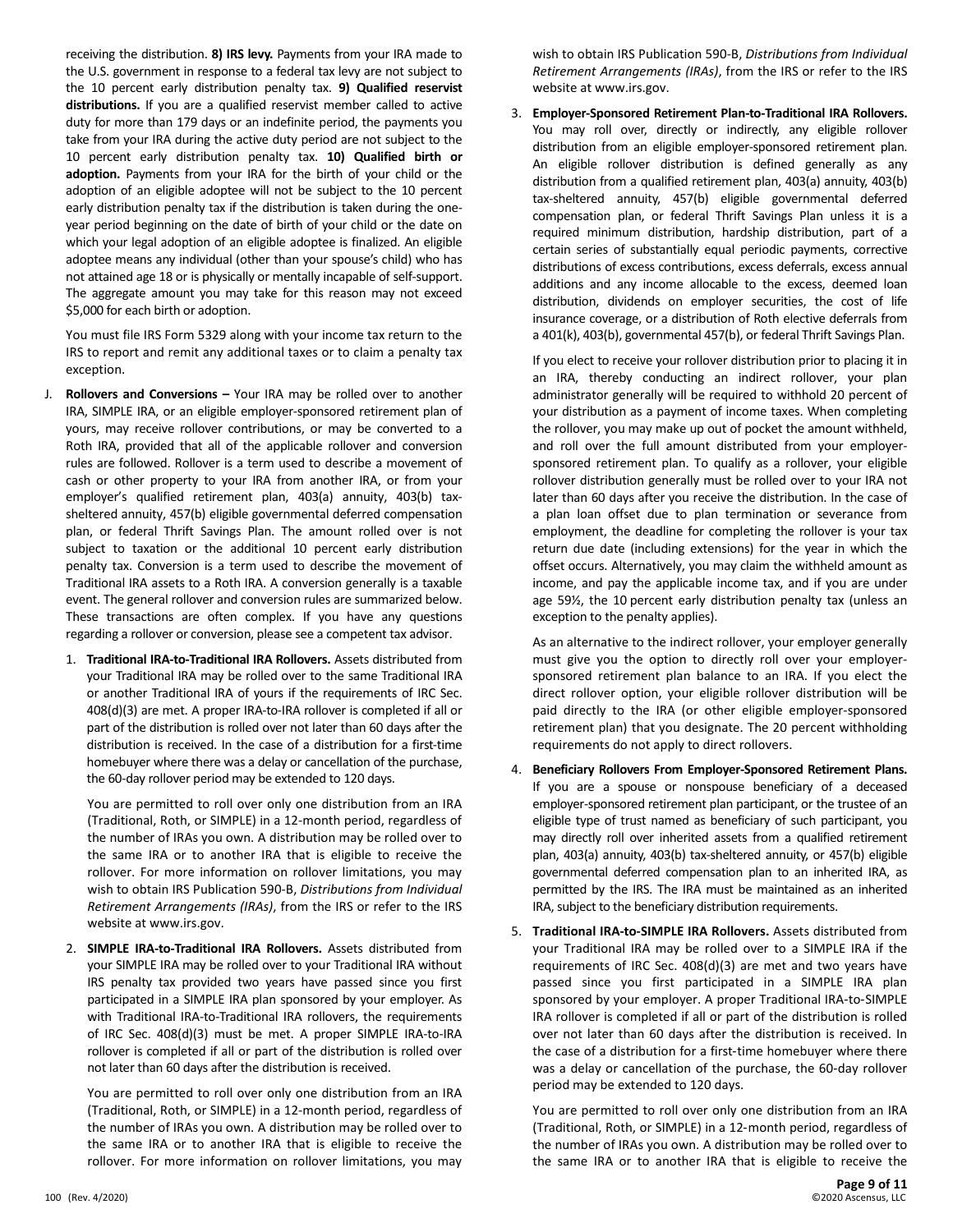receiving the distribution. **8) IRS levy.** Payments from your IRA made to the U.S. government in response to a federal tax levy are not subject to the 10 percent early distribution penalty tax. **9) Qualified reservist distributions.** If you are a qualified reservist member called to active duty for more than 179 days or an indefinite period, the payments you take from your IRA during the active duty period are not subject to the 10 percent early distribution penalty tax. **10) Qualified birth or adoption.** Payments from your IRA for the birth of your child or the adoption of an eligible adoptee will not be subject to the 10 percent early distribution penalty tax if the distribution is taken during the oneyear period beginning on the date of birth of your child or the date on which your legal adoption of an eligible adoptee is finalized. An eligible adoptee means any individual (other than your spouse's child) who has not attained age 18 or is physically or mentally incapable of self-support. The aggregate amount you may take for this reason may not exceed \$5,000 for each birth or adoption.

You must file IRS Form 5329 along with your income tax return to the IRS to report and remit any additional taxes or to claim a penalty tax exception.

- J. **Rollovers and Conversions –** Your IRA may be rolled over to another IRA, SIMPLE IRA, or an eligible employer-sponsored retirement plan of yours, may receive rollover contributions, or may be converted to a Roth IRA, provided that all of the applicable rollover and conversion rules are followed. Rollover is a term used to describe a movement of cash or other property to your IRA from another IRA, or from your employer's qualified retirement plan, 403(a) annuity, 403(b) taxsheltered annuity, 457(b) eligible governmental deferred compensation plan, or federal Thrift Savings Plan. The amount rolled over is not subject to taxation or the additional 10 percent early distribution penalty tax. Conversion is a term used to describe the movement of Traditional IRA assets to a Roth IRA. A conversion generally is a taxable event. The general rollover and conversion rules are summarized below. These transactions are often complex. If you have any questions regarding a rollover or conversion, please see a competent tax advisor.
	- 1. **Traditional IRA-to-Traditional IRA Rollovers.** Assets distributed from your Traditional IRA may be rolled over to the same Traditional IRA or another Traditional IRA of yours if the requirements of IRC Sec. 408(d)(3) are met. A proper IRA-to-IRA rollover is completed if all or part of the distribution is rolled over not later than 60 days after the distribution is received. In the case of a distribution for a first-time homebuyer where there was a delay or cancellation of the purchase, the 60-day rollover period may be extended to 120 days.

You are permitted to roll over only one distribution from an IRA (Traditional, Roth, or SIMPLE) in a 12-month period, regardless of the number of IRAs you own. A distribution may be rolled over to the same IRA or to another IRA that is eligible to receive the rollover. For more information on rollover limitations, you may wish to obtain IRS Publication 590-B, *Distributions from Individual Retirement Arrangements (IRAs)*, from the IRS or refer to the IRS website at www.irs.gov.

2. **SIMPLE IRA-to-Traditional IRA Rollovers.** Assets distributed from your SIMPLE IRA may be rolled over to your Traditional IRA without IRS penalty tax provided two years have passed since you first participated in a SIMPLE IRA plan sponsored by your employer. As with Traditional IRA-to-Traditional IRA rollovers, the requirements of IRC Sec. 408(d)(3) must be met. A proper SIMPLE IRA-to-IRA rollover is completed if all or part of the distribution is rolled over not later than 60 days after the distribution is received.

You are permitted to roll over only one distribution from an IRA (Traditional, Roth, or SIMPLE) in a 12-month period, regardless of the number of IRAs you own. A distribution may be rolled over to the same IRA or to another IRA that is eligible to receive the rollover. For more information on rollover limitations, you may

wish to obtain IRS Publication 590-B, *Distributions from Individual Retirement Arrangements (IRAs)*, from the IRS or refer to the IRS website at www.irs.gov.

3. **Employer-Sponsored Retirement Plan-to-Traditional IRA Rollovers.** You may roll over, directly or indirectly, any eligible rollover distribution from an eligible employer-sponsored retirement plan. An eligible rollover distribution is defined generally as any distribution from a qualified retirement plan, 403(a) annuity, 403(b) tax-sheltered annuity, 457(b) eligible governmental deferred compensation plan, or federal Thrift Savings Plan unless it is a required minimum distribution, hardship distribution, part of a certain series of substantially equal periodic payments, corrective distributions of excess contributions, excess deferrals, excess annual additions and any income allocable to the excess, deemed loan distribution, dividends on employer securities, the cost of life insurance coverage, or a distribution of Roth elective deferrals from a 401(k), 403(b), governmental 457(b), or federal Thrift Savings Plan.

If you elect to receive your rollover distribution prior to placing it in an IRA, thereby conducting an indirect rollover, your plan administrator generally will be required to withhold 20 percent of your distribution as a payment of income taxes. When completing the rollover, you may make up out of pocket the amount withheld, and roll over the full amount distributed from your employersponsored retirement plan. To qualify as a rollover, your eligible rollover distribution generally must be rolled over to your IRA not later than 60 days after you receive the distribution. In the case of a plan loan offset due to plan termination or severance from employment, the deadline for completing the rollover is your tax return due date (including extensions) for the year in which the offset occurs. Alternatively, you may claim the withheld amount as income, and pay the applicable income tax, and if you are under age 59½, the 10 percent early distribution penalty tax (unless an exception to the penalty applies).

As an alternative to the indirect rollover, your employer generally must give you the option to directly roll over your employersponsored retirement plan balance to an IRA. If you elect the direct rollover option, your eligible rollover distribution will be paid directly to the IRA (or other eligible employer-sponsored retirement plan) that you designate. The 20 percent withholding requirements do not apply to direct rollovers.

- 4. **Beneficiary Rollovers From Employer-Sponsored Retirement Plans.** If you are a spouse or nonspouse beneficiary of a deceased employer-sponsored retirement plan participant, or the trustee of an eligible type of trust named as beneficiary of such participant, you may directly roll over inherited assets from a qualified retirement plan, 403(a) annuity, 403(b) tax-sheltered annuity, or 457(b) eligible governmental deferred compensation plan to an inherited IRA, as permitted by the IRS. The IRA must be maintained as an inherited IRA, subject to the beneficiary distribution requirements.
- 5. **Traditional IRA-to-SIMPLE IRA Rollovers.** Assets distributed from your Traditional IRA may be rolled over to a SIMPLE IRA if the requirements of IRC Sec. 408(d)(3) are met and two years have passed since you first participated in a SIMPLE IRA plan sponsored by your employer. A proper Traditional IRA-to-SIMPLE IRA rollover is completed if all or part of the distribution is rolled over not later than 60 days after the distribution is received. In the case of a distribution for a first‐time homebuyer where there was a delay or cancellation of the purchase, the 60‐day rollover period may be extended to 120 days.

You are permitted to roll over only one distribution from an IRA (Traditional, Roth, or SIMPLE) in a 12‐month period, regardless of the number of IRAs you own. A distribution may be rolled over to the same IRA or to another IRA that is eligible to receive the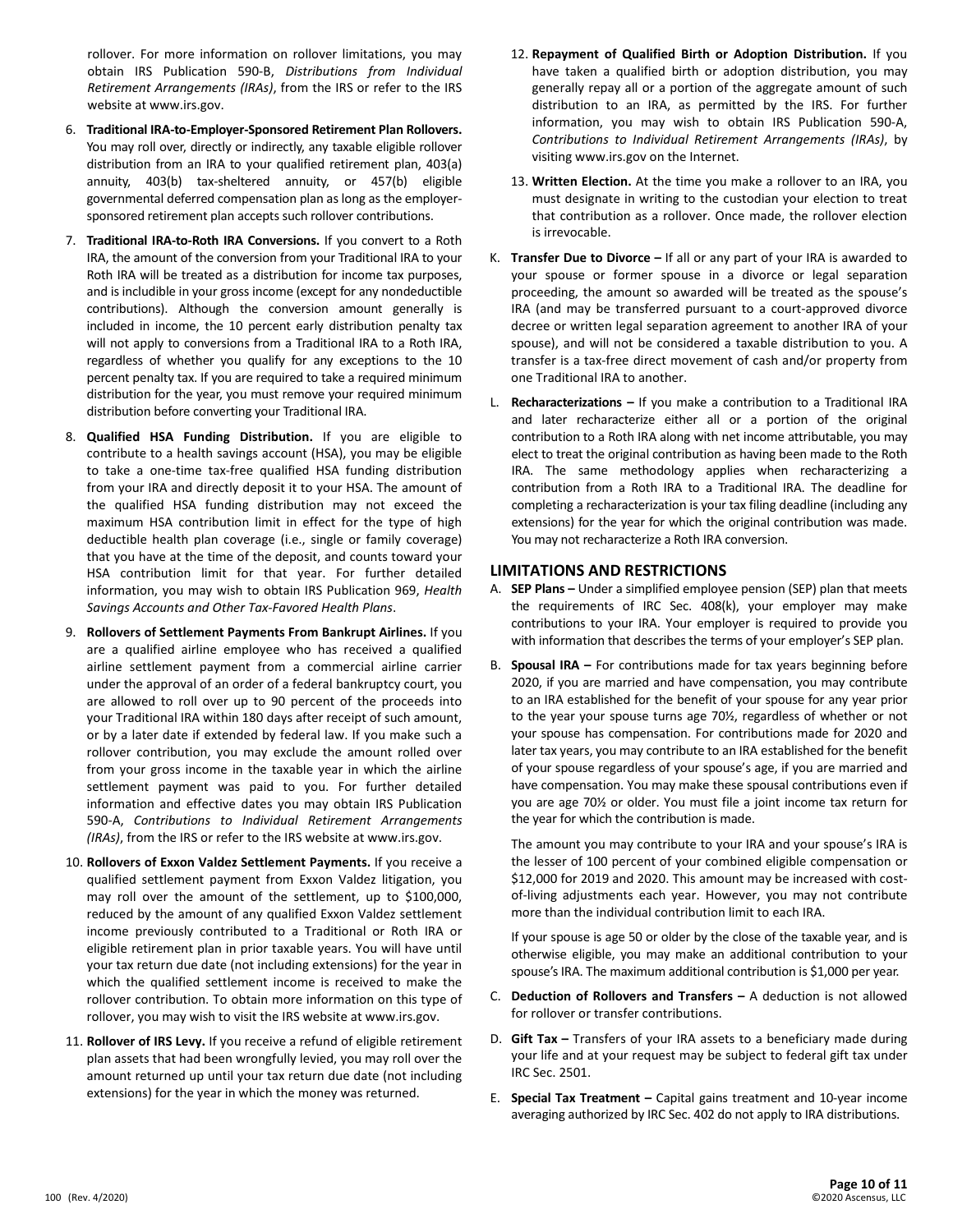rollover. For more information on rollover limitations, you may obtain IRS Publication 590-B, *Distributions from Individual Retirement Arrangements (IRAs)*, from the IRS or refer to the IRS website at www.irs.gov.

- 6. **Traditional IRA-to-Employer-Sponsored Retirement Plan Rollovers.** You may roll over, directly or indirectly, any taxable eligible rollover distribution from an IRA to your qualified retirement plan, 403(a) annuity, 403(b) tax-sheltered annuity, or 457(b) eligible governmental deferred compensation plan as long as the employersponsored retirement plan accepts such rollover contributions.
- 7. **Traditional IRA-to-Roth IRA Conversions.** If you convert to a Roth IRA, the amount of the conversion from your Traditional IRA to your Roth IRA will be treated as a distribution for income tax purposes, and is includible in your gross income (except for any nondeductible contributions). Although the conversion amount generally is included in income, the 10 percent early distribution penalty tax will not apply to conversions from a Traditional IRA to a Roth IRA, regardless of whether you qualify for any exceptions to the 10 percent penalty tax. If you are required to take a required minimum distribution for the year, you must remove your required minimum distribution before converting your Traditional IRA.
- 8. **Qualified HSA Funding Distribution.** If you are eligible to contribute to a health savings account (HSA), you may be eligible to take a one-time tax-free qualified HSA funding distribution from your IRA and directly deposit it to your HSA. The amount of the qualified HSA funding distribution may not exceed the maximum HSA contribution limit in effect for the type of high deductible health plan coverage (i.e., single or family coverage) that you have at the time of the deposit, and counts toward your HSA contribution limit for that year. For further detailed information, you may wish to obtain IRS Publication 969, *Health Savings Accounts and Other Tax-Favored Health Plans*.
- 9. **Rollovers of Settlement Payments From Bankrupt Airlines.** If you are a qualified airline employee who has received a qualified airline settlement payment from a commercial airline carrier under the approval of an order of a federal bankruptcy court, you are allowed to roll over up to 90 percent of the proceeds into your Traditional IRA within 180 days after receipt of such amount, or by a later date if extended by federal law. If you make such a rollover contribution, you may exclude the amount rolled over from your gross income in the taxable year in which the airline settlement payment was paid to you. For further detailed information and effective dates you may obtain IRS Publication 590-A, *Contributions to Individual Retirement Arrangements (IRAs)*, from the IRS or refer to the IRS website at www.irs.gov.
- 10. **Rollovers of Exxon Valdez Settlement Payments.** If you receive a qualified settlement payment from Exxon Valdez litigation, you may roll over the amount of the settlement, up to \$100,000, reduced by the amount of any qualified Exxon Valdez settlement income previously contributed to a Traditional or Roth IRA or eligible retirement plan in prior taxable years. You will have until your tax return due date (not including extensions) for the year in which the qualified settlement income is received to make the rollover contribution. To obtain more information on this type of rollover, you may wish to visit the IRS website at www.irs.gov.
- 11. **Rollover of IRS Levy.** If you receive a refund of eligible retirement plan assets that had been wrongfully levied, you may roll over the amount returned up until your tax return due date (not including extensions) for the year in which the money was returned.
- 12. **Repayment of Qualified Birth or Adoption Distribution.** If you have taken a qualified birth or adoption distribution, you may generally repay all or a portion of the aggregate amount of such distribution to an IRA, as permitted by the IRS. For further information, you may wish to obtain IRS Publication 590-A, *Contributions to Individual Retirement Arrangements (IRAs)*, by visiting www.irs.gov on the Internet.
- 13. **Written Election.** At the time you make a rollover to an IRA, you must designate in writing to the custodian your election to treat that contribution as a rollover. Once made, the rollover election is irrevocable.
- K. **Transfer Due to Divorce –** If all or any part of your IRA is awarded to your spouse or former spouse in a divorce or legal separation proceeding, the amount so awarded will be treated as the spouse's IRA (and may be transferred pursuant to a court-approved divorce decree or written legal separation agreement to another IRA of your spouse), and will not be considered a taxable distribution to you. A transfer is a tax-free direct movement of cash and/or property from one Traditional IRA to another.
- L. **Recharacterizations –** If you make a contribution to a Traditional IRA and later recharacterize either all or a portion of the original contribution to a Roth IRA along with net income attributable, you may elect to treat the original contribution as having been made to the Roth IRA. The same methodology applies when recharacterizing a contribution from a Roth IRA to a Traditional IRA. The deadline for completing a recharacterization is your tax filing deadline (including any extensions) for the year for which the original contribution was made. You may not recharacterize a Roth IRA conversion.

#### **LIMITATIONS AND RESTRICTIONS**

- A. **SEP Plans –** Under a simplified employee pension (SEP) plan that meets the requirements of IRC Sec. 408(k), your employer may make contributions to your IRA. Your employer is required to provide you with information that describes the terms of your employer's SEP plan.
- B. **Spousal IRA –** For contributions made for tax years beginning before 2020, if you are married and have compensation, you may contribute to an IRA established for the benefit of your spouse for any year prior to the year your spouse turns age 70½, regardless of whether or not your spouse has compensation. For contributions made for 2020 and later tax years, you may contribute to an IRA established for the benefit of your spouse regardless of your spouse's age, if you are married and have compensation. You may make these spousal contributions even if you are age 70½ or older. You must file a joint income tax return for the year for which the contribution is made.

The amount you may contribute to your IRA and your spouse's IRA is the lesser of 100 percent of your combined eligible compensation or \$12,000 for 2019 and 2020. This amount may be increased with costof-living adjustments each year. However, you may not contribute more than the individual contribution limit to each IRA.

If your spouse is age 50 or older by the close of the taxable year, and is otherwise eligible, you may make an additional contribution to your spouse's IRA. The maximum additional contribution is \$1,000 per year.

- C. **Deduction of Rollovers and Transfers –** A deduction is not allowed for rollover or transfer contributions.
- D. **Gift Tax –** Transfers of your IRA assets to a beneficiary made during your life and at your request may be subject to federal gift tax under IRC Sec. 2501.
- E. **Special Tax Treatment –** Capital gains treatment and 10-year income averaging authorized by IRC Sec. 402 do not apply to IRA distributions.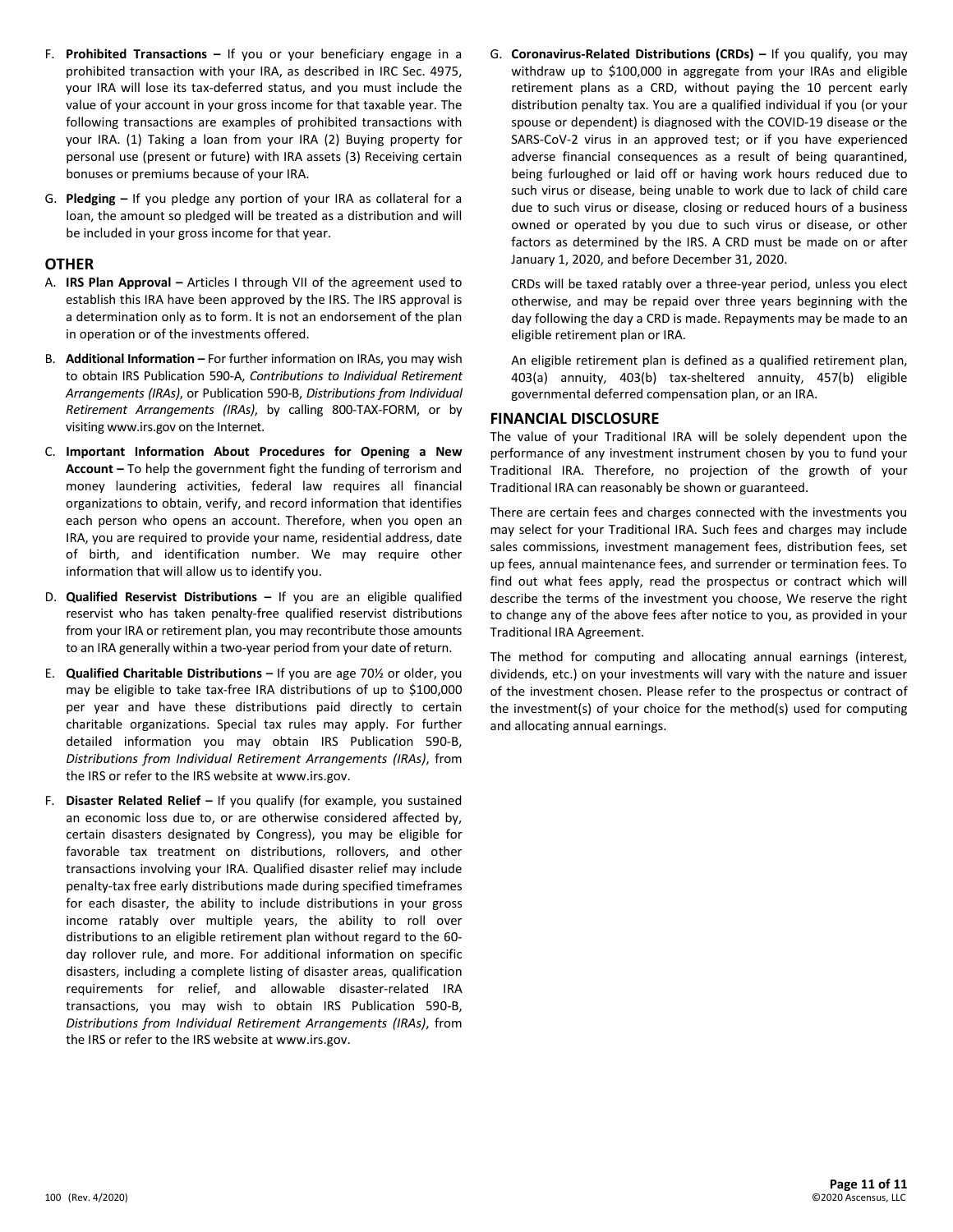- F. **Prohibited Transactions –** If you or your beneficiary engage in a prohibited transaction with your IRA, as described in IRC Sec. 4975, your IRA will lose its tax-deferred status, and you must include the value of your account in your gross income for that taxable year. The following transactions are examples of prohibited transactions with your IRA. (1) Taking a loan from your IRA (2) Buying property for personal use (present or future) with IRA assets (3) Receiving certain bonuses or premiums because of your IRA.
- G. **Pledging –** If you pledge any portion of your IRA as collateral for a loan, the amount so pledged will be treated as a distribution and will be included in your gross income for that year.

### **OTHER**

- A. **IRS Plan Approval –** Articles I through VII of the agreement used to establish this IRA have been approved by the IRS. The IRS approval is a determination only as to form. It is not an endorsement of the plan in operation or of the investments offered.
- B. **Additional Information –** For further information on IRAs, you may wish to obtain IRS Publication 590-A, *Contributions to Individual Retirement Arrangements (IRAs)*, or Publication 590-B, *Distributions from Individual Retirement Arrangements (IRAs)*, by calling 800-TAX-FORM, or by visiting www.irs.gov on the Internet.
- C. **Important Information About Procedures for Opening a New Account –** To help the government fight the funding of terrorism and money laundering activities, federal law requires all financial organizations to obtain, verify, and record information that identifies each person who opens an account. Therefore, when you open an IRA, you are required to provide your name, residential address, date of birth, and identification number. We may require other information that will allow us to identify you.
- D. **Qualified Reservist Distributions –** If you are an eligible qualified reservist who has taken penalty-free qualified reservist distributions from your IRA or retirement plan, you may recontribute those amounts to an IRA generally within a two-year period from your date of return.
- E. **Qualified Charitable Distributions –** If you are age 70½ or older, you may be eligible to take tax-free IRA distributions of up to \$100,000 per year and have these distributions paid directly to certain charitable organizations. Special tax rules may apply. For further detailed information you may obtain IRS Publication 590-B, *Distributions from Individual Retirement Arrangements (IRAs)*, from the IRS or refer to the IRS website at www.irs.gov.
- F. **Disaster Related Relief –** If you qualify (for example, you sustained an economic loss due to, or are otherwise considered affected by, certain disasters designated by Congress), you may be eligible for favorable tax treatment on distributions, rollovers, and other transactions involving your IRA. Qualified disaster relief may include penalty-tax free early distributions made during specified timeframes for each disaster, the ability to include distributions in your gross income ratably over multiple years, the ability to roll over distributions to an eligible retirement plan without regard to the 60 day rollover rule, and more. For additional information on specific disasters, including a complete listing of disaster areas, qualification requirements for relief, and allowable disaster-related IRA transactions, you may wish to obtain IRS Publication 590-B, *Distributions from Individual Retirement Arrangements (IRAs)*, from the IRS or refer to the IRS website at www.irs.gov.

G. **Coronavirus-Related Distributions (CRDs) –** If you qualify, you may withdraw up to \$100,000 in aggregate from your IRAs and eligible retirement plans as a CRD, without paying the 10 percent early distribution penalty tax. You are a qualified individual if you (or your spouse or dependent) is diagnosed with the COVID-19 disease or the SARS-CoV-2 virus in an approved test; or if you have experienced adverse financial consequences as a result of being quarantined, being furloughed or laid off or having work hours reduced due to such virus or disease, being unable to work due to lack of child care due to such virus or disease, closing or reduced hours of a business owned or operated by you due to such virus or disease, or other factors as determined by the IRS. A CRD must be made on or after January 1, 2020, and before December 31, 2020.

CRDs will be taxed ratably over a three-year period, unless you elect otherwise, and may be repaid over three years beginning with the day following the day a CRD is made. Repayments may be made to an eligible retirement plan or IRA.

An eligible retirement plan is defined as a qualified retirement plan, 403(a) annuity, 403(b) tax-sheltered annuity, 457(b) eligible governmental deferred compensation plan, or an IRA.

# **FINANCIAL DISCLOSURE**

The value of your Traditional IRA will be solely dependent upon the performance of any investment instrument chosen by you to fund your Traditional IRA. Therefore, no projection of the growth of your Traditional IRA can reasonably be shown or guaranteed.

There are certain fees and charges connected with the investments you may select for your Traditional IRA. Such fees and charges may include sales commissions, investment management fees, distribution fees, set up fees, annual maintenance fees, and surrender or termination fees. To find out what fees apply, read the prospectus or contract which will describe the terms of the investment you choose, We reserve the right to change any of the above fees after notice to you, as provided in your Traditional IRA Agreement.

The method for computing and allocating annual earnings (interest, dividends, etc.) on your investments will vary with the nature and issuer of the investment chosen. Please refer to the prospectus or contract of the investment(s) of your choice for the method(s) used for computing and allocating annual earnings.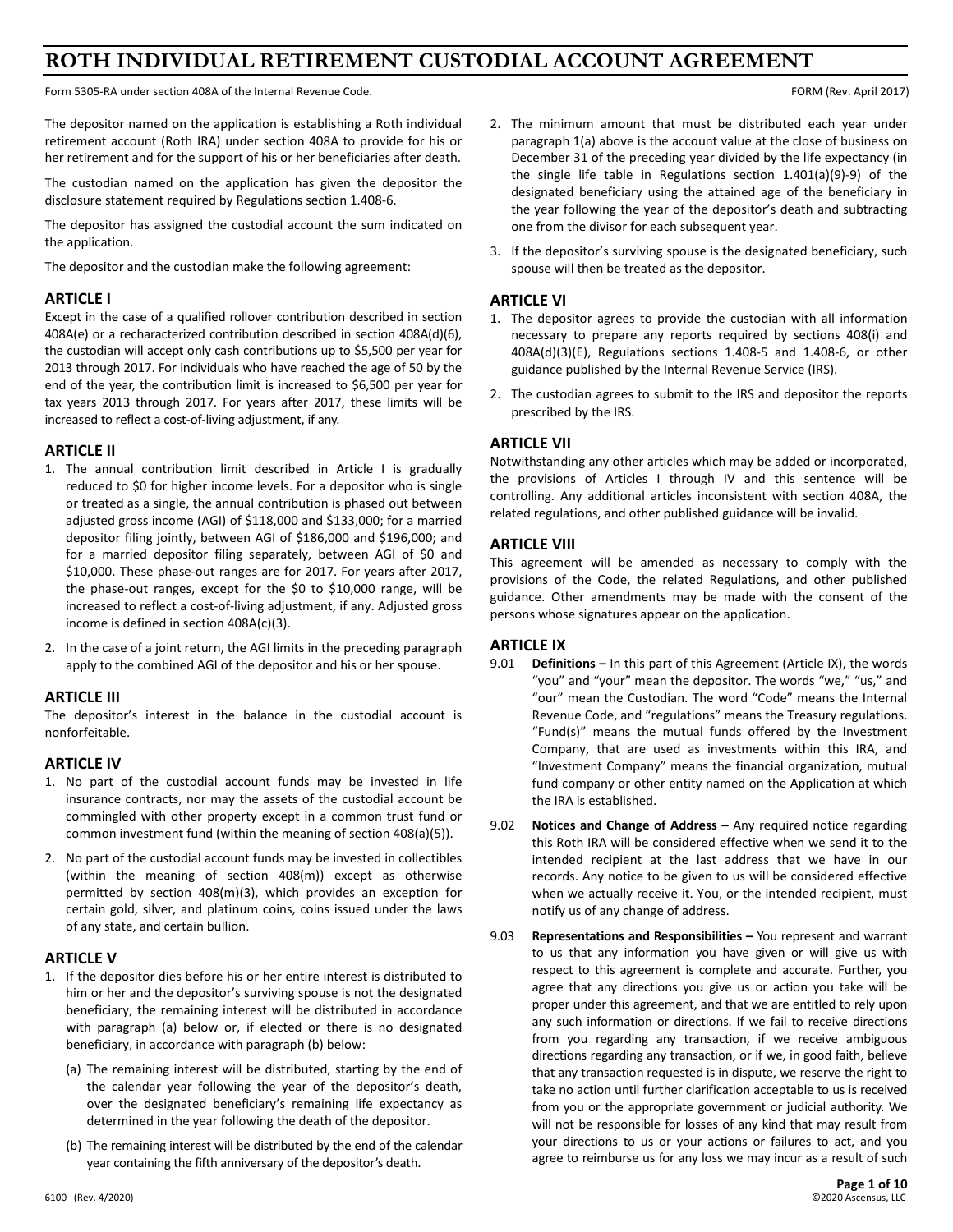# **ROTH INDIVIDUAL RETIREMENT CUSTODIAL ACCOUNT AGREEMENT**

Form 5305-RA under section 408A of the Internal Revenue Code. The Internal Revenue Code. FORM (Rev. April 2017)

The depositor named on the application is establishing a Roth individual retirement account (Roth IRA) under section 408A to provide for his or her retirement and for the support of his or her beneficiaries after death.

The custodian named on the application has given the depositor the disclosure statement required by Regulations section 1.408-6.

The depositor has assigned the custodial account the sum indicated on the application.

The depositor and the custodian make the following agreement:

# **ARTICLE I**

Except in the case of a qualified rollover contribution described in section 408A(e) or a recharacterized contribution described in section 408A(d)(6), the custodian will accept only cash contributions up to \$5,500 per year for 2013 through 2017. For individuals who have reached the age of 50 by the end of the year, the contribution limit is increased to \$6,500 per year for tax years 2013 through 2017. For years after 2017, these limits will be increased to reflect a cost-of-living adjustment, if any.

# **ARTICLE II**

- 1. The annual contribution limit described in Article I is gradually reduced to \$0 for higher income levels. For a depositor who is single or treated as a single, the annual contribution is phased out between adjusted gross income (AGI) of \$118,000 and \$133,000; for a married depositor filing jointly, between AGI of \$186,000 and \$196,000; and for a married depositor filing separately, between AGI of \$0 and \$10,000. These phase-out ranges are for 2017. For years after 2017, the phase-out ranges, except for the \$0 to \$10,000 range, will be increased to reflect a cost-of-living adjustment, if any. Adjusted gross income is defined in section 408A(c)(3).
- 2. In the case of a joint return, the AGI limits in the preceding paragraph apply to the combined AGI of the depositor and his or her spouse.

# **ARTICLE III**

The depositor's interest in the balance in the custodial account is nonforfeitable.

#### **ARTICLE IV**

- 1. No part of the custodial account funds may be invested in life insurance contracts, nor may the assets of the custodial account be commingled with other property except in a common trust fund or common investment fund (within the meaning of section 408(a)(5)).
- 2. No part of the custodial account funds may be invested in collectibles (within the meaning of section 408(m)) except as otherwise permitted by section 408(m)(3), which provides an exception for certain gold, silver, and platinum coins, coins issued under the laws of any state, and certain bullion.

# **ARTICLE V**

- 1. If the depositor dies before his or her entire interest is distributed to him or her and the depositor's surviving spouse is not the designated beneficiary, the remaining interest will be distributed in accordance with paragraph (a) below or, if elected or there is no designated beneficiary, in accordance with paragraph (b) below:
	- (a) The remaining interest will be distributed, starting by the end of the calendar year following the year of the depositor's death, over the designated beneficiary's remaining life expectancy as determined in the year following the death of the depositor.
	- (b) The remaining interest will be distributed by the end of the calendar year containing the fifth anniversary of the depositor's death.
- 2. The minimum amount that must be distributed each year under paragraph 1(a) above is the account value at the close of business on December 31 of the preceding year divided by the life expectancy (in the single life table in Regulations section 1.401(a)(9)-9) of the designated beneficiary using the attained age of the beneficiary in the year following the year of the depositor's death and subtracting one from the divisor for each subsequent year.
- 3. If the depositor's surviving spouse is the designated beneficiary, such spouse will then be treated as the depositor.

# **ARTICLE VI**

- 1. The depositor agrees to provide the custodian with all information necessary to prepare any reports required by sections 408(i) and 408A(d)(3)(E), Regulations sections 1.408-5 and 1.408-6, or other guidance published by the Internal Revenue Service (IRS).
- 2. The custodian agrees to submit to the IRS and depositor the reports prescribed by the IRS.

# **ARTICLE VII**

Notwithstanding any other articles which may be added or incorporated, the provisions of Articles I through IV and this sentence will be controlling. Any additional articles inconsistent with section 408A, the related regulations, and other published guidance will be invalid.

# **ARTICLE VIII**

This agreement will be amended as necessary to comply with the provisions of the Code, the related Regulations, and other published guidance. Other amendments may be made with the consent of the persons whose signatures appear on the application.

# **ARTICLE IX**

- 9.01 **Definitions –** In this part of this Agreement (Article IX), the words "you" and "your" mean the depositor. The words "we," "us," and "our" mean the Custodian. The word "Code" means the Internal Revenue Code, and "regulations" means the Treasury regulations. "Fund(s)" means the mutual funds offered by the Investment Company, that are used as investments within this IRA, and "Investment Company" means the financial organization, mutual fund company or other entity named on the Application at which the IRA is established.
- 9.02 **Notices and Change of Address –** Any required notice regarding this Roth IRA will be considered effective when we send it to the intended recipient at the last address that we have in our records. Any notice to be given to us will be considered effective when we actually receive it. You, or the intended recipient, must notify us of any change of address.
- 9.03 **Representations and Responsibilities –** You represent and warrant to us that any information you have given or will give us with respect to this agreement is complete and accurate. Further, you agree that any directions you give us or action you take will be proper under this agreement, and that we are entitled to rely upon any such information or directions. If we fail to receive directions from you regarding any transaction, if we receive ambiguous directions regarding any transaction, or if we, in good faith, believe that any transaction requested is in dispute, we reserve the right to take no action until further clarification acceptable to us is received from you or the appropriate government or judicial authority. We will not be responsible for losses of any kind that may result from your directions to us or your actions or failures to act, and you agree to reimburse us for any loss we may incur as a result of such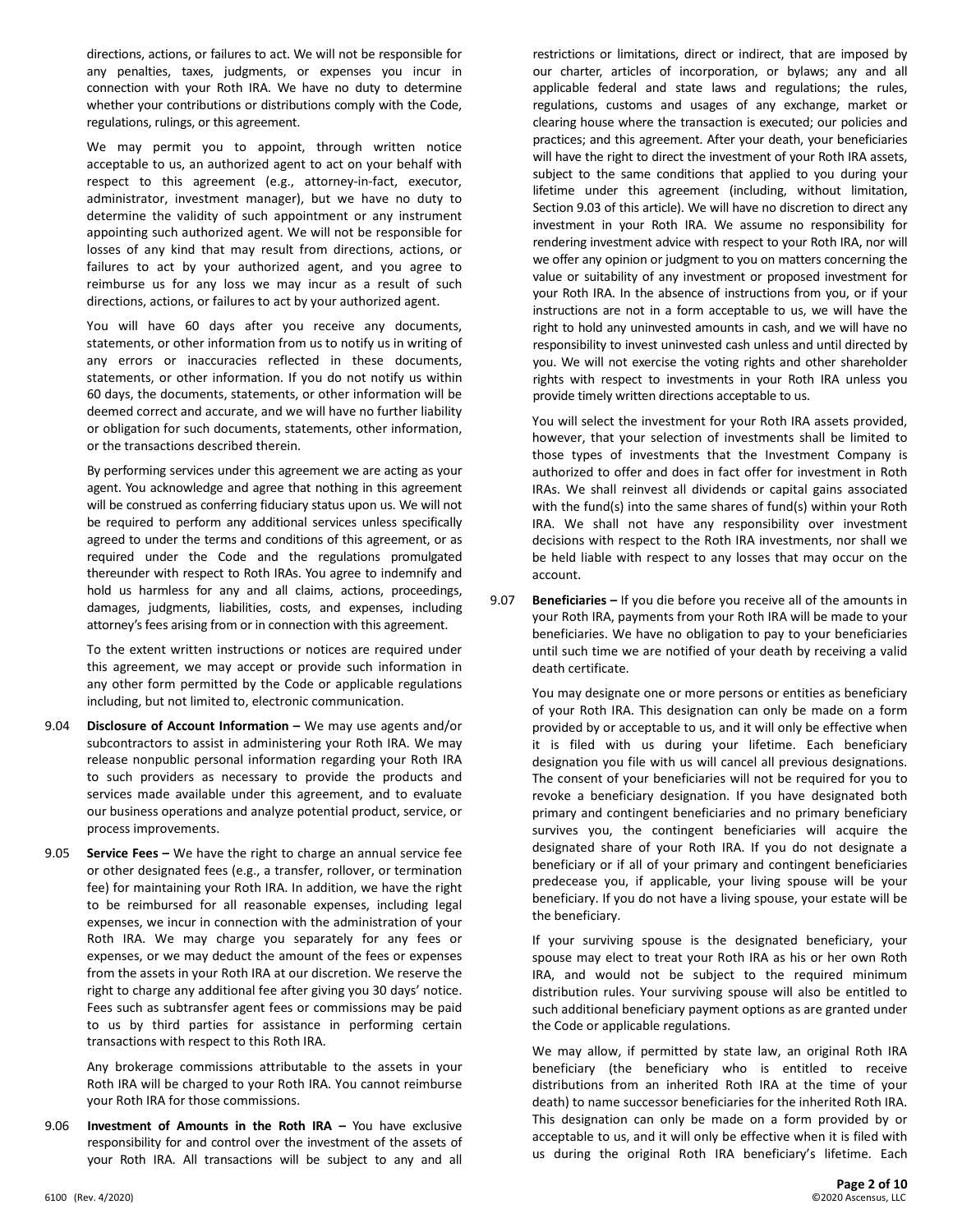directions, actions, or failures to act. We will not be responsible for any penalties, taxes, judgments, or expenses you incur in connection with your Roth IRA. We have no duty to determine whether your contributions or distributions comply with the Code, regulations, rulings, or this agreement.

We may permit you to appoint, through written notice acceptable to us, an authorized agent to act on your behalf with respect to this agreement (e.g., attorney-in-fact, executor, administrator, investment manager), but we have no duty to determine the validity of such appointment or any instrument appointing such authorized agent. We will not be responsible for losses of any kind that may result from directions, actions, or failures to act by your authorized agent, and you agree to reimburse us for any loss we may incur as a result of such directions, actions, or failures to act by your authorized agent.

You will have 60 days after you receive any documents, statements, or other information from us to notify us in writing of any errors or inaccuracies reflected in these documents, statements, or other information. If you do not notify us within 60 days, the documents, statements, or other information will be deemed correct and accurate, and we will have no further liability or obligation for such documents, statements, other information, or the transactions described therein.

By performing services under this agreement we are acting as your agent. You acknowledge and agree that nothing in this agreement will be construed as conferring fiduciary status upon us. We will not be required to perform any additional services unless specifically agreed to under the terms and conditions of this agreement, or as required under the Code and the regulations promulgated thereunder with respect to Roth IRAs. You agree to indemnify and hold us harmless for any and all claims, actions, proceedings, damages, judgments, liabilities, costs, and expenses, including attorney's fees arising from or in connection with this agreement.

To the extent written instructions or notices are required under this agreement, we may accept or provide such information in any other form permitted by the Code or applicable regulations including, but not limited to, electronic communication.

- 9.04 **Disclosure of Account Information –** We may use agents and/or subcontractors to assist in administering your Roth IRA. We may release nonpublic personal information regarding your Roth IRA to such providers as necessary to provide the products and services made available under this agreement, and to evaluate our business operations and analyze potential product, service, or process improvements.
- 9.05 **Service Fees –** We have the right to charge an annual service fee or other designated fees (e.g., a transfer, rollover, or termination fee) for maintaining your Roth IRA. In addition, we have the right to be reimbursed for all reasonable expenses, including legal expenses, we incur in connection with the administration of your Roth IRA. We may charge you separately for any fees or expenses, or we may deduct the amount of the fees or expenses from the assets in your Roth IRA at our discretion. We reserve the right to charge any additional fee after giving you 30 days' notice. Fees such as subtransfer agent fees or commissions may be paid to us by third parties for assistance in performing certain transactions with respect to this Roth IRA.

Any brokerage commissions attributable to the assets in your Roth IRA will be charged to your Roth IRA. You cannot reimburse your Roth IRA for those commissions.

9.06 **Investment of Amounts in the Roth IRA –** You have exclusive responsibility for and control over the investment of the assets of your Roth IRA. All transactions will be subject to any and all restrictions or limitations, direct or indirect, that are imposed by our charter, articles of incorporation, or bylaws; any and all applicable federal and state laws and regulations; the rules, regulations, customs and usages of any exchange, market or clearing house where the transaction is executed; our policies and practices; and this agreement. After your death, your beneficiaries will have the right to direct the investment of your Roth IRA assets, subject to the same conditions that applied to you during your lifetime under this agreement (including, without limitation, Section 9.03 of this article). We will have no discretion to direct any investment in your Roth IRA. We assume no responsibility for rendering investment advice with respect to your Roth IRA, nor will we offer any opinion or judgment to you on matters concerning the value or suitability of any investment or proposed investment for your Roth IRA. In the absence of instructions from you, or if your instructions are not in a form acceptable to us, we will have the right to hold any uninvested amounts in cash, and we will have no responsibility to invest uninvested cash unless and until directed by you. We will not exercise the voting rights and other shareholder rights with respect to investments in your Roth IRA unless you provide timely written directions acceptable to us.

You will select the investment for your Roth IRA assets provided, however, that your selection of investments shall be limited to those types of investments that the Investment Company is authorized to offer and does in fact offer for investment in Roth IRAs. We shall reinvest all dividends or capital gains associated with the fund(s) into the same shares of fund(s) within your Roth IRA. We shall not have any responsibility over investment decisions with respect to the Roth IRA investments, nor shall we be held liable with respect to any losses that may occur on the account.

9.07 **Beneficiaries –** If you die before you receive all of the amounts in your Roth IRA, payments from your Roth IRA will be made to your beneficiaries. We have no obligation to pay to your beneficiaries until such time we are notified of your death by receiving a valid death certificate.

You may designate one or more persons or entities as beneficiary of your Roth IRA. This designation can only be made on a form provided by or acceptable to us, and it will only be effective when it is filed with us during your lifetime. Each beneficiary designation you file with us will cancel all previous designations. The consent of your beneficiaries will not be required for you to revoke a beneficiary designation. If you have designated both primary and contingent beneficiaries and no primary beneficiary survives you, the contingent beneficiaries will acquire the designated share of your Roth IRA. If you do not designate a beneficiary or if all of your primary and contingent beneficiaries predecease you, if applicable, your living spouse will be your beneficiary. If you do not have a living spouse, your estate will be the beneficiary.

If your surviving spouse is the designated beneficiary, your spouse may elect to treat your Roth IRA as his or her own Roth IRA, and would not be subject to the required minimum distribution rules. Your surviving spouse will also be entitled to such additional beneficiary payment options as are granted under the Code or applicable regulations.

We may allow, if permitted by state law, an original Roth IRA beneficiary (the beneficiary who is entitled to receive distributions from an inherited Roth IRA at the time of your death) to name successor beneficiaries for the inherited Roth IRA. This designation can only be made on a form provided by or acceptable to us, and it will only be effective when it is filed with us during the original Roth IRA beneficiary's lifetime. Each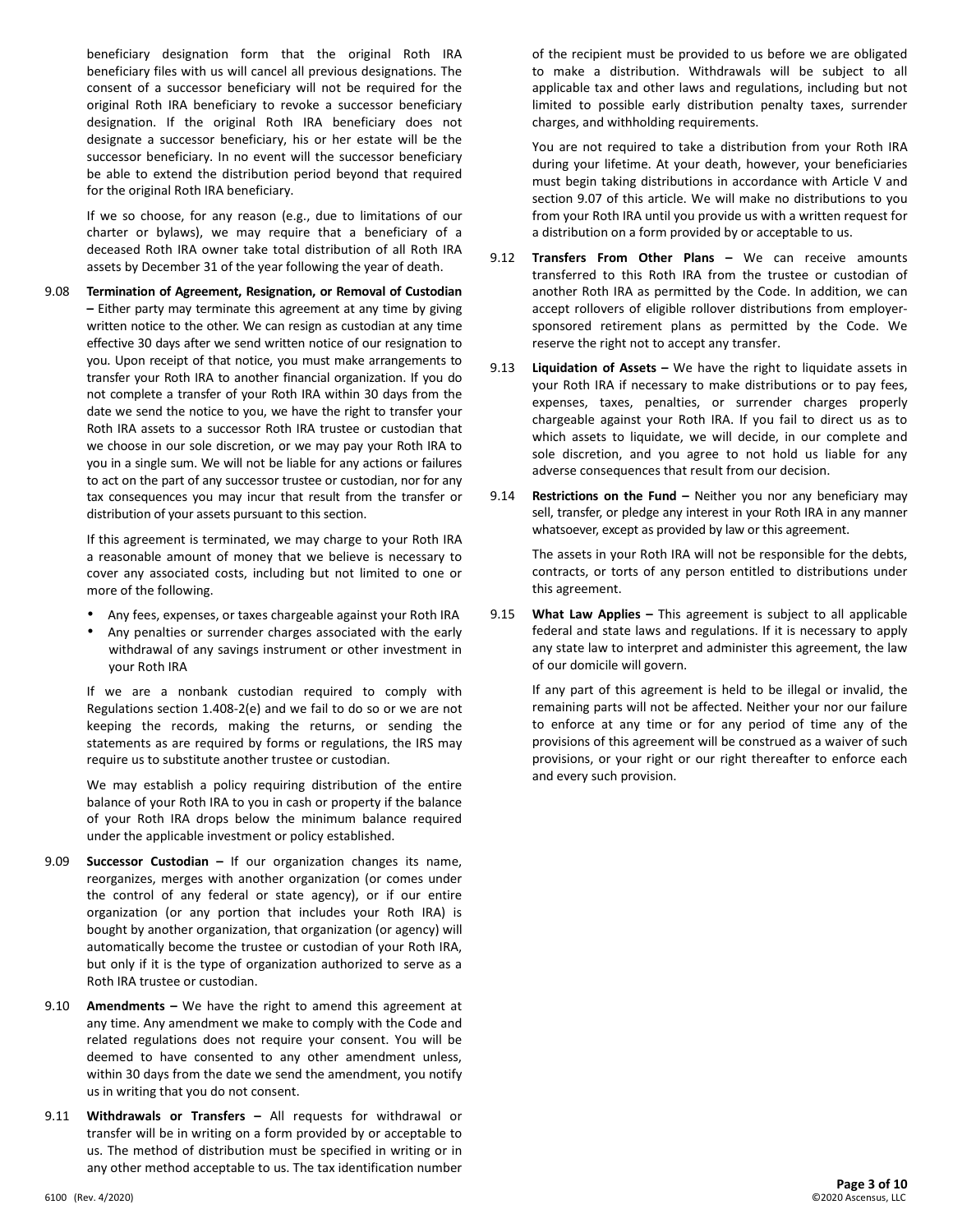beneficiary designation form that the original Roth IRA beneficiary files with us will cancel all previous designations. The consent of a successor beneficiary will not be required for the original Roth IRA beneficiary to revoke a successor beneficiary designation. If the original Roth IRA beneficiary does not designate a successor beneficiary, his or her estate will be the successor beneficiary. In no event will the successor beneficiary be able to extend the distribution period beyond that required for the original Roth IRA beneficiary.

If we so choose, for any reason (e.g., due to limitations of our charter or bylaws), we may require that a beneficiary of a deceased Roth IRA owner take total distribution of all Roth IRA assets by December 31 of the year following the year of death.

9.08 **Termination of Agreement, Resignation, or Removal of Custodian –** Either party may terminate this agreement at any time by giving written notice to the other. We can resign as custodian at any time effective 30 days after we send written notice of our resignation to you. Upon receipt of that notice, you must make arrangements to transfer your Roth IRA to another financial organization. If you do not complete a transfer of your Roth IRA within 30 days from the date we send the notice to you, we have the right to transfer your Roth IRA assets to a successor Roth IRA trustee or custodian that we choose in our sole discretion, or we may pay your Roth IRA to you in a single sum. We will not be liable for any actions or failures to act on the part of any successor trustee or custodian, nor for any tax consequences you may incur that result from the transfer or distribution of your assets pursuant to this section.

> If this agreement is terminated, we may charge to your Roth IRA a reasonable amount of money that we believe is necessary to cover any associated costs, including but not limited to one or more of the following.

- Any fees, expenses, or taxes chargeable against your Roth IRA
- Any penalties or surrender charges associated with the early withdrawal of any savings instrument or other investment in your Roth IRA

If we are a nonbank custodian required to comply with Regulations section 1.408-2(e) and we fail to do so or we are not keeping the records, making the returns, or sending the statements as are required by forms or regulations, the IRS may require us to substitute another trustee or custodian.

We may establish a policy requiring distribution of the entire balance of your Roth IRA to you in cash or property if the balance of your Roth IRA drops below the minimum balance required under the applicable investment or policy established.

- 9.09 **Successor Custodian –** If our organization changes its name, reorganizes, merges with another organization (or comes under the control of any federal or state agency), or if our entire organization (or any portion that includes your Roth IRA) is bought by another organization, that organization (or agency) will automatically become the trustee or custodian of your Roth IRA, but only if it is the type of organization authorized to serve as a Roth IRA trustee or custodian.
- 9.10 **Amendments –** We have the right to amend this agreement at any time. Any amendment we make to comply with the Code and related regulations does not require your consent. You will be deemed to have consented to any other amendment unless, within 30 days from the date we send the amendment, you notify us in writing that you do not consent.
- 9.11 **Withdrawals or Transfers –** All requests for withdrawal or transfer will be in writing on a form provided by or acceptable to us. The method of distribution must be specified in writing or in any other method acceptable to us. The tax identification number

of the recipient must be provided to us before we are obligated to make a distribution. Withdrawals will be subject to all applicable tax and other laws and regulations, including but not limited to possible early distribution penalty taxes, surrender charges, and withholding requirements.

You are not required to take a distribution from your Roth IRA during your lifetime. At your death, however, your beneficiaries must begin taking distributions in accordance with Article V and section 9.07 of this article. We will make no distributions to you from your Roth IRA until you provide us with a written request for a distribution on a form provided by or acceptable to us.

- 9.12 **Transfers From Other Plans –** We can receive amounts transferred to this Roth IRA from the trustee or custodian of another Roth IRA as permitted by the Code. In addition, we can accept rollovers of eligible rollover distributions from employersponsored retirement plans as permitted by the Code. We reserve the right not to accept any transfer.
- 9.13 **Liquidation of Assets –** We have the right to liquidate assets in your Roth IRA if necessary to make distributions or to pay fees, expenses, taxes, penalties, or surrender charges properly chargeable against your Roth IRA. If you fail to direct us as to which assets to liquidate, we will decide, in our complete and sole discretion, and you agree to not hold us liable for any adverse consequences that result from our decision.
- 9.14 **Restrictions on the Fund –** Neither you nor any beneficiary may sell, transfer, or pledge any interest in your Roth IRA in any manner whatsoever, except as provided by law or this agreement.

The assets in your Roth IRA will not be responsible for the debts, contracts, or torts of any person entitled to distributions under this agreement.

9.15 **What Law Applies –** This agreement is subject to all applicable federal and state laws and regulations. If it is necessary to apply any state law to interpret and administer this agreement, the law of our domicile will govern.

If any part of this agreement is held to be illegal or invalid, the remaining parts will not be affected. Neither your nor our failure to enforce at any time or for any period of time any of the provisions of this agreement will be construed as a waiver of such provisions, or your right or our right thereafter to enforce each and every such provision.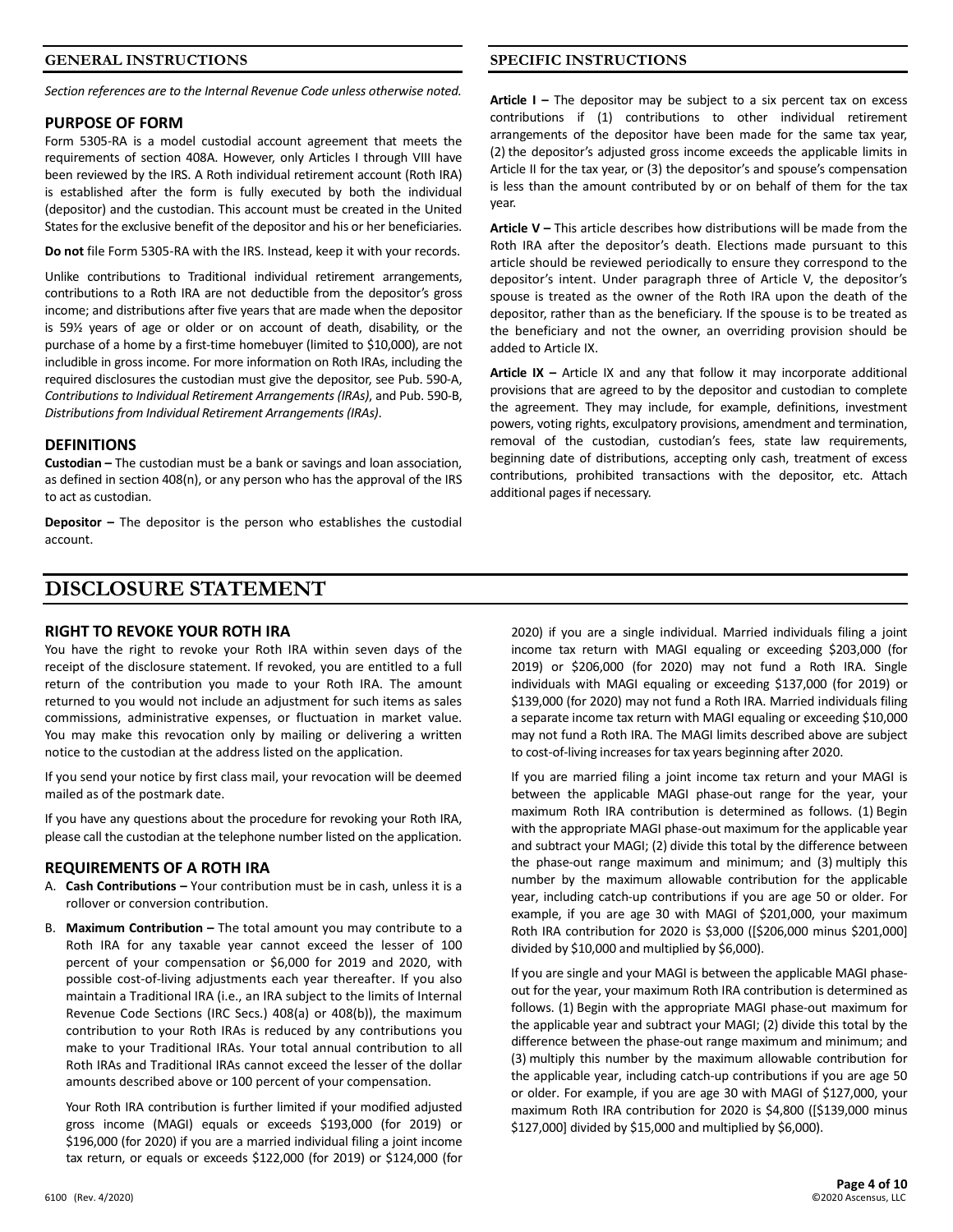#### **GENERAL INSTRUCTIONS**

*Section references are to the Internal Revenue Code unless otherwise noted.*

#### **PURPOSE OF FORM**

Form 5305-RA is a model custodial account agreement that meets the requirements of section 408A. However, only Articles I through VIII have been reviewed by the IRS. A Roth individual retirement account (Roth IRA) is established after the form is fully executed by both the individual (depositor) and the custodian. This account must be created in the United States for the exclusive benefit of the depositor and his or her beneficiaries.

**Do not** file Form 5305-RA with the IRS. Instead, keep it with your records.

Unlike contributions to Traditional individual retirement arrangements, contributions to a Roth IRA are not deductible from the depositor's gross income; and distributions after five years that are made when the depositor is 59½ years of age or older or on account of death, disability, or the purchase of a home by a first-time homebuyer (limited to \$10,000), are not includible in gross income. For more information on Roth IRAs, including the required disclosures the custodian must give the depositor, see Pub. 590-A, *Contributions to Individual Retirement Arrangements (IRAs)*, and Pub. 590-B, *Distributions from Individual Retirement Arrangements (IRAs)*.

#### **DEFINITIONS**

**Custodian –** The custodian must be a bank or savings and loan association, as defined in section 408(n), or any person who has the approval of the IRS to act as custodian.

**Depositor –** The depositor is the person who establishes the custodial account.

# **SPECIFIC INSTRUCTIONS**

**Article I –** The depositor may be subject to a six percent tax on excess contributions if (1) contributions to other individual retirement arrangements of the depositor have been made for the same tax year, (2) the depositor's adjusted gross income exceeds the applicable limits in Article II for the tax year, or (3) the depositor's and spouse's compensation is less than the amount contributed by or on behalf of them for the tax year.

**Article V –** This article describes how distributions will be made from the Roth IRA after the depositor's death. Elections made pursuant to this article should be reviewed periodically to ensure they correspond to the depositor's intent. Under paragraph three of Article V, the depositor's spouse is treated as the owner of the Roth IRA upon the death of the depositor, rather than as the beneficiary. If the spouse is to be treated as the beneficiary and not the owner, an overriding provision should be added to Article IX.

**Article IX –** Article IX and any that follow it may incorporate additional provisions that are agreed to by the depositor and custodian to complete the agreement. They may include, for example, definitions, investment powers, voting rights, exculpatory provisions, amendment and termination, removal of the custodian, custodian's fees, state law requirements, beginning date of distributions, accepting only cash, treatment of excess contributions, prohibited transactions with the depositor, etc. Attach additional pages if necessary.

# **DISCLOSURE STATEMENT**

#### **RIGHT TO REVOKE YOUR ROTH IRA**

You have the right to revoke your Roth IRA within seven days of the receipt of the disclosure statement. If revoked, you are entitled to a full return of the contribution you made to your Roth IRA. The amount returned to you would not include an adjustment for such items as sales commissions, administrative expenses, or fluctuation in market value. You may make this revocation only by mailing or delivering a written notice to the custodian at the address listed on the application.

If you send your notice by first class mail, your revocation will be deemed mailed as of the postmark date.

If you have any questions about the procedure for revoking your Roth IRA, please call the custodian at the telephone number listed on the application.

#### **REQUIREMENTS OF A ROTH IRA**

- A. **Cash Contributions –** Your contribution must be in cash, unless it is a rollover or conversion contribution.
- B. **Maximum Contribution –** The total amount you may contribute to a Roth IRA for any taxable year cannot exceed the lesser of 100 percent of your compensation or \$6,000 for 2019 and 2020, with possible cost-of-living adjustments each year thereafter. If you also maintain a Traditional IRA (i.e., an IRA subject to the limits of Internal Revenue Code Sections (IRC Secs.) 408(a) or 408(b)), the maximum contribution to your Roth IRAs is reduced by any contributions you make to your Traditional IRAs. Your total annual contribution to all Roth IRAs and Traditional IRAs cannot exceed the lesser of the dollar amounts described above or 100 percent of your compensation.

Your Roth IRA contribution is further limited if your modified adjusted gross income (MAGI) equals or exceeds \$193,000 (for 2019) or \$196,000 (for 2020) if you are a married individual filing a joint income tax return, or equals or exceeds \$122,000 (for 2019) or \$124,000 (for

2020) if you are a single individual. Married individuals filing a joint income tax return with MAGI equaling or exceeding \$203,000 (for 2019) or \$206,000 (for 2020) may not fund a Roth IRA. Single individuals with MAGI equaling or exceeding \$137,000 (for 2019) or \$139,000 (for 2020) may not fund a Roth IRA. Married individuals filing a separate income tax return with MAGI equaling or exceeding \$10,000 may not fund a Roth IRA. The MAGI limits described above are subject to cost-of-living increases for tax years beginning after 2020.

If you are married filing a joint income tax return and your MAGI is between the applicable MAGI phase-out range for the year, your maximum Roth IRA contribution is determined as follows. (1) Begin with the appropriate MAGI phase-out maximum for the applicable year and subtract your MAGI; (2) divide this total by the difference between the phase-out range maximum and minimum; and (3) multiply this number by the maximum allowable contribution for the applicable year, including catch-up contributions if you are age 50 or older. For example, if you are age 30 with MAGI of \$201,000, your maximum Roth IRA contribution for 2020 is \$3,000 ([\$206,000 minus \$201,000] divided by \$10,000 and multiplied by \$6,000).

If you are single and your MAGI is between the applicable MAGI phaseout for the year, your maximum Roth IRA contribution is determined as follows. (1) Begin with the appropriate MAGI phase-out maximum for the applicable year and subtract your MAGI; (2) divide this total by the difference between the phase-out range maximum and minimum; and (3) multiply this number by the maximum allowable contribution for the applicable year, including catch-up contributions if you are age 50 or older. For example, if you are age 30 with MAGI of \$127,000, your maximum Roth IRA contribution for 2020 is \$4,800 ([\$139,000 minus \$127,000] divided by \$15,000 and multiplied by \$6,000).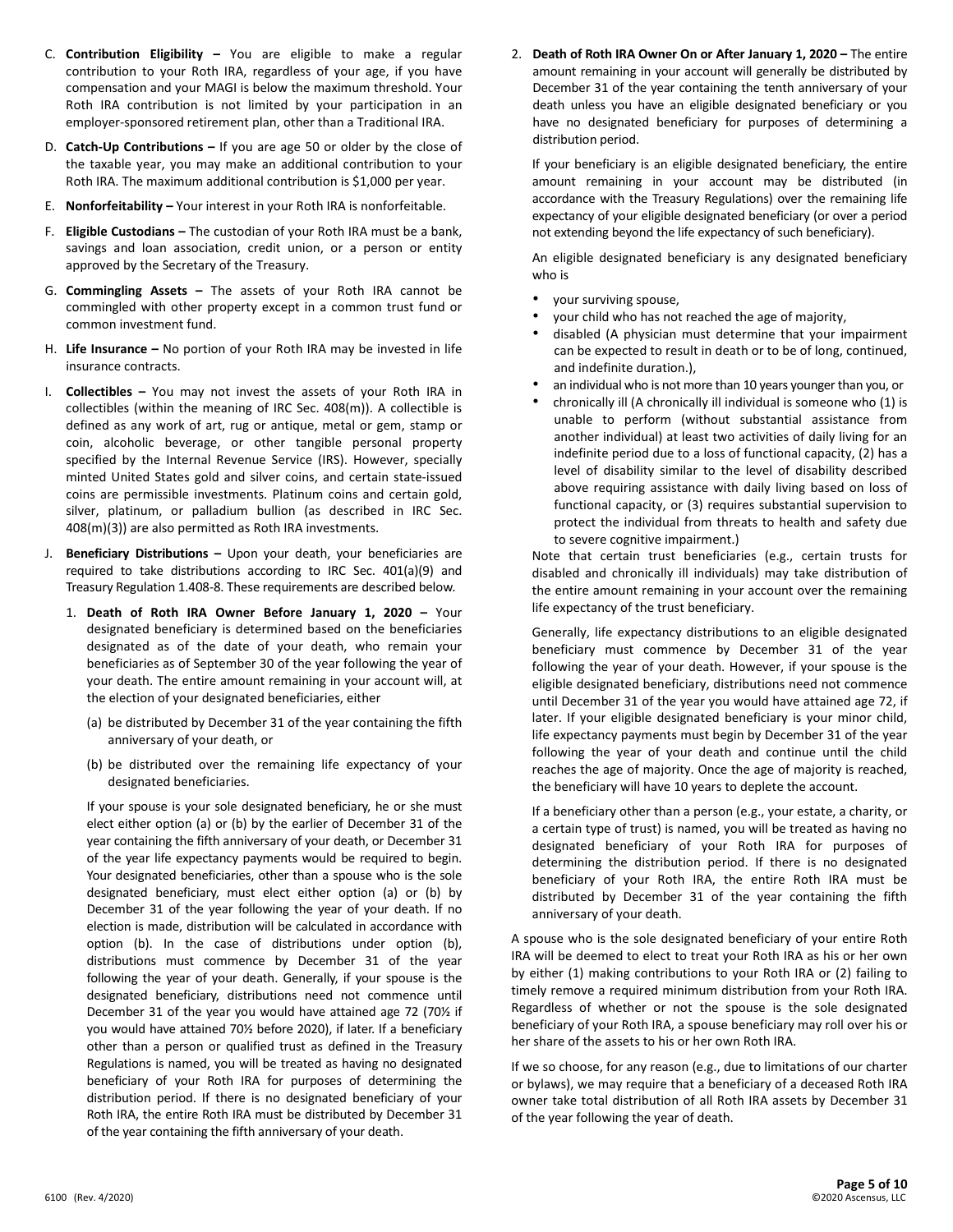- C. **Contribution Eligibility –** You are eligible to make a regular contribution to your Roth IRA, regardless of your age, if you have compensation and your MAGI is below the maximum threshold. Your Roth IRA contribution is not limited by your participation in an employer-sponsored retirement plan, other than a Traditional IRA.
- D. **Catch-Up Contributions –** If you are age 50 or older by the close of the taxable year, you may make an additional contribution to your Roth IRA. The maximum additional contribution is \$1,000 per year.
- E. **Nonforfeitability –** Your interest in your Roth IRA is nonforfeitable.
- F. **Eligible Custodians –** The custodian of your Roth IRA must be a bank, savings and loan association, credit union, or a person or entity approved by the Secretary of the Treasury.
- G. **Commingling Assets –** The assets of your Roth IRA cannot be commingled with other property except in a common trust fund or common investment fund.
- H. **Life Insurance –** No portion of your Roth IRA may be invested in life insurance contracts.
- I. **Collectibles –** You may not invest the assets of your Roth IRA in collectibles (within the meaning of IRC Sec. 408(m)). A collectible is defined as any work of art, rug or antique, metal or gem, stamp or coin, alcoholic beverage, or other tangible personal property specified by the Internal Revenue Service (IRS). However, specially minted United States gold and silver coins, and certain state-issued coins are permissible investments. Platinum coins and certain gold, silver, platinum, or palladium bullion (as described in IRC Sec. 408(m)(3)) are also permitted as Roth IRA investments.
- J. **Beneficiary Distributions –** Upon your death, your beneficiaries are required to take distributions according to IRC Sec. 401(a)(9) and Treasury Regulation 1.408-8. These requirements are described below.
	- 1. **Death of Roth IRA Owner Before January 1, 2020 –** Your designated beneficiary is determined based on the beneficiaries designated as of the date of your death, who remain your beneficiaries as of September 30 of the year following the year of your death. The entire amount remaining in your account will, at the election of your designated beneficiaries, either
		- (a) be distributed by December 31 of the year containing the fifth anniversary of your death, or
		- (b) be distributed over the remaining life expectancy of your designated beneficiaries.

If your spouse is your sole designated beneficiary, he or she must elect either option (a) or (b) by the earlier of December 31 of the year containing the fifth anniversary of your death, or December 31 of the year life expectancy payments would be required to begin. Your designated beneficiaries, other than a spouse who is the sole designated beneficiary, must elect either option (a) or (b) by December 31 of the year following the year of your death. If no election is made, distribution will be calculated in accordance with option (b). In the case of distributions under option (b), distributions must commence by December 31 of the year following the year of your death. Generally, if your spouse is the designated beneficiary, distributions need not commence until December 31 of the year you would have attained age 72 (70½ if you would have attained 70½ before 2020), if later. If a beneficiary other than a person or qualified trust as defined in the Treasury Regulations is named, you will be treated as having no designated beneficiary of your Roth IRA for purposes of determining the distribution period. If there is no designated beneficiary of your Roth IRA, the entire Roth IRA must be distributed by December 31 of the year containing the fifth anniversary of your death.

2. **Death of Roth IRA Owner On or After January 1, 2020 –** The entire amount remaining in your account will generally be distributed by December 31 of the year containing the tenth anniversary of your death unless you have an eligible designated beneficiary or you have no designated beneficiary for purposes of determining a distribution period.

If your beneficiary is an eligible designated beneficiary, the entire amount remaining in your account may be distributed (in accordance with the Treasury Regulations) over the remaining life expectancy of your eligible designated beneficiary (or over a period not extending beyond the life expectancy of such beneficiary).

An eligible designated beneficiary is any designated beneficiary who is

- your surviving spouse,
- your child who has not reached the age of majority,
- disabled (A physician must determine that your impairment can be expected to result in death or to be of long, continued, and indefinite duration.),
- an individual who is not more than 10 years younger than you, or
- chronically ill (A chronically ill individual is someone who (1) is unable to perform (without substantial assistance from another individual) at least two activities of daily living for an indefinite period due to a loss of functional capacity, (2) has a level of disability similar to the level of disability described above requiring assistance with daily living based on loss of functional capacity, or (3) requires substantial supervision to protect the individual from threats to health and safety due to severe cognitive impairment.)

Note that certain trust beneficiaries (e.g., certain trusts for disabled and chronically ill individuals) may take distribution of the entire amount remaining in your account over the remaining life expectancy of the trust beneficiary.

Generally, life expectancy distributions to an eligible designated beneficiary must commence by December 31 of the year following the year of your death. However, if your spouse is the eligible designated beneficiary, distributions need not commence until December 31 of the year you would have attained age 72, if later. If your eligible designated beneficiary is your minor child, life expectancy payments must begin by December 31 of the year following the year of your death and continue until the child reaches the age of majority. Once the age of majority is reached, the beneficiary will have 10 years to deplete the account.

If a beneficiary other than a person (e.g., your estate, a charity, or a certain type of trust) is named, you will be treated as having no designated beneficiary of your Roth IRA for purposes of determining the distribution period. If there is no designated beneficiary of your Roth IRA, the entire Roth IRA must be distributed by December 31 of the year containing the fifth anniversary of your death.

A spouse who is the sole designated beneficiary of your entire Roth IRA will be deemed to elect to treat your Roth IRA as his or her own by either (1) making contributions to your Roth IRA or (2) failing to timely remove a required minimum distribution from your Roth IRA. Regardless of whether or not the spouse is the sole designated beneficiary of your Roth IRA, a spouse beneficiary may roll over his or her share of the assets to his or her own Roth IRA.

If we so choose, for any reason (e.g., due to limitations of our charter or bylaws), we may require that a beneficiary of a deceased Roth IRA owner take total distribution of all Roth IRA assets by December 31 of the year following the year of death.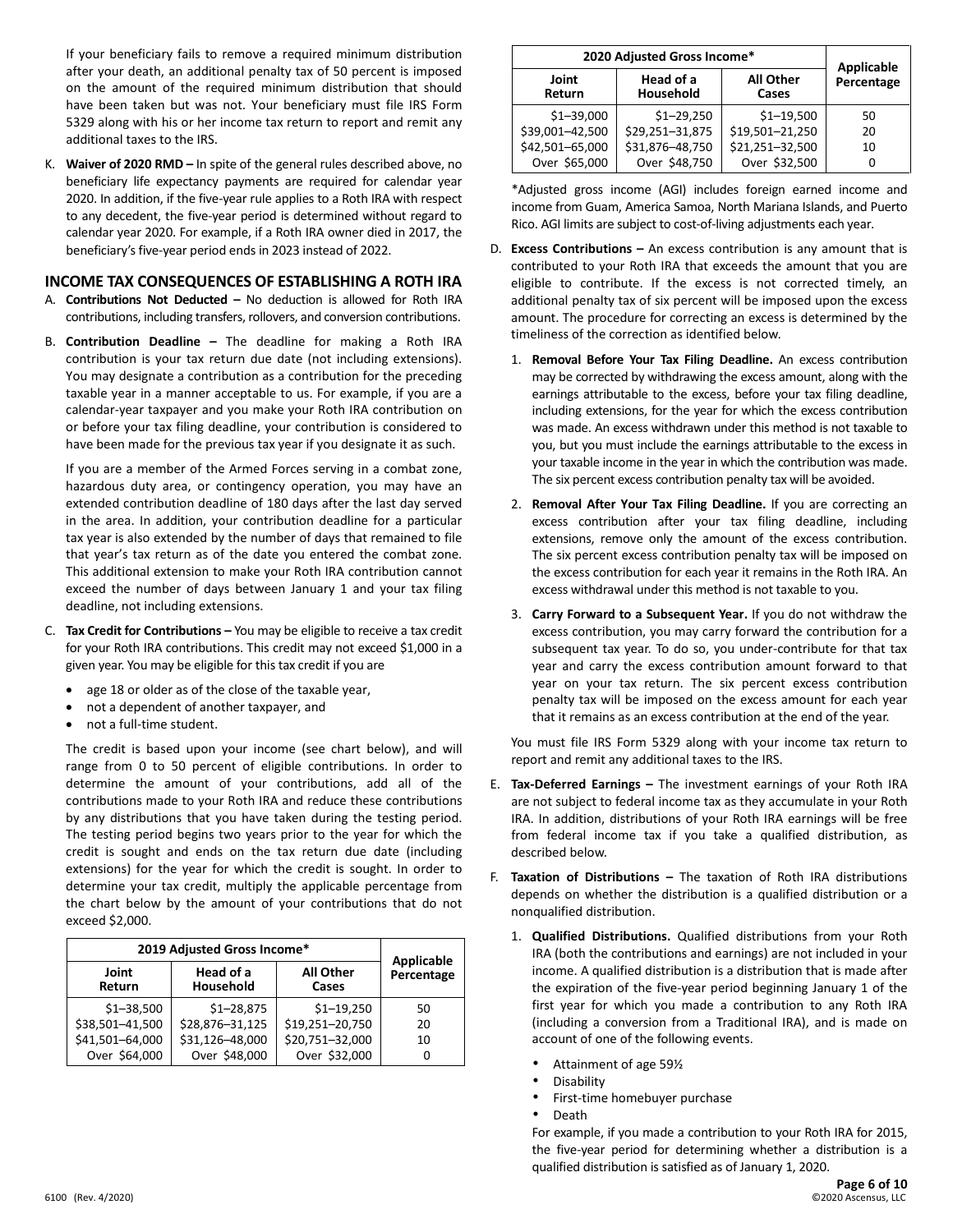If your beneficiary fails to remove a required minimum distribution after your death, an additional penalty tax of 50 percent is imposed on the amount of the required minimum distribution that should have been taken but was not. Your beneficiary must file IRS Form 5329 along with his or her income tax return to report and remit any additional taxes to the IRS.

K. **Waiver of 2020 RMD –** In spite of the general rules described above, no beneficiary life expectancy payments are required for calendar year 2020. In addition, if the five-year rule applies to a Roth IRA with respect to any decedent, the five-year period is determined without regard to calendar year 2020. For example, if a Roth IRA owner died in 2017, the beneficiary's five-year period ends in 2023 instead of 2022.

# **INCOME TAX CONSEQUENCES OF ESTABLISHING A ROTH IRA**

- A. **Contributions Not Deducted –** No deduction is allowed for Roth IRA contributions, including transfers, rollovers, and conversion contributions.
- B. **Contribution Deadline –** The deadline for making a Roth IRA contribution is your tax return due date (not including extensions). You may designate a contribution as a contribution for the preceding taxable year in a manner acceptable to us. For example, if you are a calendar-year taxpayer and you make your Roth IRA contribution on or before your tax filing deadline, your contribution is considered to have been made for the previous tax year if you designate it as such.

If you are a member of the Armed Forces serving in a combat zone, hazardous duty area, or contingency operation, you may have an extended contribution deadline of 180 days after the last day served in the area. In addition, your contribution deadline for a particular tax year is also extended by the number of days that remained to file that year's tax return as of the date you entered the combat zone. This additional extension to make your Roth IRA contribution cannot exceed the number of days between January 1 and your tax filing deadline, not including extensions.

- C. **Tax Credit for Contributions –** You may be eligible to receive a tax credit for your Roth IRA contributions. This credit may not exceed \$1,000 in a given year. You may be eligible for this tax credit if you are
	- age 18 or older as of the close of the taxable year,
	- not a dependent of another taxpayer, and
	- not a full-time student.

The credit is based upon your income (see chart below), and will range from 0 to 50 percent of eligible contributions. In order to determine the amount of your contributions, add all of the contributions made to your Roth IRA and reduce these contributions by any distributions that you have taken during the testing period. The testing period begins two years prior to the year for which the credit is sought and ends on the tax return due date (including extensions) for the year for which the credit is sought. In order to determine your tax credit, multiply the applicable percentage from the chart below by the amount of your contributions that do not exceed \$2,000.

| 2019 Adjusted Gross Income* | Applicable             |                           |            |
|-----------------------------|------------------------|---------------------------|------------|
| Joint<br>Return             | Head of a<br>Household | <b>All Other</b><br>Cases | Percentage |
| $$1 - 38,500$               | $$1 - 28,875$          | $$1 - 19,250$             | 50         |
| \$38,501-41,500             | \$28,876-31,125        | \$19,251-20,750           | 20         |
| \$41,501-64,000             | \$31,126-48,000        | \$20,751-32,000           | 10         |
| Over \$64,000               | Over \$48,000          | Over \$32,000             | n          |

| 2020 Adjusted Gross Income* |                        |                           | <b>Applicable</b> |
|-----------------------------|------------------------|---------------------------|-------------------|
| Joint<br>Return             | Head of a<br>Household | <b>All Other</b><br>Cases | Percentage        |
| $$1 - 39,000$               | $$1 - 29,250$          | $$1 - 19,500$             | 50                |
| \$39,001-42,500             | \$29,251-31,875        | \$19,501-21,250           | 20                |
| \$42,501-65,000             | \$31,876-48,750        | \$21,251-32,500           | 10                |
| Over \$65,000               | Over \$48,750          | Over \$32,500             | 0                 |

\*Adjusted gross income (AGI) includes foreign earned income and income from Guam, America Samoa, North Mariana Islands, and Puerto Rico. AGI limits are subject to cost-of-living adjustments each year.

- D. **Excess Contributions –** An excess contribution is any amount that is contributed to your Roth IRA that exceeds the amount that you are eligible to contribute. If the excess is not corrected timely, an additional penalty tax of six percent will be imposed upon the excess amount. The procedure for correcting an excess is determined by the timeliness of the correction as identified below.
	- 1. **Removal Before Your Tax Filing Deadline.** An excess contribution may be corrected by withdrawing the excess amount, along with the earnings attributable to the excess, before your tax filing deadline, including extensions, for the year for which the excess contribution was made. An excess withdrawn under this method is not taxable to you, but you must include the earnings attributable to the excess in your taxable income in the year in which the contribution was made. The six percent excess contribution penalty tax will be avoided.
	- 2. **Removal After Your Tax Filing Deadline.** If you are correcting an excess contribution after your tax filing deadline, including extensions, remove only the amount of the excess contribution. The six percent excess contribution penalty tax will be imposed on the excess contribution for each year it remains in the Roth IRA. An excess withdrawal under this method is not taxable to you.
	- 3. **Carry Forward to a Subsequent Year.** If you do not withdraw the excess contribution, you may carry forward the contribution for a subsequent tax year. To do so, you under-contribute for that tax year and carry the excess contribution amount forward to that year on your tax return. The six percent excess contribution penalty tax will be imposed on the excess amount for each year that it remains as an excess contribution at the end of the year.

You must file IRS Form 5329 along with your income tax return to report and remit any additional taxes to the IRS.

- E. **Tax-Deferred Earnings –** The investment earnings of your Roth IRA are not subject to federal income tax as they accumulate in your Roth IRA. In addition, distributions of your Roth IRA earnings will be free from federal income tax if you take a qualified distribution, as described below.
- F. **Taxation of Distributions –** The taxation of Roth IRA distributions depends on whether the distribution is a qualified distribution or a nonqualified distribution.
	- 1. **Qualified Distributions.** Qualified distributions from your Roth IRA (both the contributions and earnings) are not included in your income. A qualified distribution is a distribution that is made after the expiration of the five-year period beginning January 1 of the first year for which you made a contribution to any Roth IRA (including a conversion from a Traditional IRA), and is made on account of one of the following events.
		- Attainment of age 59½
		- **Disability**
		- First-time homebuyer purchase
		- Death

For example, if you made a contribution to your Roth IRA for 2015, the five-year period for determining whether a distribution is a qualified distribution is satisfied as of January 1, 2020.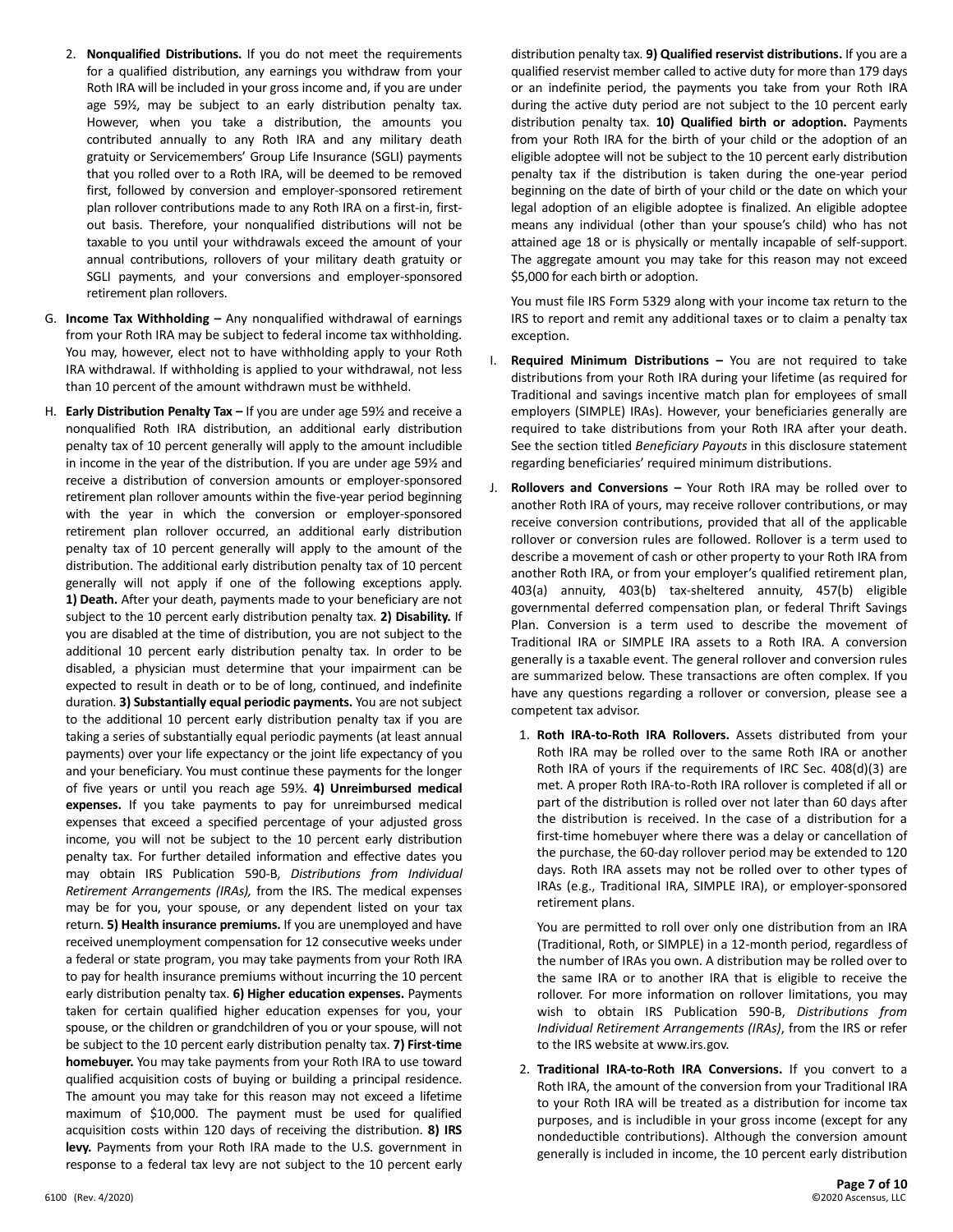- 2. **Nonqualified Distributions.** If you do not meet the requirements for a qualified distribution, any earnings you withdraw from your Roth IRA will be included in your gross income and, if you are under age 59½, may be subject to an early distribution penalty tax. However, when you take a distribution, the amounts you contributed annually to any Roth IRA and any military death gratuity or Servicemembers' Group Life Insurance (SGLI) payments that you rolled over to a Roth IRA, will be deemed to be removed first, followed by conversion and employer-sponsored retirement plan rollover contributions made to any Roth IRA on a first-in, firstout basis. Therefore, your nonqualified distributions will not be taxable to you until your withdrawals exceed the amount of your annual contributions, rollovers of your military death gratuity or SGLI payments, and your conversions and employer-sponsored retirement plan rollovers.
- G. **Income Tax Withholding –** Any nonqualified withdrawal of earnings from your Roth IRA may be subject to federal income tax withholding. You may, however, elect not to have withholding apply to your Roth IRA withdrawal. If withholding is applied to your withdrawal, not less than 10 percent of the amount withdrawn must be withheld.
- H. **Early Distribution Penalty Tax –** If you are under age 59½ and receive a nonqualified Roth IRA distribution, an additional early distribution penalty tax of 10 percent generally will apply to the amount includible in income in the year of the distribution. If you are under age 59½ and receive a distribution of conversion amounts or employer-sponsored retirement plan rollover amounts within the five-year period beginning with the year in which the conversion or employer-sponsored retirement plan rollover occurred, an additional early distribution penalty tax of 10 percent generally will apply to the amount of the distribution. The additional early distribution penalty tax of 10 percent generally will not apply if one of the following exceptions apply. **1) Death.** After your death, payments made to your beneficiary are not subject to the 10 percent early distribution penalty tax. **2) Disability.** If you are disabled at the time of distribution, you are not subject to the additional 10 percent early distribution penalty tax. In order to be disabled, a physician must determine that your impairment can be expected to result in death or to be of long, continued, and indefinite duration. **3) Substantially equal periodic payments.** You are not subject to the additional 10 percent early distribution penalty tax if you are taking a series of substantially equal periodic payments (at least annual payments) over your life expectancy or the joint life expectancy of you and your beneficiary. You must continue these payments for the longer of five years or until you reach age 59½. **4) Unreimbursed medical expenses.** If you take payments to pay for unreimbursed medical expenses that exceed a specified percentage of your adjusted gross income, you will not be subject to the 10 percent early distribution penalty tax. For further detailed information and effective dates you may obtain IRS Publication 590-B, *Distributions from Individual Retirement Arrangements (IRAs),* from the IRS. The medical expenses may be for you, your spouse, or any dependent listed on your tax return. **5) Health insurance premiums.** If you are unemployed and have received unemployment compensation for 12 consecutive weeks under a federal or state program, you may take payments from your Roth IRA to pay for health insurance premiums without incurring the 10 percent early distribution penalty tax. **6) Higher education expenses.** Payments taken for certain qualified higher education expenses for you, your spouse, or the children or grandchildren of you or your spouse, will not be subject to the 10 percent early distribution penalty tax. **7) First-time homebuyer.** You may take payments from your Roth IRA to use toward qualified acquisition costs of buying or building a principal residence. The amount you may take for this reason may not exceed a lifetime maximum of \$10,000. The payment must be used for qualified acquisition costs within 120 days of receiving the distribution. **8) IRS levy.** Payments from your Roth IRA made to the U.S. government in response to a federal tax levy are not subject to the 10 percent early

distribution penalty tax. **9) Qualified reservist distributions.** If you are a qualified reservist member called to active duty for more than 179 days or an indefinite period, the payments you take from your Roth IRA during the active duty period are not subject to the 10 percent early distribution penalty tax. **10) Qualified birth or adoption.** Payments from your Roth IRA for the birth of your child or the adoption of an eligible adoptee will not be subject to the 10 percent early distribution penalty tax if the distribution is taken during the one-year period beginning on the date of birth of your child or the date on which your legal adoption of an eligible adoptee is finalized. An eligible adoptee means any individual (other than your spouse's child) who has not attained age 18 or is physically or mentally incapable of self-support. The aggregate amount you may take for this reason may not exceed \$5,000 for each birth or adoption.

You must file IRS Form 5329 along with your income tax return to the IRS to report and remit any additional taxes or to claim a penalty tax exception.

- I. **Required Minimum Distributions –** You are not required to take distributions from your Roth IRA during your lifetime (as required for Traditional and savings incentive match plan for employees of small employers (SIMPLE) IRAs). However, your beneficiaries generally are required to take distributions from your Roth IRA after your death. See the section titled *Beneficiary Payouts* in this disclosure statement regarding beneficiaries' required minimum distributions.
- J. **Rollovers and Conversions –** Your Roth IRA may be rolled over to another Roth IRA of yours, may receive rollover contributions, or may receive conversion contributions, provided that all of the applicable rollover or conversion rules are followed. Rollover is a term used to describe a movement of cash or other property to your Roth IRA from another Roth IRA, or from your employer's qualified retirement plan, 403(a) annuity, 403(b) tax-sheltered annuity, 457(b) eligible governmental deferred compensation plan, or federal Thrift Savings Plan. Conversion is a term used to describe the movement of Traditional IRA or SIMPLE IRA assets to a Roth IRA. A conversion generally is a taxable event. The general rollover and conversion rules are summarized below. These transactions are often complex. If you have any questions regarding a rollover or conversion, please see a competent tax advisor.
	- 1. **Roth IRA-to-Roth IRA Rollovers.** Assets distributed from your Roth IRA may be rolled over to the same Roth IRA or another Roth IRA of yours if the requirements of IRC Sec. 408(d)(3) are met. A proper Roth IRA-to-Roth IRA rollover is completed if all or part of the distribution is rolled over not later than 60 days after the distribution is received. In the case of a distribution for a first-time homebuyer where there was a delay or cancellation of the purchase, the 60-day rollover period may be extended to 120 days. Roth IRA assets may not be rolled over to other types of IRAs (e.g., Traditional IRA, SIMPLE IRA), or employer-sponsored retirement plans.

You are permitted to roll over only one distribution from an IRA (Traditional, Roth, or SIMPLE) in a 12-month period, regardless of the number of IRAs you own. A distribution may be rolled over to the same IRA or to another IRA that is eligible to receive the rollover. For more information on rollover limitations, you may wish to obtain IRS Publication 590-B, *Distributions from Individual Retirement Arrangements (IRAs)*, from the IRS or refer to the IRS website at www.irs.gov.

2. **Traditional IRA-to-Roth IRA Conversions.** If you convert to a Roth IRA, the amount of the conversion from your Traditional IRA to your Roth IRA will be treated as a distribution for income tax purposes, and is includible in your gross income (except for any nondeductible contributions). Although the conversion amount generally is included in income, the 10 percent early distribution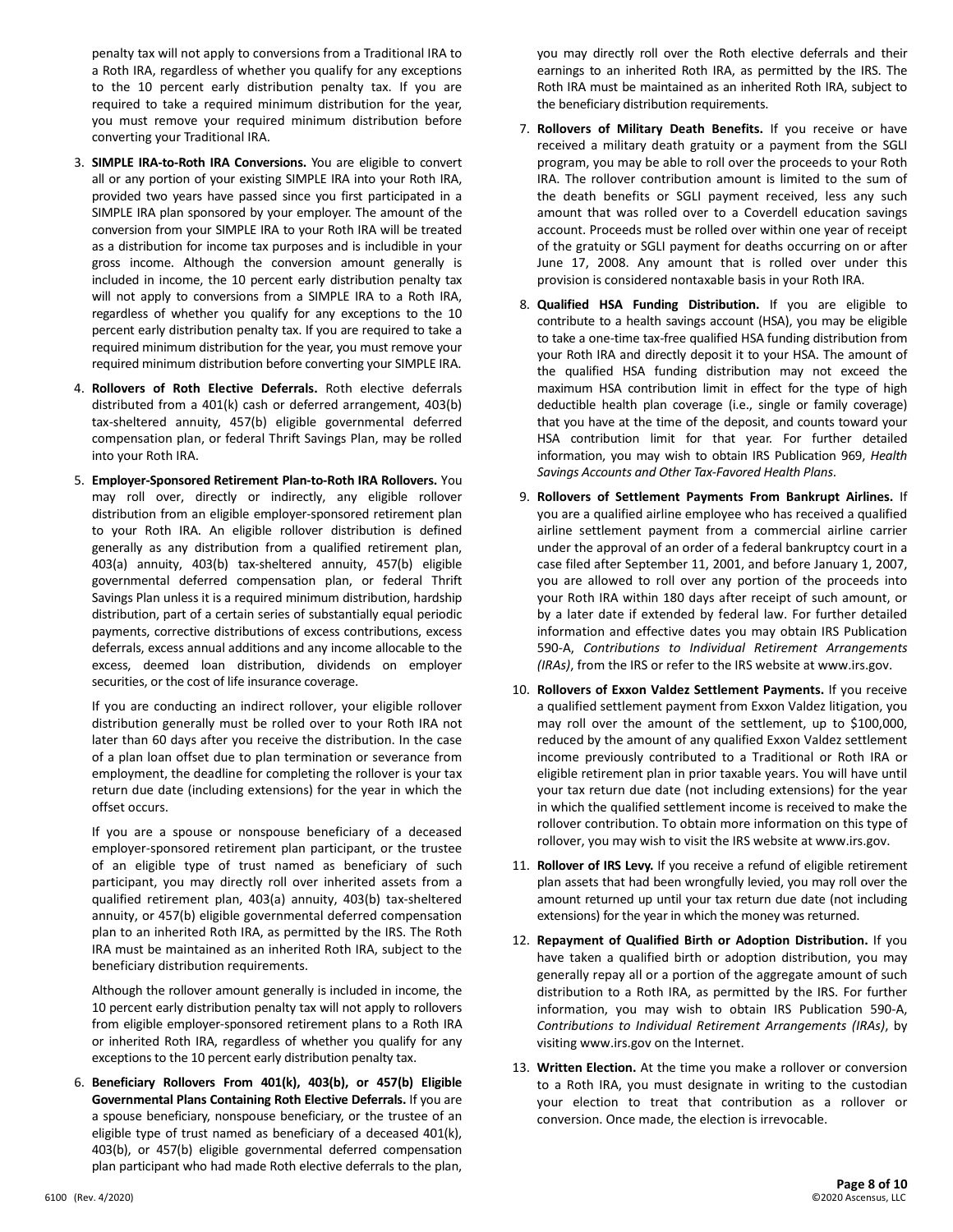penalty tax will not apply to conversions from a Traditional IRA to a Roth IRA, regardless of whether you qualify for any exceptions to the 10 percent early distribution penalty tax. If you are required to take a required minimum distribution for the year, you must remove your required minimum distribution before converting your Traditional IRA.

- 3. **SIMPLE IRA-to-Roth IRA Conversions.** You are eligible to convert all or any portion of your existing SIMPLE IRA into your Roth IRA, provided two years have passed since you first participated in a SIMPLE IRA plan sponsored by your employer. The amount of the conversion from your SIMPLE IRA to your Roth IRA will be treated as a distribution for income tax purposes and is includible in your gross income. Although the conversion amount generally is included in income, the 10 percent early distribution penalty tax will not apply to conversions from a SIMPLE IRA to a Roth IRA, regardless of whether you qualify for any exceptions to the 10 percent early distribution penalty tax. If you are required to take a required minimum distribution for the year, you must remove your required minimum distribution before converting your SIMPLE IRA.
- 4. **Rollovers of Roth Elective Deferrals.** Roth elective deferrals distributed from a 401(k) cash or deferred arrangement, 403(b) tax-sheltered annuity, 457(b) eligible governmental deferred compensation plan, or federal Thrift Savings Plan, may be rolled into your Roth IRA.
- 5. **Employer-Sponsored Retirement Plan-to-Roth IRA Rollovers.** You may roll over, directly or indirectly, any eligible rollover distribution from an eligible employer-sponsored retirement plan to your Roth IRA. An eligible rollover distribution is defined generally as any distribution from a qualified retirement plan, 403(a) annuity, 403(b) tax-sheltered annuity, 457(b) eligible governmental deferred compensation plan, or federal Thrift Savings Plan unless it is a required minimum distribution, hardship distribution, part of a certain series of substantially equal periodic payments, corrective distributions of excess contributions, excess deferrals, excess annual additions and any income allocable to the excess, deemed loan distribution, dividends on employer securities, or the cost of life insurance coverage.

If you are conducting an indirect rollover, your eligible rollover distribution generally must be rolled over to your Roth IRA not later than 60 days after you receive the distribution. In the case of a plan loan offset due to plan termination or severance from employment, the deadline for completing the rollover is your tax return due date (including extensions) for the year in which the offset occurs.

If you are a spouse or nonspouse beneficiary of a deceased employer-sponsored retirement plan participant, or the trustee of an eligible type of trust named as beneficiary of such participant, you may directly roll over inherited assets from a qualified retirement plan, 403(a) annuity, 403(b) tax-sheltered annuity, or 457(b) eligible governmental deferred compensation plan to an inherited Roth IRA, as permitted by the IRS. The Roth IRA must be maintained as an inherited Roth IRA, subject to the beneficiary distribution requirements.

Although the rollover amount generally is included in income, the 10 percent early distribution penalty tax will not apply to rollovers from eligible employer-sponsored retirement plans to a Roth IRA or inherited Roth IRA, regardless of whether you qualify for any exceptions to the 10 percent early distribution penalty tax.

6. **Beneficiary Rollovers From 401(k), 403(b), or 457(b) Eligible Governmental Plans Containing Roth Elective Deferrals.** If you are a spouse beneficiary, nonspouse beneficiary, or the trustee of an eligible type of trust named as beneficiary of a deceased 401(k), 403(b), or 457(b) eligible governmental deferred compensation plan participant who had made Roth elective deferrals to the plan,

you may directly roll over the Roth elective deferrals and their earnings to an inherited Roth IRA, as permitted by the IRS. The Roth IRA must be maintained as an inherited Roth IRA, subject to the beneficiary distribution requirements.

- 7. **Rollovers of Military Death Benefits.** If you receive or have received a military death gratuity or a payment from the SGLI program, you may be able to roll over the proceeds to your Roth IRA. The rollover contribution amount is limited to the sum of the death benefits or SGLI payment received, less any such amount that was rolled over to a Coverdell education savings account. Proceeds must be rolled over within one year of receipt of the gratuity or SGLI payment for deaths occurring on or after June 17, 2008. Any amount that is rolled over under this provision is considered nontaxable basis in your Roth IRA.
- 8. **Qualified HSA Funding Distribution.** If you are eligible to contribute to a health savings account (HSA), you may be eligible to take a one-time tax-free qualified HSA funding distribution from your Roth IRA and directly deposit it to your HSA. The amount of the qualified HSA funding distribution may not exceed the maximum HSA contribution limit in effect for the type of high deductible health plan coverage (i.e., single or family coverage) that you have at the time of the deposit, and counts toward your HSA contribution limit for that year. For further detailed information, you may wish to obtain IRS Publication 969, *Health Savings Accounts and Other Tax-Favored Health Plans*.
- 9. **Rollovers of Settlement Payments From Bankrupt Airlines.** If you are a qualified airline employee who has received a qualified airline settlement payment from a commercial airline carrier under the approval of an order of a federal bankruptcy court in a case filed after September 11, 2001, and before January 1, 2007, you are allowed to roll over any portion of the proceeds into your Roth IRA within 180 days after receipt of such amount, or by a later date if extended by federal law. For further detailed information and effective dates you may obtain IRS Publication 590-A, *Contributions to Individual Retirement Arrangements (IRAs)*, from the IRS or refer to the IRS website at www.irs.gov.
- 10. **Rollovers of Exxon Valdez Settlement Payments.** If you receive a qualified settlement payment from Exxon Valdez litigation, you may roll over the amount of the settlement, up to \$100,000, reduced by the amount of any qualified Exxon Valdez settlement income previously contributed to a Traditional or Roth IRA or eligible retirement plan in prior taxable years. You will have until your tax return due date (not including extensions) for the year in which the qualified settlement income is received to make the rollover contribution. To obtain more information on this type of rollover, you may wish to visit the IRS website at www.irs.gov.
- 11. **Rollover of IRS Levy.** If you receive a refund of eligible retirement plan assets that had been wrongfully levied, you may roll over the amount returned up until your tax return due date (not including extensions) for the year in which the money was returned.
- 12. **Repayment of Qualified Birth or Adoption Distribution.** If you have taken a qualified birth or adoption distribution, you may generally repay all or a portion of the aggregate amount of such distribution to a Roth IRA, as permitted by the IRS. For further information, you may wish to obtain IRS Publication 590-A, *Contributions to Individual Retirement Arrangements (IRAs)*, by visiting www.irs.gov on the Internet.
- 13. **Written Election.** At the time you make a rollover or conversion to a Roth IRA, you must designate in writing to the custodian your election to treat that contribution as a rollover or conversion. Once made, the election is irrevocable.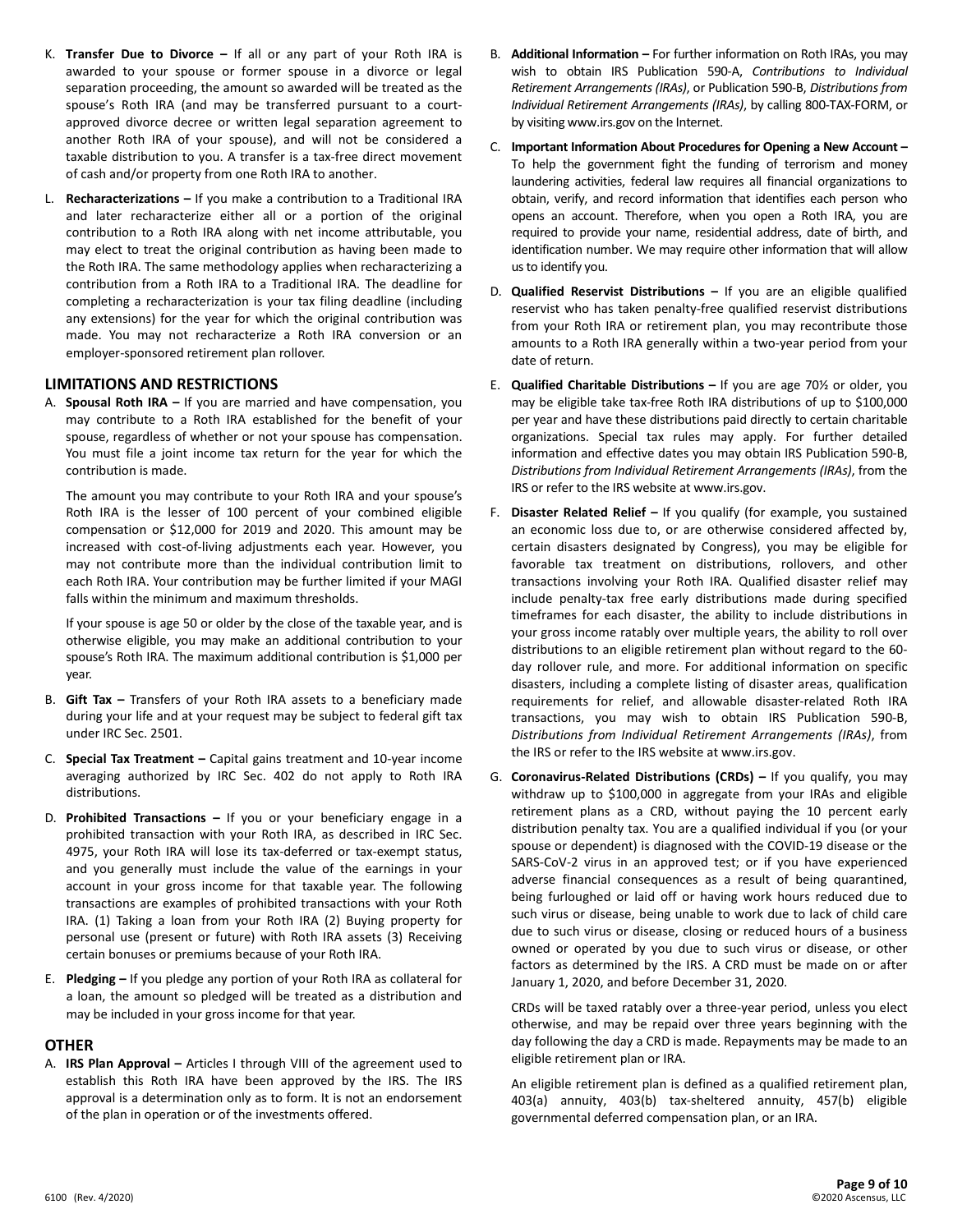- K. **Transfer Due to Divorce –** If all or any part of your Roth IRA is awarded to your spouse or former spouse in a divorce or legal separation proceeding, the amount so awarded will be treated as the spouse's Roth IRA (and may be transferred pursuant to a courtapproved divorce decree or written legal separation agreement to another Roth IRA of your spouse), and will not be considered a taxable distribution to you. A transfer is a tax-free direct movement of cash and/or property from one Roth IRA to another.
- L. **Recharacterizations –** If you make a contribution to a Traditional IRA and later recharacterize either all or a portion of the original contribution to a Roth IRA along with net income attributable, you may elect to treat the original contribution as having been made to the Roth IRA. The same methodology applies when recharacterizing a contribution from a Roth IRA to a Traditional IRA. The deadline for completing a recharacterization is your tax filing deadline (including any extensions) for the year for which the original contribution was made. You may not recharacterize a Roth IRA conversion or an employer-sponsored retirement plan rollover.

# **LIMITATIONS AND RESTRICTIONS**

A. **Spousal Roth IRA –** If you are married and have compensation, you may contribute to a Roth IRA established for the benefit of your spouse, regardless of whether or not your spouse has compensation. You must file a joint income tax return for the year for which the contribution is made.

The amount you may contribute to your Roth IRA and your spouse's Roth IRA is the lesser of 100 percent of your combined eligible compensation or \$12,000 for 2019 and 2020. This amount may be increased with cost-of-living adjustments each year. However, you may not contribute more than the individual contribution limit to each Roth IRA. Your contribution may be further limited if your MAGI falls within the minimum and maximum thresholds.

If your spouse is age 50 or older by the close of the taxable year, and is otherwise eligible, you may make an additional contribution to your spouse's Roth IRA. The maximum additional contribution is \$1,000 per year.

- B. **Gift Tax –** Transfers of your Roth IRA assets to a beneficiary made during your life and at your request may be subject to federal gift tax under IRC Sec. 2501.
- C. **Special Tax Treatment –** Capital gains treatment and 10-year income averaging authorized by IRC Sec. 402 do not apply to Roth IRA distributions.
- D. **Prohibited Transactions –** If you or your beneficiary engage in a prohibited transaction with your Roth IRA, as described in IRC Sec. 4975, your Roth IRA will lose its tax-deferred or tax-exempt status, and you generally must include the value of the earnings in your account in your gross income for that taxable year. The following transactions are examples of prohibited transactions with your Roth IRA. (1) Taking a loan from your Roth IRA (2) Buying property for personal use (present or future) with Roth IRA assets (3) Receiving certain bonuses or premiums because of your Roth IRA.
- E. **Pledging –** If you pledge any portion of your Roth IRA as collateral for a loan, the amount so pledged will be treated as a distribution and may be included in your gross income for that year.

#### **OTHER**

A. **IRS Plan Approval –** Articles I through VIII of the agreement used to establish this Roth IRA have been approved by the IRS. The IRS approval is a determination only as to form. It is not an endorsement of the plan in operation or of the investments offered.

- B. **Additional Information –** For further information on Roth IRAs, you may wish to obtain IRS Publication 590-A, *Contributions to Individual Retirement Arrangements (IRAs)*, or Publication 590-B, *Distributions from Individual Retirement Arrangements (IRAs)*, by calling 800-TAX-FORM, or by visiting www.irs.gov on the Internet.
- C. **Important Information About Procedures for Opening a New Account –** To help the government fight the funding of terrorism and money laundering activities, federal law requires all financial organizations to obtain, verify, and record information that identifies each person who opens an account. Therefore, when you open a Roth IRA, you are required to provide your name, residential address, date of birth, and identification number. We may require other information that will allow us to identify you.
- D. **Qualified Reservist Distributions –** If you are an eligible qualified reservist who has taken penalty-free qualified reservist distributions from your Roth IRA or retirement plan, you may recontribute those amounts to a Roth IRA generally within a two-year period from your date of return.
- E. **Qualified Charitable Distributions –** If you are age 70½ or older, you may be eligible take tax-free Roth IRA distributions of up to \$100,000 per year and have these distributions paid directly to certain charitable organizations. Special tax rules may apply. For further detailed information and effective dates you may obtain IRS Publication 590-B, *Distributions from Individual Retirement Arrangements (IRAs)*, from the IRS or refer to the IRS website at www.irs.gov.
- F. **Disaster Related Relief –** If you qualify (for example, you sustained an economic loss due to, or are otherwise considered affected by, certain disasters designated by Congress), you may be eligible for favorable tax treatment on distributions, rollovers, and other transactions involving your Roth IRA. Qualified disaster relief may include penalty-tax free early distributions made during specified timeframes for each disaster, the ability to include distributions in your gross income ratably over multiple years, the ability to roll over distributions to an eligible retirement plan without regard to the 60 day rollover rule, and more. For additional information on specific disasters, including a complete listing of disaster areas, qualification requirements for relief, and allowable disaster-related Roth IRA transactions, you may wish to obtain IRS Publication 590-B, *Distributions from Individual Retirement Arrangements (IRAs)*, from the IRS or refer to the IRS website at www.irs.gov.
- G. **Coronavirus-Related Distributions (CRDs) –** If you qualify, you may withdraw up to \$100,000 in aggregate from your IRAs and eligible retirement plans as a CRD, without paying the 10 percent early distribution penalty tax. You are a qualified individual if you (or your spouse or dependent) is diagnosed with the COVID-19 disease or the SARS-CoV-2 virus in an approved test; or if you have experienced adverse financial consequences as a result of being quarantined, being furloughed or laid off or having work hours reduced due to such virus or disease, being unable to work due to lack of child care due to such virus or disease, closing or reduced hours of a business owned or operated by you due to such virus or disease, or other factors as determined by the IRS. A CRD must be made on or after January 1, 2020, and before December 31, 2020.

CRDs will be taxed ratably over a three-year period, unless you elect otherwise, and may be repaid over three years beginning with the day following the day a CRD is made. Repayments may be made to an eligible retirement plan or IRA.

An eligible retirement plan is defined as a qualified retirement plan, 403(a) annuity, 403(b) tax-sheltered annuity, 457(b) eligible governmental deferred compensation plan, or an IRA.